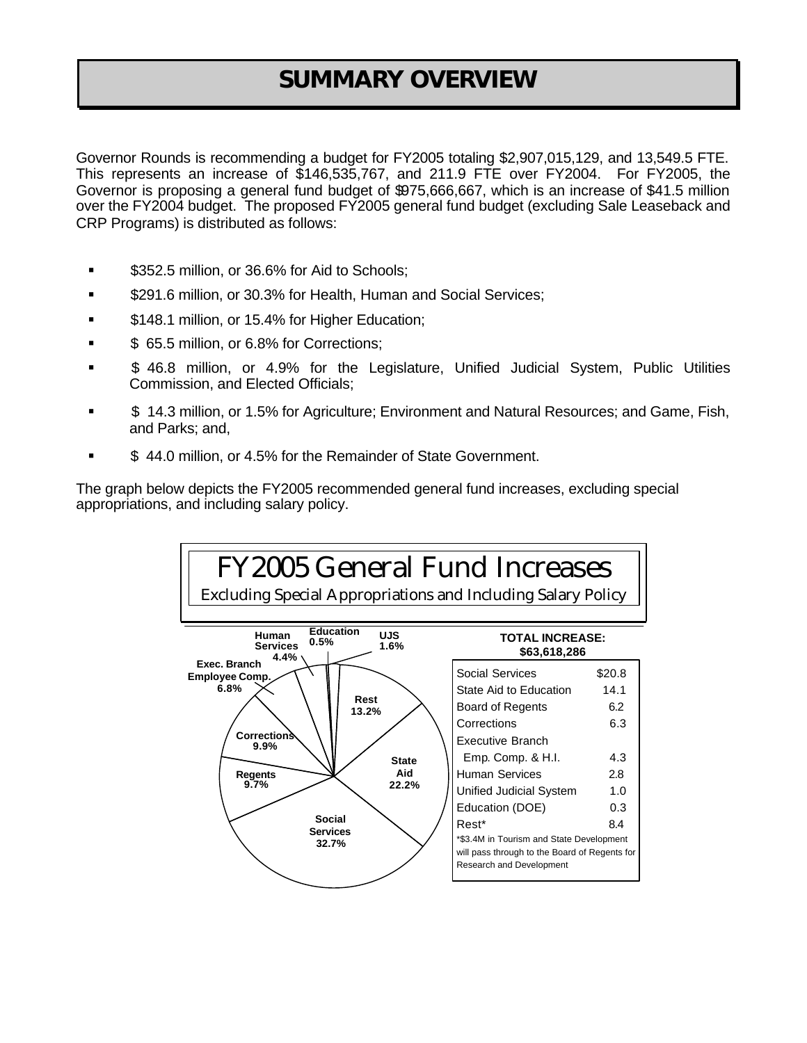# *SUMMARY OVERVIEW*

Governor Rounds is recommending a budget for FY2005 totaling \$2,907,015,129, and 13,549.5 FTE. This represents an increase of \$146,535,767, and 211.9 FTE over FY2004. For FY2005, the Governor is proposing a general fund budget of \$975,666,667, which is an increase of \$41.5 million over the FY2004 budget. The proposed FY2005 general fund budget (excluding Sale Leaseback and CRP Programs) is distributed as follows:

- **S352.5 million, or 36.6% for Aid to Schools;**
- **S291.6 million, or 30.3% for Health, Human and Social Services;**
- ß \$148.1 million, or 15.4% for Higher Education;
- **\$ 65.5 million, or 6.8% for Corrections;**
- ß \$ 46.8 million, or 4.9% for the Legislature, Unified Judicial System, Public Utilities Commission, and Elected Officials;
- ß \$ 14.3 million, or 1.5% for Agriculture; Environment and Natural Resources; and Game, Fish, and Parks; and,
- ß \$ 44.0 million, or 4.5% for the Remainder of State Government.

The graph below depicts the FY2005 recommended general fund increases, excluding special appropriations, and including salary policy.

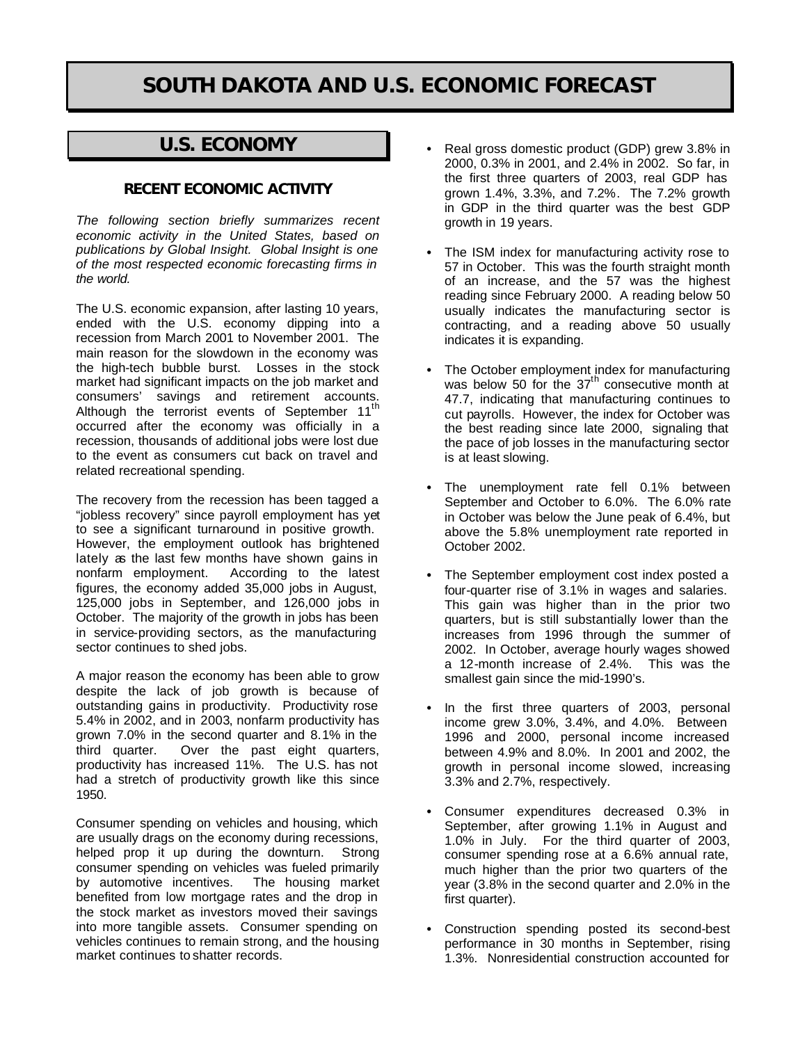# *SOUTH DAKOTA AND U.S. ECONOMIC FORECAST*

# *U.S. ECONOMY*

## *RECENT ECONOMIC ACTIVITY*

*The following section briefly summarizes recent economic activity in the United States, based on publications by Global Insight. Global Insight is one of the most respected economic forecasting firms in the world.*

The U.S. economic expansion, after lasting 10 years, ended with the U.S. economy dipping into a recession from March 2001 to November 2001. The main reason for the slowdown in the economy was the high-tech bubble burst. Losses in the stock market had significant impacts on the job market and consumers' savings and retirement accounts. Although the terrorist events of September 11<sup>th</sup> occurred after the economy was officially in a recession, thousands of additional jobs were lost due to the event as consumers cut back on travel and related recreational spending.

The recovery from the recession has been tagged a "jobless recovery" since payroll employment has yet to see a significant turnaround in positive growth. However, the employment outlook has brightened lately as the last few months have shown gains in nonfarm employment. According to the latest figures, the economy added 35,000 jobs in August, 125,000 jobs in September, and 126,000 jobs in October. The majority of the growth in jobs has been in service-providing sectors, as the manufacturing sector continues to shed jobs.

A major reason the economy has been able to grow despite the lack of job growth is because of outstanding gains in productivity. Productivity rose 5.4% in 2002, and in 2003, nonfarm productivity has grown 7.0% in the second quarter and 8.1% in the third quarter. Over the past eight quarters, productivity has increased 11%. The U.S. has not had a stretch of productivity growth like this since 1950.

Consumer spending on vehicles and housing, which are usually drags on the economy during recessions, helped prop it up during the downturn. Strong consumer spending on vehicles was fueled primarily by automotive incentives. The housing market benefited from low mortgage rates and the drop in the stock market as investors moved their savings into more tangible assets. Consumer spending on vehicles continues to remain strong, and the housing market continues to shatter records.

- **•** Real gross domestic product (GDP) grew 3.8% in 2000, 0.3% in 2001, and 2.4% in 2002. So far, in the first three quarters of 2003, real GDP has grown 1.4%, 3.3%, and 7.2%. The 7.2% growth in GDP in the third quarter was the best GDP growth in 19 years.
- **•** The ISM index for manufacturing activity rose to 57 in October. This was the fourth straight month of an increase, and the 57 was the highest reading since February 2000. A reading below 50 usually indicates the manufacturing sector is contracting, and a reading above 50 usually indicates it is expanding.
- **•** The October employment index for manufacturing was below 50 for the  $37<sup>th</sup>$  consecutive month at 47.7, indicating that manufacturing continues to cut payrolls. However, the index for October was the best reading since late 2000, signaling that the pace of job losses in the manufacturing sector is at least slowing.
- **•** The unemployment rate fell 0.1% between September and October to 6.0%. The 6.0% rate in October was below the June peak of 6.4%, but above the 5.8% unemployment rate reported in October 2002.
- **•** The September employment cost index posted a four-quarter rise of 3.1% in wages and salaries. This gain was higher than in the prior two quarters, but is still substantially lower than the increases from 1996 through the summer of 2002. In October, average hourly wages showed a 12-month increase of 2.4%. This was the smallest gain since the mid-1990's.
- **•** In the first three quarters of 2003, personal income grew 3.0%, 3.4%, and 4.0%. Between 1996 and 2000, personal income increased between 4.9% and 8.0%. In 2001 and 2002, the growth in personal income slowed, increasing 3.3% and 2.7%, respectively.
- **•** Consumer expenditures decreased 0.3% in September, after growing 1.1% in August and 1.0% in July. For the third quarter of 2003, consumer spending rose at a 6.6% annual rate, much higher than the prior two quarters of the year (3.8% in the second quarter and 2.0% in the first quarter).
- **•** Construction spending posted its second-best performance in 30 months in September, rising 1.3%. Nonresidential construction accounted for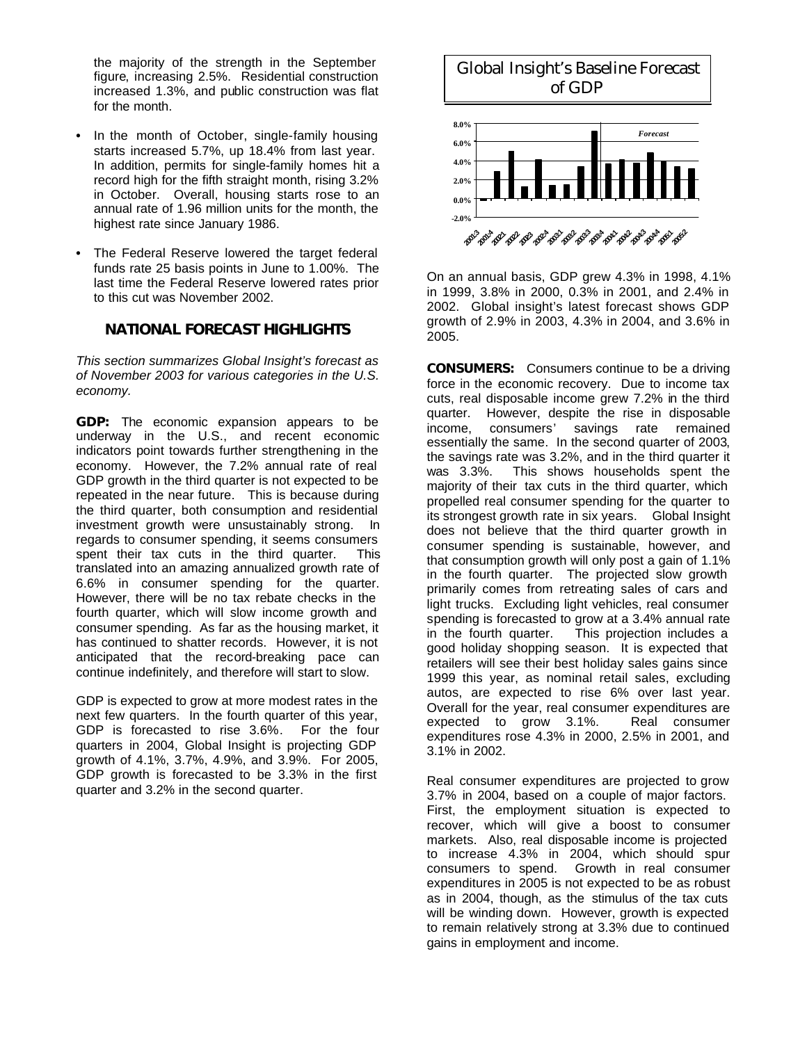the majority of the strength in the September figure, increasing 2.5%. Residential construction increased 1.3%, and public construction was flat for the month.

- **•** In the month of October, single-family housing starts increased 5.7%, up 18.4% from last year. In addition, permits for single-family homes hit a record high for the fifth straight month, rising 3.2% in October. Overall, housing starts rose to an annual rate of 1.96 million units for the month, the highest rate since January 1986.
- **•** The Federal Reserve lowered the target federal funds rate 25 basis points in June to 1.00%. The last time the Federal Reserve lowered rates prior to this cut was November 2002.

#### *NATIONAL FORECAST HIGHLIGHTS*

*This section summarizes Global Insight's forecast as of November 2003 for various categories in the U.S. economy.* 

*GDP:* The economic expansion appears to be underway in the U.S., and recent economic indicators point towards further strengthening in the economy. However, the 7.2% annual rate of real GDP growth in the third quarter is not expected to be repeated in the near future. This is because during the third quarter, both consumption and residential investment growth were unsustainably strong. In regards to consumer spending, it seems consumers spent their tax cuts in the third quarter. This translated into an amazing annualized growth rate of 6.6% in consumer spending for the quarter. However, there will be no tax rebate checks in the fourth quarter, which will slow income growth and consumer spending. As far as the housing market, it has continued to shatter records. However, it is not anticipated that the record-breaking pace can continue indefinitely, and therefore will start to slow.

GDP is expected to grow at more modest rates in the next few quarters. In the fourth quarter of this year, GDP is forecasted to rise 3.6%. For the four quarters in 2004, Global Insight is projecting GDP growth of 4.1%, 3.7%, 4.9%, and 3.9%. For 2005, GDP growth is forecasted to be 3.3% in the first quarter and 3.2% in the second quarter.

# Global Insight's Baseline Forecast of GDP



On an annual basis, GDP grew 4.3% in 1998, 4.1% in 1999, 3.8% in 2000, 0.3% in 2001, and 2.4% in 2002. Global insight's latest forecast shows GDP growth of 2.9% in 2003, 4.3% in 2004, and 3.6% in 2005.

*CONSUMERS:* Consumers continue to be a driving force in the economic recovery. Due to income tax cuts, real disposable income grew 7.2% in the third quarter. However, despite the rise in disposable income, consumers' savings rate remained essentially the same. In the second quarter of 2003, the savings rate was 3.2%, and in the third quarter it was 3.3%. This shows households spent the majority of their tax cuts in the third quarter, which propelled real consumer spending for the quarter to its strongest growth rate in six years. Global Insight does not believe that the third quarter growth in consumer spending is sustainable, however, and that consumption growth will only post a gain of 1.1% in the fourth quarter. The projected slow growth primarily comes from retreating sales of cars and light trucks. Excluding light vehicles, real consumer spending is forecasted to grow at a 3.4% annual rate in the fourth quarter. This projection includes a good holiday shopping season. It is expected that retailers will see their best holiday sales gains since 1999 this year, as nominal retail sales, excluding autos, are expected to rise 6% over last year. Overall for the year, real consumer expenditures are expected to grow 3.1%. Real consumer expenditures rose 4.3% in 2000, 2.5% in 2001, and 3.1% in 2002.

Real consumer expenditures are projected to grow 3.7% in 2004, based on a couple of major factors. First, the employment situation is expected to recover, which will give a boost to consumer markets. Also, real disposable income is projected to increase 4.3% in 2004, which should spur consumers to spend. Growth in real consumer expenditures in 2005 is not expected to be as robust as in 2004, though, as the stimulus of the tax cuts will be winding down. However, growth is expected to remain relatively strong at 3.3% due to continued gains in employment and income.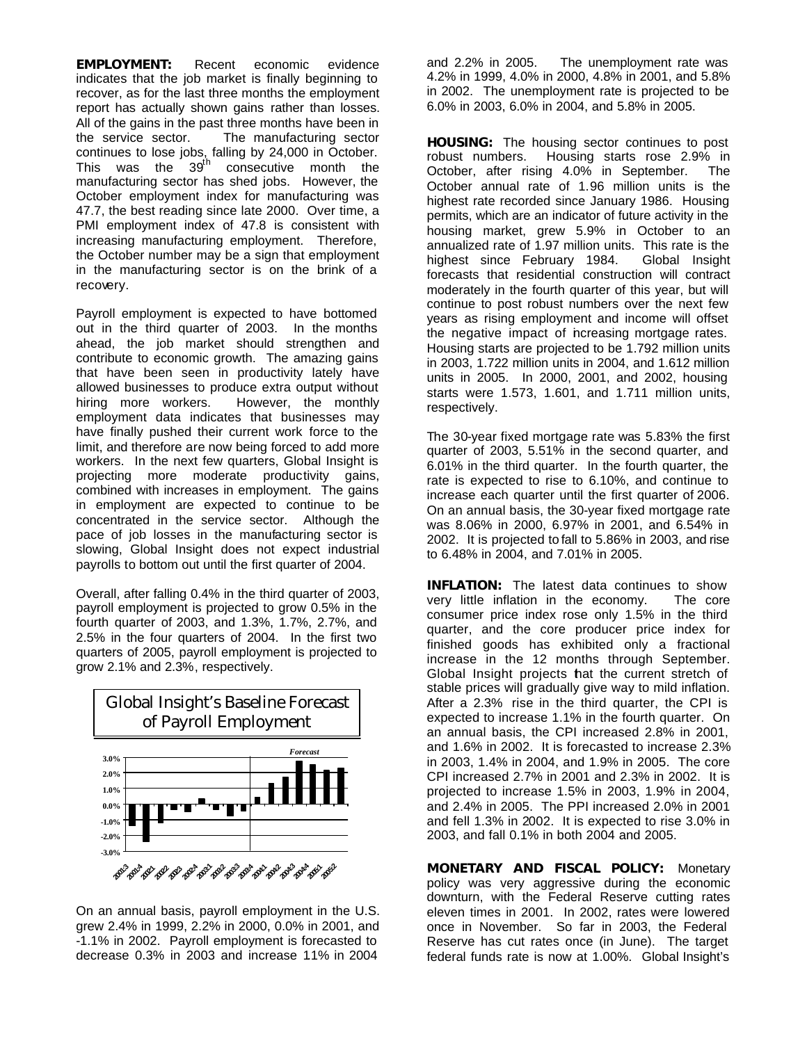*EMPLOYMENT:* Recent economic evidence indicates that the job market is finally beginning to recover, as for the last three months the employment report has actually shown gains rather than losses. All of the gains in the past three months have been in the service sector. The manufacturing sector continues to lose jobs, falling by 24,000 in October.<br>This was the  $39<sup>th</sup>$  consecutive month the This was the  $39<sup>th</sup>$  consecutive month the manufacturing sector has shed jobs. However, the October employment index for manufacturing was 47.7, the best reading since late 2000. Over time, a PMI employment index of 47.8 is consistent with increasing manufacturing employment. Therefore, the October number may be a sign that employment in the manufacturing sector is on the brink of a recovery.

Payroll employment is expected to have bottomed out in the third quarter of 2003. In the months ahead, the job market should strengthen and contribute to economic growth. The amazing gains that have been seen in productivity lately have allowed businesses to produce extra output without hiring more workers. However, the monthly employment data indicates that businesses may have finally pushed their current work force to the limit, and therefore are now being forced to add more workers. In the next few quarters, Global Insight is projecting more moderate productivity gains, combined with increases in employment. The gains in employment are expected to continue to be concentrated in the service sector. Although the pace of job losses in the manufacturing sector is slowing, Global Insight does not expect industrial payrolls to bottom out until the first quarter of 2004.

Overall, after falling 0.4% in the third quarter of 2003, payroll employment is projected to grow 0.5% in the fourth quarter of 2003, and 1.3%, 1.7%, 2.7%, and 2.5% in the four quarters of 2004. In the first two quarters of 2005, payroll employment is projected to grow 2.1% and 2.3%, respectively.



On an annual basis, payroll employment in the U.S. grew 2.4% in 1999, 2.2% in 2000, 0.0% in 2001, and -1.1% in 2002. Payroll employment is forecasted to decrease 0.3% in 2003 and increase 1.1% in 2004

and 2.2% in 2005. The unemployment rate was 4.2% in 1999, 4.0% in 2000, 4.8% in 2001, and 5.8% in 2002. The unemployment rate is projected to be 6.0% in 2003, 6.0% in 2004, and 5.8% in 2005.

*HOUSING:* The housing sector continues to post robust numbers. Housing starts rose 2.9% in October, after rising 4.0% in September. The October annual rate of 1.96 million units is the highest rate recorded since January 1986. Housing permits, which are an indicator of future activity in the housing market, grew 5.9% in October to an annualized rate of 1.97 million units. This rate is the highest since February 1984. Global Insight forecasts that residential construction will contract moderately in the fourth quarter of this year, but will continue to post robust numbers over the next few years as rising employment and income will offset the negative impact of increasing mortgage rates. Housing starts are projected to be 1.792 million units in 2003, 1.722 million units in 2004, and 1.612 million units in 2005. In 2000, 2001, and 2002, housing starts were 1.573, 1.601, and 1.711 million units, respectively.

The 30-year fixed mortgage rate was 5.83% the first quarter of 2003, 5.51% in the second quarter, and 6.01% in the third quarter. In the fourth quarter, the rate is expected to rise to 6.10%, and continue to increase each quarter until the first quarter of 2006. On an annual basis, the 30-year fixed mortgage rate was 8.06% in 2000, 6.97% in 2001, and 6.54% in 2002. It is projected to fall to 5.86% in 2003, and rise to 6.48% in 2004, and 7.01% in 2005.

**INFLATION:** The latest data continues to show very little inflation in the economy. The core consumer price index rose only 1.5% in the third quarter, and the core producer price index for finished goods has exhibited only a fractional increase in the 12 months through September. Global Insight projects that the current stretch of stable prices will gradually give way to mild inflation. After a 2.3% rise in the third quarter, the CPI is expected to increase 1.1% in the fourth quarter. On an annual basis, the CPI increased 2.8% in 2001, and 1.6% in 2002. It is forecasted to increase 2.3% in 2003, 1.4% in 2004, and 1.9% in 2005. The core CPI increased 2.7% in 2001 and 2.3% in 2002. It is projected to increase 1.5% in 2003, 1.9% in 2004, and 2.4% in 2005. The PPI increased 2.0% in 2001 and fell 1.3% in 2002. It is expected to rise 3.0% in 2003, and fall 0.1% in both 2004 and 2005.

*MONETARY AND FISCAL POLICY:* Monetary policy was very aggressive during the economic downturn, with the Federal Reserve cutting rates eleven times in 2001. In 2002, rates were lowered once in November. So far in 2003, the Federal Reserve has cut rates once (in June). The target federal funds rate is now at 1.00%. Global Insight's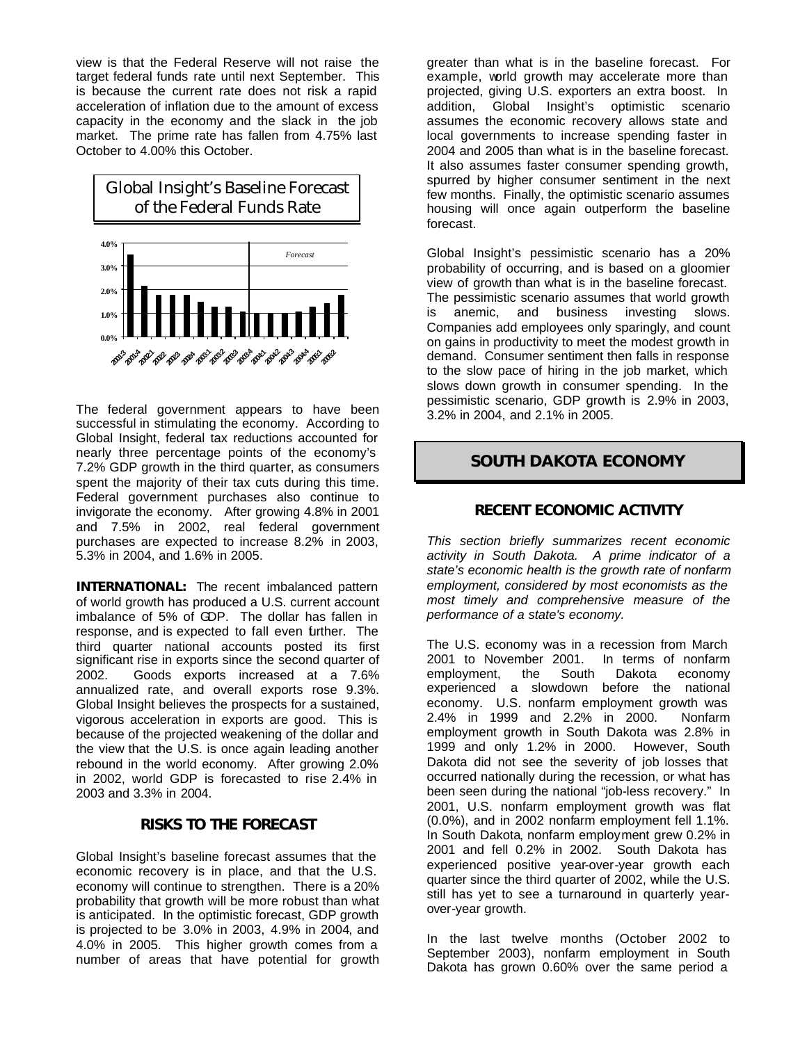view is that the Federal Reserve will not raise the target federal funds rate until next September. This is because the current rate does not risk a rapid acceleration of inflation due to the amount of excess capacity in the economy and the slack in the job market. The prime rate has fallen from 4.75% last October to 4.00% this October.



The federal government appears to have been successful in stimulating the economy. According to Global Insight, federal tax reductions accounted for nearly three percentage points of the economy's 7.2% GDP growth in the third quarter, as consumers spent the majority of their tax cuts during this time. Federal government purchases also continue to invigorate the economy. After growing 4.8% in 2001 and 7.5% in 2002, real federal government purchases are expected to increase 8.2% in 2003, 5.3% in 2004, and 1.6% in 2005.

*INTERNATIONAL:* The recent imbalanced pattern of world growth has produced a U.S. current account imbalance of 5% of GDP. The dollar has fallen in response, and is expected to fall even further. The third quarter national accounts posted its first significant rise in exports since the second quarter of 2002. Goods exports increased at a 7.6% annualized rate, and overall exports rose 9.3%. Global Insight believes the prospects for a sustained, vigorous acceleration in exports are good. This is because of the projected weakening of the dollar and the view that the U.S. is once again leading another rebound in the world economy. After growing 2.0% in 2002, world GDP is forecasted to rise 2.4% in 2003 and 3.3% in 2004.

#### *RISKS TO THE FORECAST*

Global Insight's baseline forecast assumes that the economic recovery is in place, and that the U.S. economy will continue to strengthen. There is a 20% probability that growth will be more robust than what is anticipated. In the optimistic forecast, GDP growth is projected to be 3.0% in 2003, 4.9% in 2004, and 4.0% in 2005. This higher growth comes from a number of areas that have potential for growth

greater than what is in the baseline forecast. For example, world growth may accelerate more than projected, giving U.S. exporters an extra boost. In addition, Global Insight's optimistic scenario assumes the economic recovery allows state and local governments to increase spending faster in 2004 and 2005 than what is in the baseline forecast. It also assumes faster consumer spending growth, spurred by higher consumer sentiment in the next few months. Finally, the optimistic scenario assumes housing will once again outperform the baseline forecast.

Global Insight's pessimistic scenario has a 20% probability of occurring, and is based on a gloomier view of growth than what is in the baseline forecast. The pessimistic scenario assumes that world growth is anemic, and business investing slows. Companies add employees only sparingly, and count on gains in productivity to meet the modest growth in demand. Consumer sentiment then falls in response to the slow pace of hiring in the job market, which slows down growth in consumer spending. In the pessimistic scenario, GDP growth is 2.9% in 2003, 3.2% in 2004, and 2.1% in 2005.

## *SOUTH DAKOTA ECONOMY*

#### *RECENT ECONOMIC ACTIVITY*

*This section briefly summarizes recent economic activity in South Dakota. A prime indicator of a state's economic health is the growth rate of nonfarm employment, considered by most economists as the most timely and comprehensive measure of the performance of a state's economy.* 

The U.S. economy was in a recession from March 2001 to November 2001. In terms of nonfarm employment, the South Dakota economy experienced a slowdown before the national economy. U.S. nonfarm employment growth was 2.4% in 1999 and 2.2% in 2000. Nonfarm employment growth in South Dakota was 2.8% in 1999 and only 1.2% in 2000. However, South Dakota did not see the severity of job losses that occurred nationally during the recession, or what has been seen during the national "job-less recovery." In 2001, U.S. nonfarm employment growth was flat (0.0%), and in 2002 nonfarm employment fell 1.1%. In South Dakota, nonfarm employment grew 0.2% in 2001 and fell 0.2% in 2002. South Dakota has experienced positive year-over-year growth each quarter since the third quarter of 2002, while the U.S. still has yet to see a turnaround in quarterly yearover-year growth.

In the last twelve months (October 2002 to September 2003), nonfarm employment in South Dakota has grown 0.60% over the same period a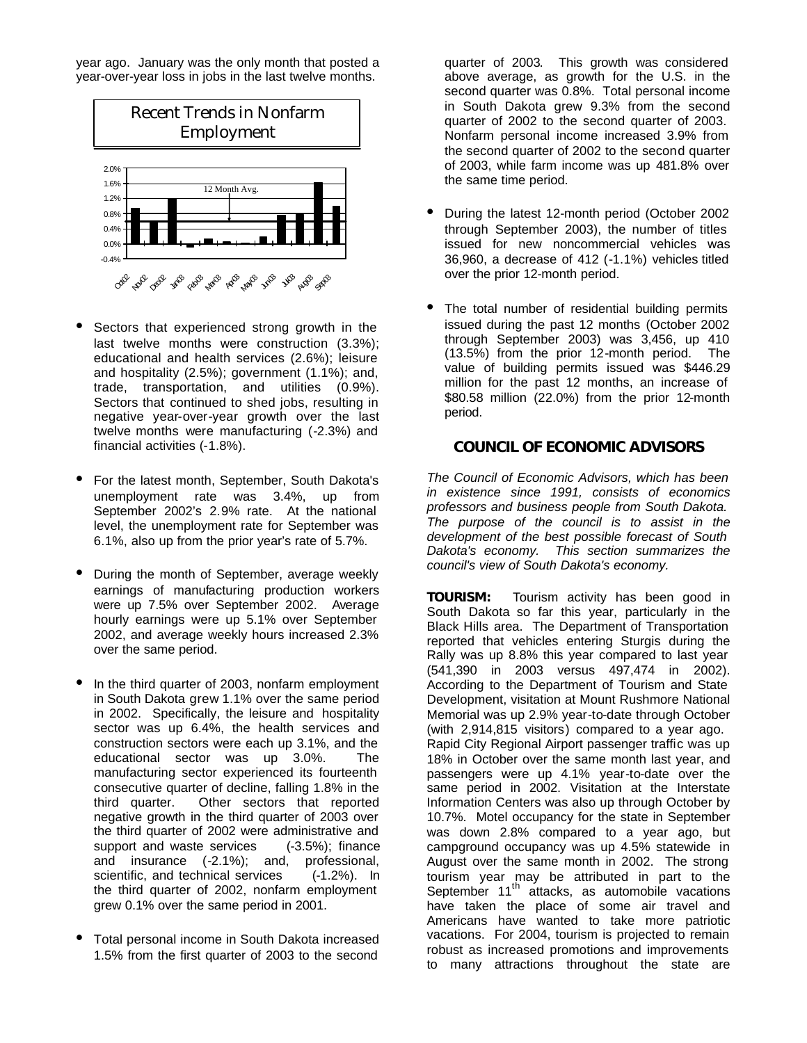year ago. January was the only month that posted a year-over-year loss in jobs in the last twelve months.



- **•** Sectors that experienced strong growth in the last twelve months were construction (3.3%); educational and health services (2.6%); leisure and hospitality (2.5%); government (1.1%); and, trade, transportation, and utilities (0.9%). Sectors that continued to shed jobs, resulting in negative year-over-year growth over the last twelve months were manufacturing (-2.3%) and financial activities (-1.8%).
- **•** For the latest month, September, South Dakota's unemployment rate was 3.4%, up from September 2002's 2.9% rate. At the national level, the unemployment rate for September was 6.1%, also up from the prior year's rate of 5.7%.
- **•** During the month of September, average weekly earnings of manufacturing production workers were up 7.5% over September 2002. Average hourly earnings were up 5.1% over September 2002, and average weekly hours increased 2.3% over the same period.
- **•** In the third quarter of 2003, nonfarm employment in South Dakota grew 1.1% over the same period in 2002. Specifically, the leisure and hospitality sector was up 6.4%, the health services and construction sectors were each up 3.1%, and the educational sector was up 3.0%. The manufacturing sector experienced its fourteenth consecutive quarter of decline, falling 1.8% in the third quarter. Other sectors that reported negative growth in the third quarter of 2003 over the third quarter of 2002 were administrative and support and waste services (-3.5%); finance and insurance (-2.1%); and, professional, scientific, and technical services (-1.2%). In the third quarter of 2002, nonfarm employment grew 0.1% over the same period in 2001.
- **•** Total personal income in South Dakota increased 1.5% from the first quarter of 2003 to the second

quarter of 2003. This growth was considered above average, as growth for the U.S. in the second quarter was 0.8%. Total personal income in South Dakota grew 9.3% from the second quarter of 2002 to the second quarter of 2003. Nonfarm personal income increased 3.9% from the second quarter of 2002 to the second quarter of 2003, while farm income was up 481.8% over the same time period.

- **•** During the latest 12-month period (October 2002 through September 2003), the number of titles issued for new noncommercial vehicles was 36,960, a decrease of 412 (-1.1%) vehicles titled over the prior 12-month period.
- **•** The total number of residential building permits issued during the past 12 months (October 2002 through September 2003) was 3,456, up 410 (13.5%) from the prior 12-month period. The value of building permits issued was \$446.29 million for the past 12 months, an increase of \$80.58 million (22.0%) from the prior 12-month period.

#### *COUNCIL OF ECONOMIC ADVISORS*

*The Council of Economic Advisors, which has been in existence since 1991, consists of economics professors and business people from South Dakota. The purpose of the council is to assist in the development of the best possible forecast of South Dakota's economy. This section summarizes the council's view of South Dakota's economy.*

*TOURISM:* Tourism activity has been good in South Dakota so far this year, particularly in the Black Hills area. The Department of Transportation reported that vehicles entering Sturgis during the Rally was up 8.8% this year compared to last year (541,390 in 2003 versus 497,474 in 2002). According to the Department of Tourism and State Development, visitation at Mount Rushmore National Memorial was up 2.9% year-to-date through October (with 2,914,815 visitors) compared to a year ago. Rapid City Regional Airport passenger traffic was up 18% in October over the same month last year, and passengers were up 4.1% year-to-date over the same period in 2002. Visitation at the Interstate Information Centers was also up through October by 10.7%. Motel occupancy for the state in September was down 2.8% compared to a year ago, but campground occupancy was up 4.5% statewide in August over the same month in 2002. The strong tourism year may be attributed in part to the September  $11<sup>th</sup>$  attacks, as automobile vacations have taken the place of some air travel and Americans have wanted to take more patriotic vacations. For 2004, tourism is projected to remain robust as increased promotions and improvements to many attractions throughout the state are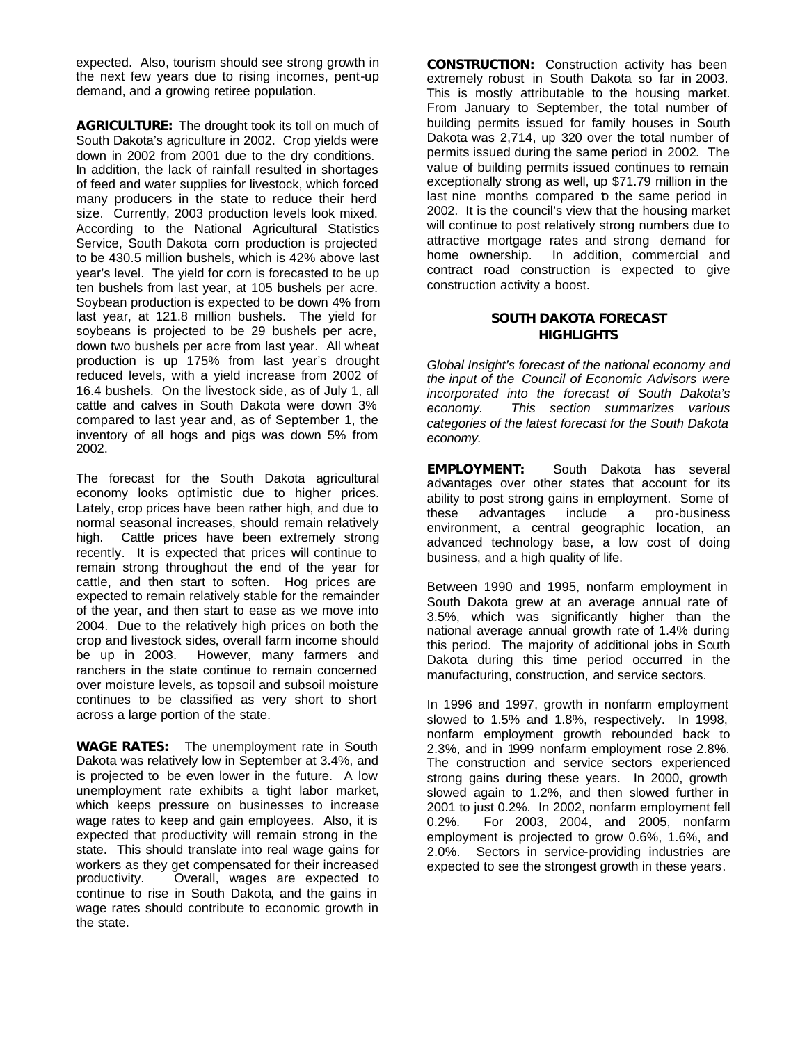expected. Also, tourism should see strong growth in the next few years due to rising incomes, pent-up demand, and a growing retiree population.

*AGRICULTURE:* The drought took its toll on much of South Dakota's agriculture in 2002. Crop yields were down in 2002 from 2001 due to the dry conditions. In addition, the lack of rainfall resulted in shortages of feed and water supplies for livestock, which forced many producers in the state to reduce their herd size. Currently, 2003 production levels look mixed. According to the National Agricultural Statistics Service, South Dakota corn production is projected to be 430.5 million bushels, which is 42% above last year's level. The yield for corn is forecasted to be up ten bushels from last year, at 105 bushels per acre. Soybean production is expected to be down 4% from last year, at 121.8 million bushels. The yield for soybeans is projected to be 29 bushels per acre, down two bushels per acre from last year. All wheat production is up 175% from last year's drought reduced levels, with a yield increase from 2002 of 16.4 bushels. On the livestock side, as of July 1, all cattle and calves in South Dakota were down 3% compared to last year and, as of September 1, the inventory of all hogs and pigs was down 5% from 2002.

The forecast for the South Dakota agricultural economy looks optimistic due to higher prices. Lately, crop prices have been rather high, and due to normal seasonal increases, should remain relatively high. Cattle prices have been extremely strong recently. It is expected that prices will continue to remain strong throughout the end of the year for cattle, and then start to soften. Hog prices are expected to remain relatively stable for the remainder of the year, and then start to ease as we move into 2004. Due to the relatively high prices on both the crop and livestock sides, overall farm income should be up in 2003. However, many farmers and ranchers in the state continue to remain concerned over moisture levels, as topsoil and subsoil moisture continues to be classified as very short to short across a large portion of the state.

*WAGE RATES:* The unemployment rate in South Dakota was relatively low in September at 3.4%, and is projected to be even lower in the future. A low unemployment rate exhibits a tight labor market, which keeps pressure on businesses to increase wage rates to keep and gain employees. Also, it is expected that productivity will remain strong in the state. This should translate into real wage gains for workers as they get compensated for their increased productivity. Overall, wages are expected to continue to rise in South Dakota, and the gains in wage rates should contribute to economic growth in the state.

*CONSTRUCTION:* Construction activity has been extremely robust in South Dakota so far in 2003. This is mostly attributable to the housing market. From January to September, the total number of building permits issued for family houses in South Dakota was 2,714, up 320 over the total number of permits issued during the same period in 2002. The value of building permits issued continues to remain exceptionally strong as well, up \$71.79 million in the last nine months compared to the same period in 2002. It is the council's view that the housing market will continue to post relatively strong numbers due to attractive mortgage rates and strong demand for home ownership. In addition, commercial and contract road construction is expected to give construction activity a boost.

#### *SOUTH DAKOTA FORECAST HIGHLIGHTS*

*Global Insight's forecast of the national economy and the input of the Council of Economic Advisors were incorporated into the forecast of South Dakota's economy. This section summarizes various categories of the latest forecast for the South Dakota economy.*

*EMPLOYMENT:* South Dakota has several advantages over other states that account for its ability to post strong gains in employment. Some of these advantages include a pro-business environment, a central geographic location, an advanced technology base, a low cost of doing business, and a high quality of life.

Between 1990 and 1995, nonfarm employment in South Dakota grew at an average annual rate of 3.5%, which was significantly higher than the national average annual growth rate of 1.4% during this period. The majority of additional jobs in South Dakota during this time period occurred in the manufacturing, construction, and service sectors.

In 1996 and 1997, growth in nonfarm employment slowed to 1.5% and 1.8%, respectively. In 1998, nonfarm employment growth rebounded back to 2.3%, and in 1999 nonfarm employment rose 2.8%. The construction and service sectors experienced strong gains during these years. In 2000, growth slowed again to 1.2%, and then slowed further in 2001 to just 0.2%. In 2002, nonfarm employment fell 0.2%. For 2003, 2004, and 2005, nonfarm employment is projected to grow 0.6%, 1.6%, and 2.0%. Sectors in service-providing industries are expected to see the strongest growth in these years.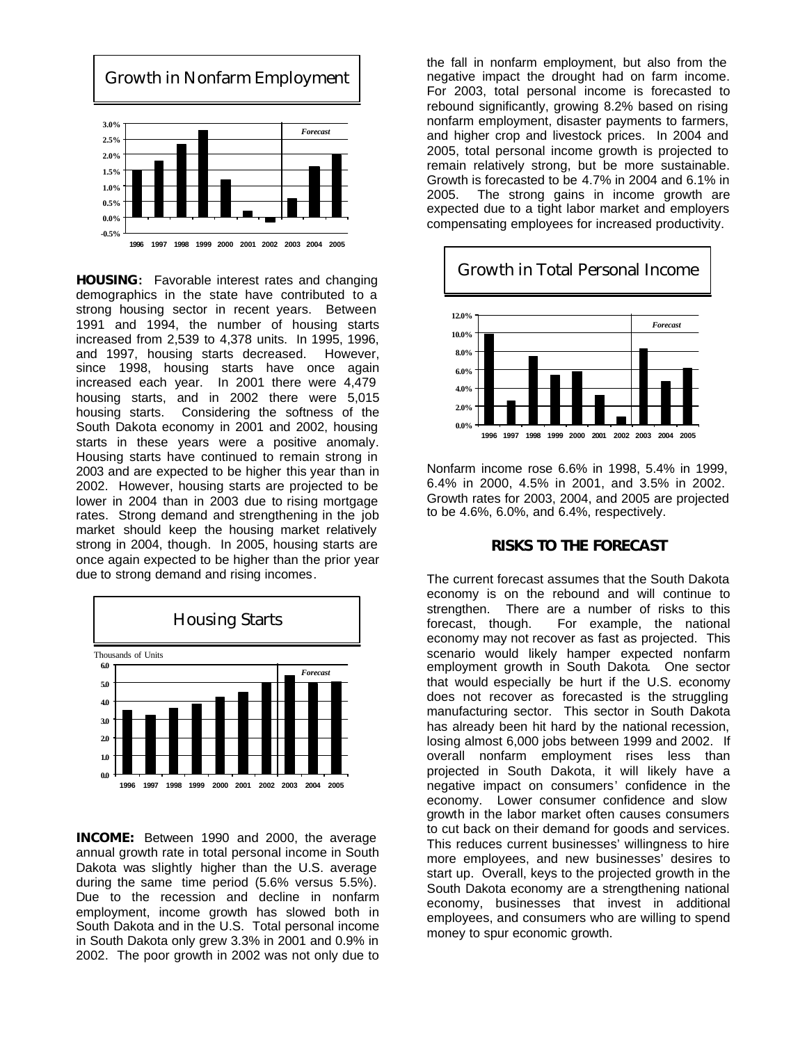

*HOUSING***:** Favorable interest rates and changing demographics in the state have contributed to a strong housing sector in recent years. Between 1991 and 1994, the number of housing starts increased from 2,539 to 4,378 units. In 1995, 1996, and 1997, housing starts decreased. However, since 1998, housing starts have once again increased each year. In 2001 there were 4,479 housing starts, and in 2002 there were 5,015 housing starts. Considering the softness of the South Dakota economy in 2001 and 2002, housing starts in these years were a positive anomaly. Housing starts have continued to remain strong in 2003 and are expected to be higher this year than in 2002. However, housing starts are projected to be lower in 2004 than in 2003 due to rising mortgage rates. Strong demand and strengthening in the job market should keep the housing market relatively strong in 2004, though. In 2005, housing starts are once again expected to be higher than the prior year due to strong demand and rising incomes.



*INCOME:* Between 1990 and 2000, the average annual growth rate in total personal income in South Dakota was slightly higher than the U.S. average during the same time period (5.6% versus 5.5%). Due to the recession and decline in nonfarm employment, income growth has slowed both in South Dakota and in the U.S. Total personal income in South Dakota only grew 3.3% in 2001 and 0.9% in 2002. The poor growth in 2002 was not only due to the fall in nonfarm employment, but also from the negative impact the drought had on farm income. For 2003, total personal income is forecasted to rebound significantly, growing 8.2% based on rising nonfarm employment, disaster payments to farmers, and higher crop and livestock prices. In 2004 and 2005, total personal income growth is projected to remain relatively strong, but be more sustainable. Growth is forecasted to be 4.7% in 2004 and 6.1% in 2005. The strong gains in income growth are expected due to a tight labor market and employers compensating employees for increased productivity.



Nonfarm income rose 6.6% in 1998, 5.4% in 1999, 6.4% in 2000, 4.5% in 2001, and 3.5% in 2002. Growth rates for 2003, 2004, and 2005 are projected to be 4.6%, 6.0%, and 6.4%, respectively.

#### *RISKS TO THE FORECAST*

The current forecast assumes that the South Dakota economy is on the rebound and will continue to strengthen. There are a number of risks to this forecast, though. For example, the national economy may not recover as fast as projected. This scenario would likely hamper expected nonfarm employment growth in South Dakota. One sector that would especially be hurt if the U.S. economy does not recover as forecasted is the struggling manufacturing sector. This sector in South Dakota has already been hit hard by the national recession, losing almost 6,000 jobs between 1999 and 2002. If overall nonfarm employment rises less than projected in South Dakota, it will likely have a negative impact on consumers' confidence in the economy. Lower consumer confidence and slow growth in the labor market often causes consumers to cut back on their demand for goods and services. This reduces current businesses' willingness to hire more employees, and new businesses' desires to start up. Overall, keys to the projected growth in the South Dakota economy are a strengthening national economy, businesses that invest in additional employees, and consumers who are willing to spend money to spur economic growth.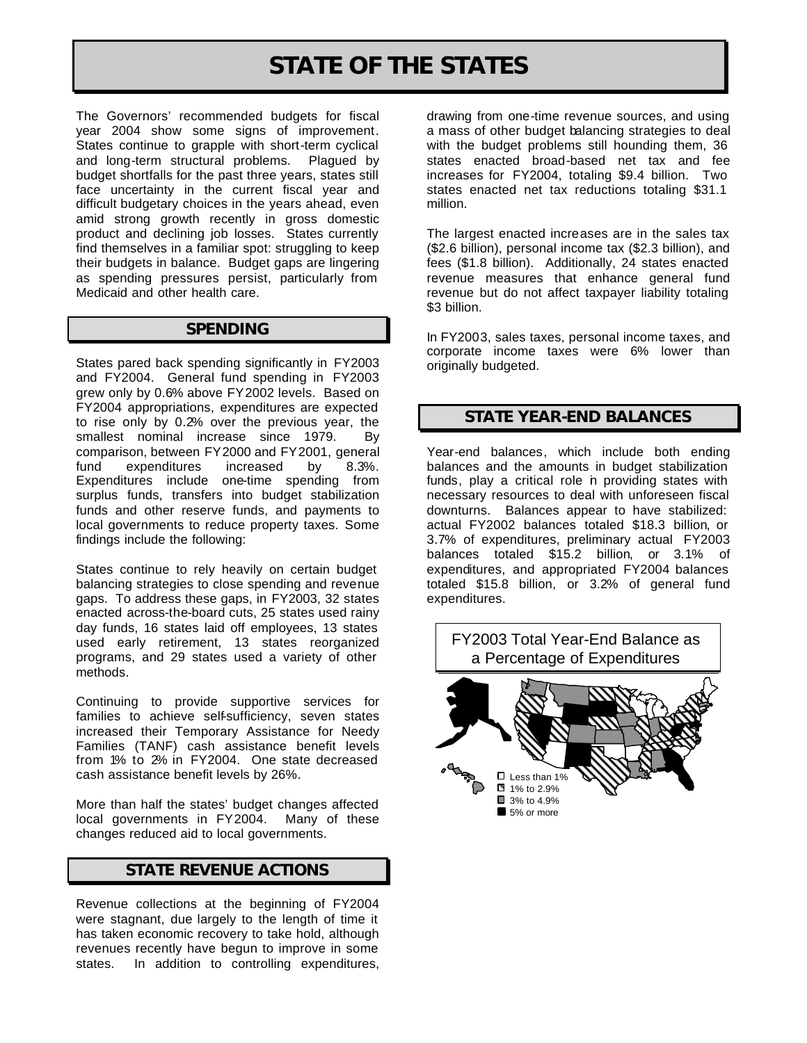# *STATE OF THE STATES*

The Governors' recommended budgets for fiscal year 2004 show some signs of improvement. States continue to grapple with short-term cyclical and long-term structural problems. Plagued by budget shortfalls for the past three years, states still face uncertainty in the current fiscal year and difficult budgetary choices in the years ahead, even amid strong growth recently in gross domestic product and declining job losses. States currently find themselves in a familiar spot: struggling to keep their budgets in balance. Budget gaps are lingering as spending pressures persist, particularly from Medicaid and other health care.

## *SPENDING*

States pared back spending significantly in FY2003 and FY2004. General fund spending in FY2003 grew only by 0.6% above FY2002 levels. Based on FY2004 appropriations, expenditures are expected to rise only by 0.2% over the previous year, the smallest nominal increase since 1979. By comparison, between FY2000 and FY2001, general fund expenditures increased by 8.3%. Expenditures include one-time spending from surplus funds, transfers into budget stabilization funds and other reserve funds, and payments to local governments to reduce property taxes. Some findings include the following:

States continue to rely heavily on certain budget balancing strategies to close spending and revenue gaps. To address these gaps, in FY2003, 32 states enacted across-the-board cuts, 25 states used rainy day funds, 16 states laid off employees, 13 states used early retirement, 13 states reorganized programs, and 29 states used a variety of other methods.

Continuing to provide supportive services for families to achieve self-sufficiency, seven states increased their Temporary Assistance for Needy Families (TANF) cash assistance benefit levels from 1% to 2% in FY2004. One state decreased cash assistance benefit levels by 26%.

More than half the states' budget changes affected local governments in FY2004. Many of these changes reduced aid to local governments.

## *STATE REVENUE ACTIONS*

Revenue collections at the beginning of FY2004 were stagnant, due largely to the length of time it has taken economic recovery to take hold, although revenues recently have begun to improve in some states. In addition to controlling expenditures, drawing from one-time revenue sources, and using a mass of other budget balancing strategies to deal with the budget problems still hounding them, 36 states enacted broad-based net tax and fee increases for FY2004, totaling \$9.4 billion. Two states enacted net tax reductions totaling \$31.1 million.

The largest enacted increases are in the sales tax (\$2.6 billion), personal income tax (\$2.3 billion), and fees (\$1.8 billion). Additionally, 24 states enacted revenue measures that enhance general fund revenue but do not affect taxpayer liability totaling \$3 billion.

In FY2003, sales taxes, personal income taxes, and corporate income taxes were 6% lower than originally budgeted.

## *STATE YEAR-END BALANCES*

Year-end balances, which include both ending balances and the amounts in budget stabilization funds, play a critical role in providing states with necessary resources to deal with unforeseen fiscal downturns. Balances appear to have stabilized: actual FY2002 balances totaled \$18.3 billion, or 3.7% of expenditures, preliminary actual FY2003 balances totaled \$15.2 billion, or 3.1% of expenditures, and appropriated FY2004 balances totaled \$15.8 billion, or 3.2% of general fund expenditures.

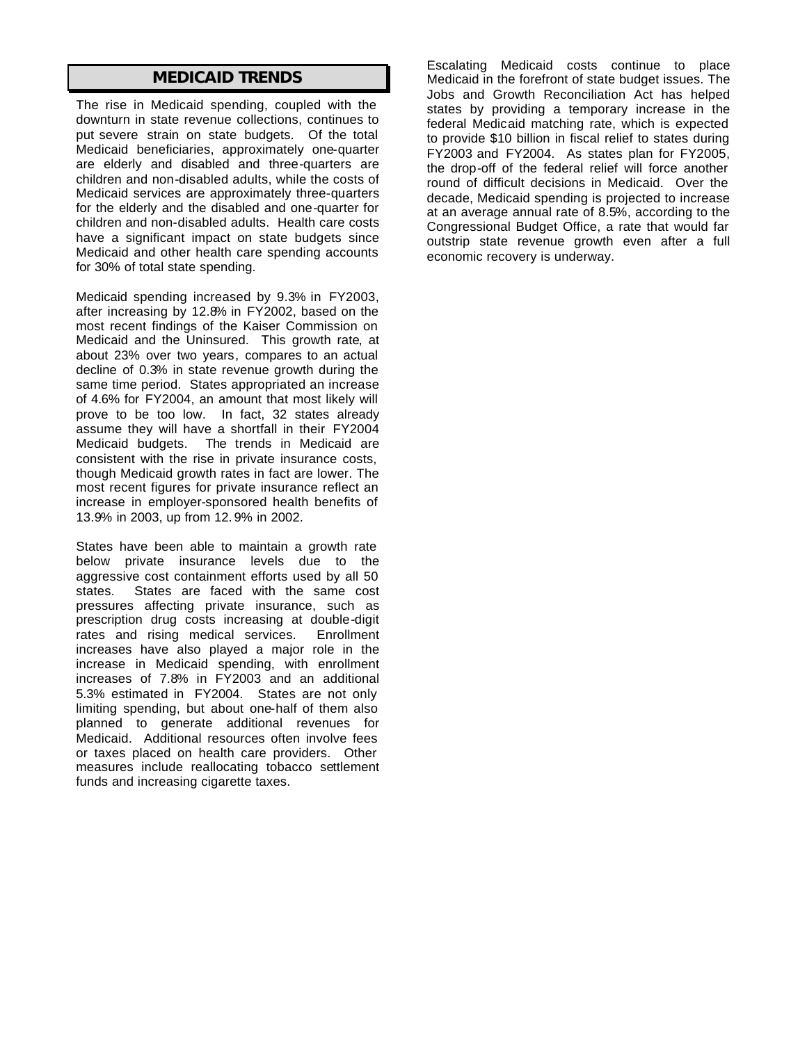# *MEDICAID TRENDS*

The rise in Medicaid spending, coupled with the downturn in state revenue collections, continues to put severe strain on state budgets. Of the total Medicaid beneficiaries, approximately one-quarter are elderly and disabled and three-quarters are children and non-disabled adults, while the costs of Medicaid services are approximately three-quarters for the elderly and the disabled and one-quarter for children and non-disabled adults. Health care costs have a significant impact on state budgets since Medicaid and other health care spending accounts for 30% of total state spending.

Medicaid spending increased by 9.3% in FY2003, after increasing by 12.8% in FY2002, based on the most recent findings of the Kaiser Commission on Medicaid and the Uninsured. This growth rate, at about 23% over two years, compares to an actual decline of 0.3% in state revenue growth during the same time period. States appropriated an increase of 4.6% for FY2004, an amount that most likely will prove to be too low. In fact, 32 states already assume they will have a shortfall in their FY2004 Medicaid budgets. The trends in Medicaid are consistent with the rise in private insurance costs, though Medicaid growth rates in fact are lower. The most recent figures for private insurance reflect an increase in employer-sponsored health benefits of 13.9% in 2003, up from 12. 9% in 2002.

States have been able to maintain a growth rate below private insurance levels due to the aggressive cost containment efforts used by all 50 states. States are faced with the same cost pressures affecting private insurance, such as prescription drug costs increasing at double-digit rates and rising medical services. Enrollment increases have also played a major role in the increase in Medicaid spending, with enrollment increases of 7.8% in FY2003 and an additional 5.3% estimated in FY2004. States are not only limiting spending, but about one-half of them also planned to generate additional revenues for Medicaid. Additional resources often involve fees or taxes placed on health care providers. Other measures include reallocating tobacco settlement funds and increasing cigarette taxes.

Escalating Medicaid costs continue to place Medicaid in the forefront of state budget issues. The Jobs and Growth Reconciliation Act has helped states by providing a temporary increase in the federal Medicaid matching rate, which is expected to provide \$10 billion in fiscal relief to states during FY2003 and FY2004. As states plan for FY2005, the drop-off of the federal relief will force another round of difficult decisions in Medicaid. Over the decade, Medicaid spending is projected to increase at an average annual rate of 8.5%, according to the Congressional Budget Office, a rate that would far outstrip state revenue growth even after a full economic recovery is underway.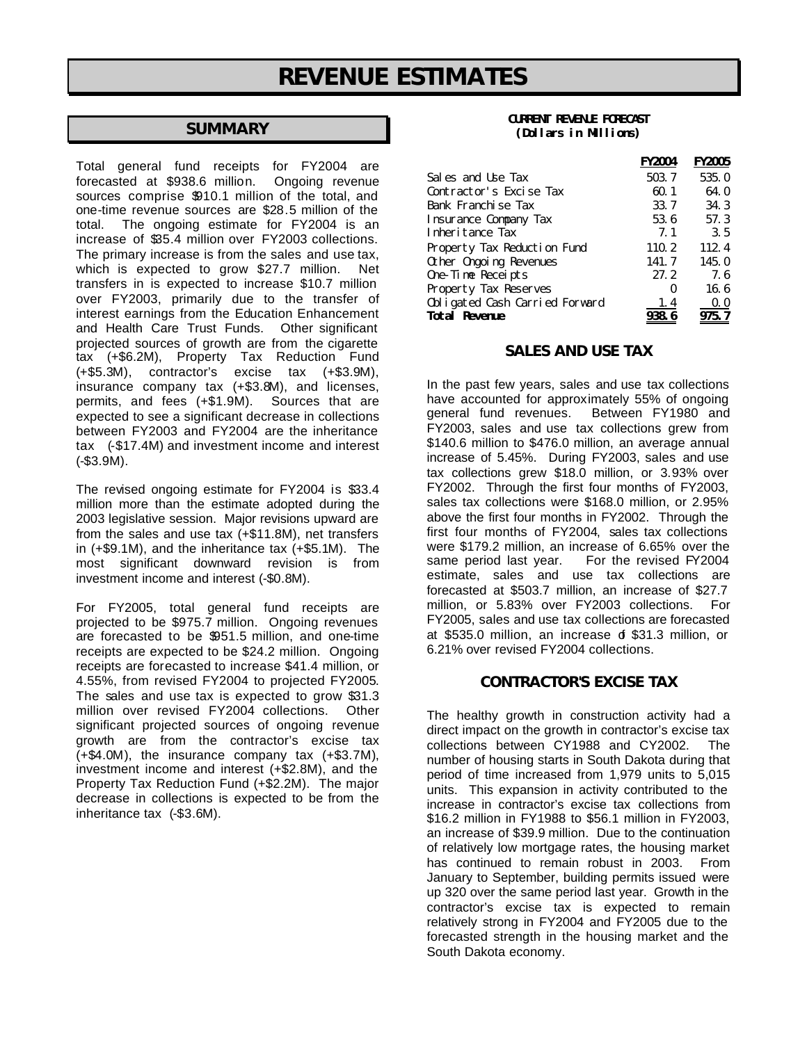# *REVENUE ESTIMATES*

# *SUMMARY*

Total general fund receipts for FY2004 are forecasted at \$938.6 million. Ongoing revenue sources comprise \$910.1 million of the total, and one-time revenue sources are \$28.5 million of the total. The ongoing estimate for FY2004 is an increase of \$35.4 million over FY2003 collections. The primary increase is from the sales and use tax, which is expected to grow \$27.7 million. Net transfers in is expected to increase \$10.7 million over FY2003, primarily due to the transfer of interest earnings from the Education Enhancement and Health Care Trust Funds. Other significant projected sources of growth are from the cigarette tax (+\$6.2M), Property Tax Reduction Fund (+\$5.3M), contractor's excise tax (+\$3.9M), insurance company tax (+\$3.8M), and licenses, permits, and fees (+\$1.9M). Sources that are expected to see a significant decrease in collections between FY2003 and FY2004 are the inheritance tax (-\$17.4M) and investment income and interest (-\$3.9M).

The revised ongoing estimate for FY2004 is \$33.4 million more than the estimate adopted during the 2003 legislative session. Major revisions upward are from the sales and use tax (+\$11.8M), net transfers in (+\$9.1M), and the inheritance tax (+\$5.1M). The most significant downward revision is from investment income and interest (-\$0.8M).

For FY2005, total general fund receipts are projected to be \$975.7 million. Ongoing revenues are forecasted to be \$951.5 million, and one-time receipts are expected to be \$24.2 million. Ongoing receipts are forecasted to increase \$41.4 million, or 4.55%, from revised FY2004 to projected FY2005. The sales and use tax is expected to grow \$31.3 million over revised FY2004 collections. Other significant projected sources of ongoing revenue growth are from the contractor's excise tax (+\$4.0M), the insurance company tax (+\$3.7M), investment income and interest (+\$2.8M), and the Property Tax Reduction Fund (+\$2.2M). The major decrease in collections is expected to be from the inheritance tax (-\$3.6M).

#### **CURRENT REVENUE FORECAST (Dollars in Millions)**

|                                | <b>FY2004</b> | <b>FY2005</b> |
|--------------------------------|---------------|---------------|
| Sales and Use Tax              | 503.7         | 535.0         |
| Contractor's Excise Tax        | 60.1          | 64.0          |
| Bank Franchise Tax             | 33.7          | 34.3          |
| <b>Insurance Company Tax</b>   | 53.6          | 57.3          |
| Inheritance Tax                | 7.1           | 3.5           |
| Property Tax Reduction Fund    | 110.2         | 112.4         |
| Other Ongoing Revenues         | 141.7         | 145.0         |
| One-Time Receipts              | 27.2          | 7.6           |
| Property Tax Reserves          | 0             | 16.6          |
| Obligated Cash Carried Forward | 1.4           | 0.0           |
| <b>Total Revenue</b>           |               | 975. 7        |

#### *SALES AND USE TAX*

In the past few years, sales and use tax collections have accounted for approximately 55% of ongoing general fund revenues. Between FY1980 and FY2003, sales and use tax collections grew from \$140.6 million to \$476.0 million, an average annual increase of 5.45%. During FY2003, sales and use tax collections grew \$18.0 million, or 3.93% over FY2002. Through the first four months of FY2003, sales tax collections were \$168.0 million, or 2.95% above the first four months in FY2002. Through the first four months of FY2004, sales tax collections were \$179.2 million, an increase of 6.65% over the same period last year. For the revised FY2004 estimate, sales and use tax collections are forecasted at \$503.7 million, an increase of \$27.7 million, or 5.83% over FY2003 collections. For FY2005, sales and use tax collections are forecasted at \$535.0 million, an increase of \$31.3 million, or 6.21% over revised FY2004 collections.

## *CONTRACTOR'S EXCISE TAX*

The healthy growth in construction activity had a direct impact on the growth in contractor's excise tax collections between CY1988 and CY2002. The number of housing starts in South Dakota during that period of time increased from 1,979 units to 5,015 units. This expansion in activity contributed to the increase in contractor's excise tax collections from \$16.2 million in FY1988 to \$56.1 million in FY2003, an increase of \$39.9 million. Due to the continuation of relatively low mortgage rates, the housing market has continued to remain robust in 2003. From January to September, building permits issued were up 320 over the same period last year. Growth in the contractor's excise tax is expected to remain relatively strong in FY2004 and FY2005 due to the forecasted strength in the housing market and the South Dakota economy.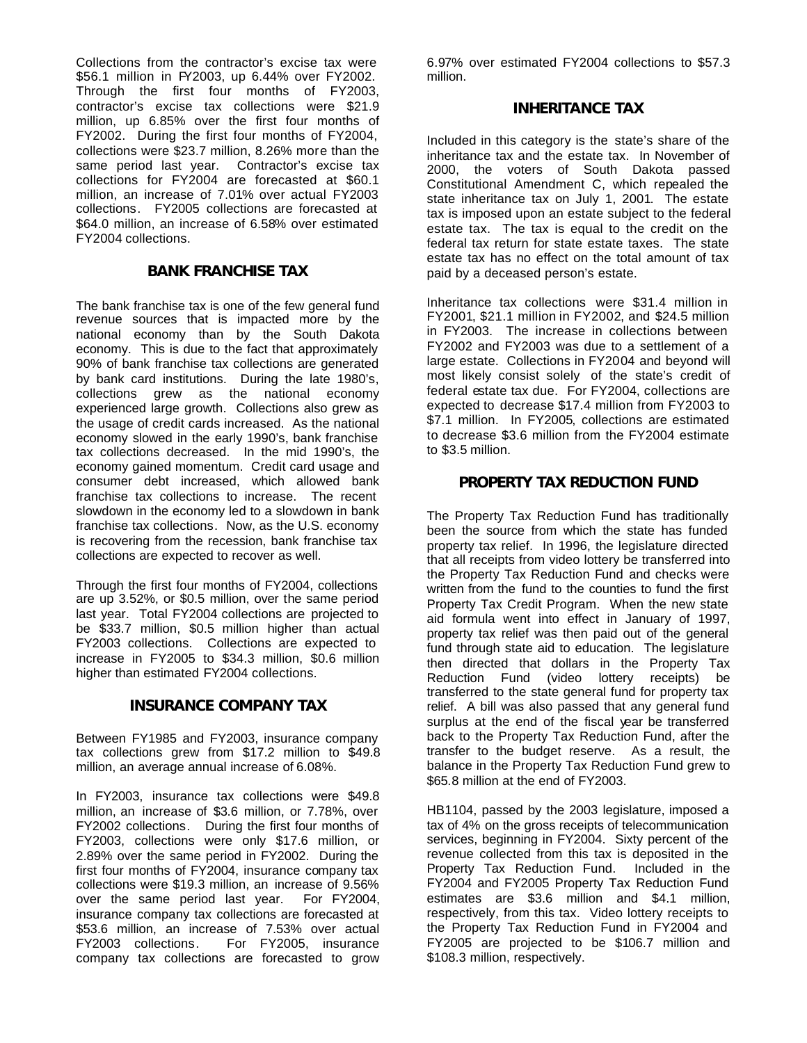Collections from the contractor's excise tax were \$56.1 million in FY2003, up 6.44% over FY2002. Through the first four months of FY2003, contractor's excise tax collections were \$21.9 million, up 6.85% over the first four months of FY2002. During the first four months of FY2004, collections were \$23.7 million, 8.26% more than the same period last year. Contractor's excise tax collections for FY2004 are forecasted at \$60.1 million, an increase of 7.01% over actual FY2003 collections. FY2005 collections are forecasted at \$64.0 million, an increase of 6.58% over estimated FY2004 collections.

### *BANK FRANCHISE TAX*

The bank franchise tax is one of the few general fund revenue sources that is impacted more by the national economy than by the South Dakota economy. This is due to the fact that approximately 90% of bank franchise tax collections are generated by bank card institutions. During the late 1980's, collections grew as the national economy experienced large growth. Collections also grew as the usage of credit cards increased. As the national economy slowed in the early 1990's, bank franchise tax collections decreased. In the mid 1990's, the economy gained momentum. Credit card usage and consumer debt increased, which allowed bank franchise tax collections to increase. The recent slowdown in the economy led to a slowdown in bank franchise tax collections. Now, as the U.S. economy is recovering from the recession, bank franchise tax collections are expected to recover as well.

Through the first four months of FY2004, collections are up 3.52%, or \$0.5 million, over the same period last year. Total FY2004 collections are projected to be \$33.7 million, \$0.5 million higher than actual FY2003 collections. Collections are expected to increase in FY2005 to \$34.3 million, \$0.6 million higher than estimated FY2004 collections.

#### *INSURANCE COMPANY TAX*

Between FY1985 and FY2003, insurance company tax collections grew from \$17.2 million to \$49.8 million, an average annual increase of 6.08%.

In FY2003, insurance tax collections were \$49.8 million, an increase of \$3.6 million, or 7.78%, over FY2002 collections. During the first four months of FY2003, collections were only \$17.6 million, or 2.89% over the same period in FY2002. During the first four months of FY2004, insurance company tax collections were \$19.3 million, an increase of 9.56% over the same period last year. For FY2004, insurance company tax collections are forecasted at \$53.6 million, an increase of 7.53% over actual FY2003 collections. For FY2005, insurance company tax collections are forecasted to grow

6.97% over estimated FY2004 collections to \$57.3 million.

### *INHERITANCE TAX*

Included in this category is the state's share of the inheritance tax and the estate tax. In November of 2000, the voters of South Dakota passed Constitutional Amendment C, which repealed the state inheritance tax on July 1, 2001. The estate tax is imposed upon an estate subject to the federal estate tax. The tax is equal to the credit on the federal tax return for state estate taxes. The state estate tax has no effect on the total amount of tax paid by a deceased person's estate.

Inheritance tax collections were \$31.4 million in FY2001, \$21.1 million in FY2002, and \$24.5 million in FY2003. The increase in collections between FY2002 and FY2003 was due to a settlement of a large estate. Collections in FY2004 and beyond will most likely consist solely of the state's credit of federal estate tax due. For FY2004, collections are expected to decrease \$17.4 million from FY2003 to \$7.1 million. In FY2005, collections are estimated to decrease \$3.6 million from the FY2004 estimate to \$3.5 million.

#### *PROPERTY TAX REDUCTION FUND*

The Property Tax Reduction Fund has traditionally been the source from which the state has funded property tax relief. In 1996, the legislature directed that all receipts from video lottery be transferred into the Property Tax Reduction Fund and checks were written from the fund to the counties to fund the first Property Tax Credit Program. When the new state aid formula went into effect in January of 1997, property tax relief was then paid out of the general fund through state aid to education. The legislature then directed that dollars in the Property Tax Reduction Fund (video lottery receipts) be transferred to the state general fund for property tax relief. A bill was also passed that any general fund surplus at the end of the fiscal year be transferred back to the Property Tax Reduction Fund, after the transfer to the budget reserve. As a result, the balance in the Property Tax Reduction Fund grew to \$65.8 million at the end of FY2003.

HB1104, passed by the 2003 legislature, imposed a tax of 4% on the gross receipts of telecommunication services, beginning in FY2004. Sixty percent of the revenue collected from this tax is deposited in the Property Tax Reduction Fund. Included in the FY2004 and FY2005 Property Tax Reduction Fund estimates are \$3.6 million and \$4.1 million, respectively, from this tax. Video lottery receipts to the Property Tax Reduction Fund in FY2004 and FY2005 are projected to be \$106.7 million and \$108.3 million, respectively.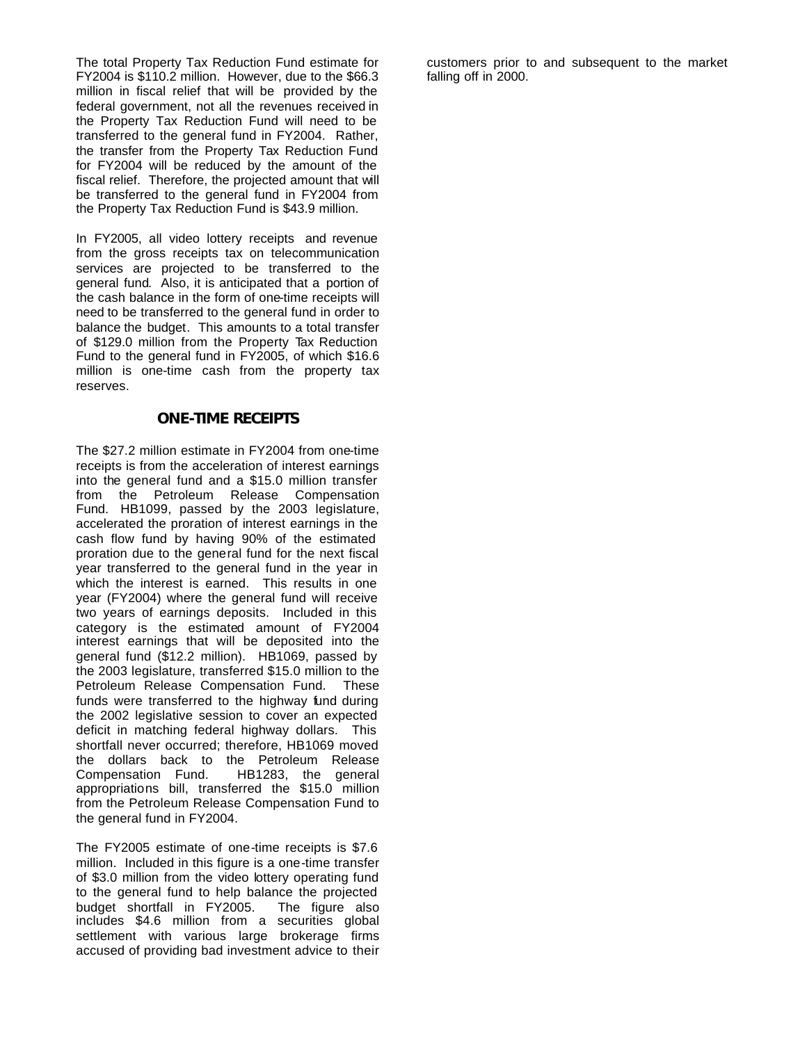The total Property Tax Reduction Fund estimate for FY2004 is \$110.2 million. However, due to the \$66.3 million in fiscal relief that will be provided by the federal government, not all the revenues received in the Property Tax Reduction Fund will need to be transferred to the general fund in FY2004. Rather, the transfer from the Property Tax Reduction Fund for FY2004 will be reduced by the amount of the fiscal relief. Therefore, the projected amount that will be transferred to the general fund in FY2004 from the Property Tax Reduction Fund is \$43.9 million.

In FY2005, all video lottery receipts and revenue from the gross receipts tax on telecommunication services are projected to be transferred to the general fund. Also, it is anticipated that a portion of the cash balance in the form of one-time receipts will need to be transferred to the general fund in order to balance the budget. This amounts to a total transfer of \$129.0 million from the Property Tax Reduction Fund to the general fund in FY2005, of which \$16.6 million is one-time cash from the property tax reserves.

### *ONE-TIME RECEIPTS*

The \$27.2 million estimate in FY2004 from one-time receipts is from the acceleration of interest earnings into the general fund and a \$15.0 million transfer from the Petroleum Release Compensation Fund. HB1099, passed by the 2003 legislature, accelerated the proration of interest earnings in the cash flow fund by having 90% of the estimated proration due to the general fund for the next fiscal year transferred to the general fund in the year in which the interest is earned. This results in one year (FY2004) where the general fund will receive two years of earnings deposits. Included in this category is the estimated amount of FY2004 interest earnings that will be deposited into the general fund (\$12.2 million). HB1069, passed by the 2003 legislature, transferred \$15.0 million to the Petroleum Release Compensation Fund. These funds were transferred to the highway fund during the 2002 legislative session to cover an expected deficit in matching federal highway dollars. This shortfall never occurred; therefore, HB1069 moved the dollars back to the Petroleum Release Compensation Fund. HB1283, the general appropriations bill, transferred the \$15.0 million from the Petroleum Release Compensation Fund to the general fund in FY2004.

The FY2005 estimate of one-time receipts is \$7.6 million. Included in this figure is a one-time transfer of \$3.0 million from the video lottery operating fund to the general fund to help balance the projected budget shortfall in FY2005. The figure also includes \$4.6 million from a securities global settlement with various large brokerage firms accused of providing bad investment advice to their customers prior to and subsequent to the market falling off in 2000.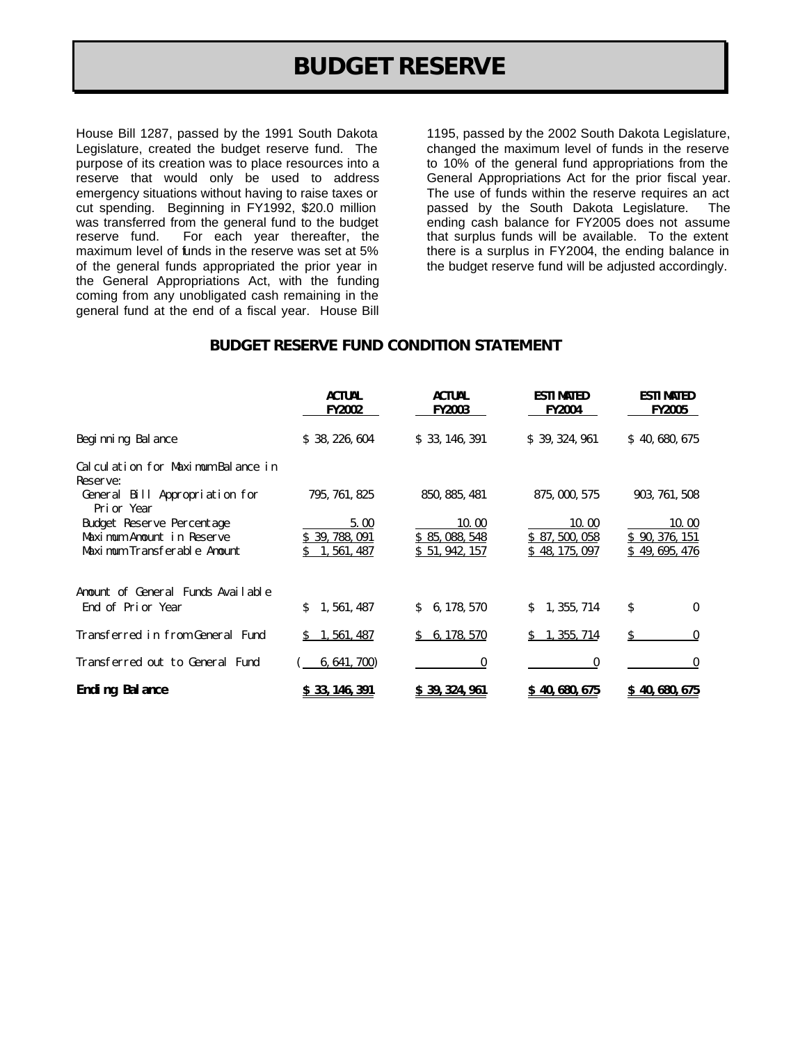# *BUDGET RESERVE*

House Bill 1287, passed by the 1991 South Dakota Legislature, created the budget reserve fund. The purpose of its creation was to place resources into a reserve that would only be used to address emergency situations without having to raise taxes or cut spending. Beginning in FY1992, \$20.0 million was transferred from the general fund to the budget reserve fund. For each year thereafter, the maximum level of funds in the reserve was set at 5% of the general funds appropriated the prior year in the General Appropriations Act, with the funding coming from any unobligated cash remaining in the general fund at the end of a fiscal year. House Bill

1195, passed by the 2002 South Dakota Legislature, changed the maximum level of funds in the reserve to 10% of the general fund appropriations from the General Appropriations Act for the prior fiscal year. The use of funds within the reserve requires an act passed by the South Dakota Legislature. The ending cash balance for FY2005 does not assume that surplus funds will be available. To the extent there is a surplus in FY2004, the ending balance in the budget reserve fund will be adjusted accordingly.

#### *BUDGET RESERVE FUND CONDITION STATEMENT*

|                                                | <b>ACTUAL</b><br><b>FY2002</b> | <b>ACTUAL</b><br><b>FY2003</b> | ESTIMTED<br><b>FY2004</b> | <b>ESTIMTED</b><br><b>FY2005</b> |
|------------------------------------------------|--------------------------------|--------------------------------|---------------------------|----------------------------------|
| Beginning Balance                              | \$38, 226, 604                 | \$33, 146, 391                 | \$39,324,961              | \$40,680,675                     |
| Calculation for Maximum Balance in<br>Reserve: |                                |                                |                           |                                  |
| General Bill Appropriation for<br>Prior Year   | 795, 761, 825                  | 850, 885, 481                  | 875, 000, 575             | 903, 761, 508                    |
| <b>Budget Reserve Percentage</b>               | 5.00                           | 10.00                          | 10.00                     | 10.00                            |
| Maximum Amount in Reserve                      | 39, 788, 091                   | \$85,088,548                   | \$87,500,058              | \$90, 376, 151                   |
| Maximum Transferable Amount                    | 1, 561, 487                    | \$51, 942, 157                 | \$48,175,097              | \$49,695,476                     |
| Amount of General Funds Available              |                                |                                |                           |                                  |
| End of Prior Year                              | S.<br>1, 561, 487              | \$6, 178, 570                  | 1, 355, 714<br>S.         | Ŝ<br>$\bf{0}$                    |
| Transferred in from General Fund               | 1, 561, 487                    | 6, 178, 570                    | 1, 355, 714               | S<br>$\bf{0}$                    |
| Transferred out to General Fund                | 6, 641, 700)                   | 0                              | 0                         | $\bf{0}$                         |
| <b>Ending Balance</b>                          | 33, 146, 391                   | 39, 324, 961                   | \$40,680,675              | \$40,680,675                     |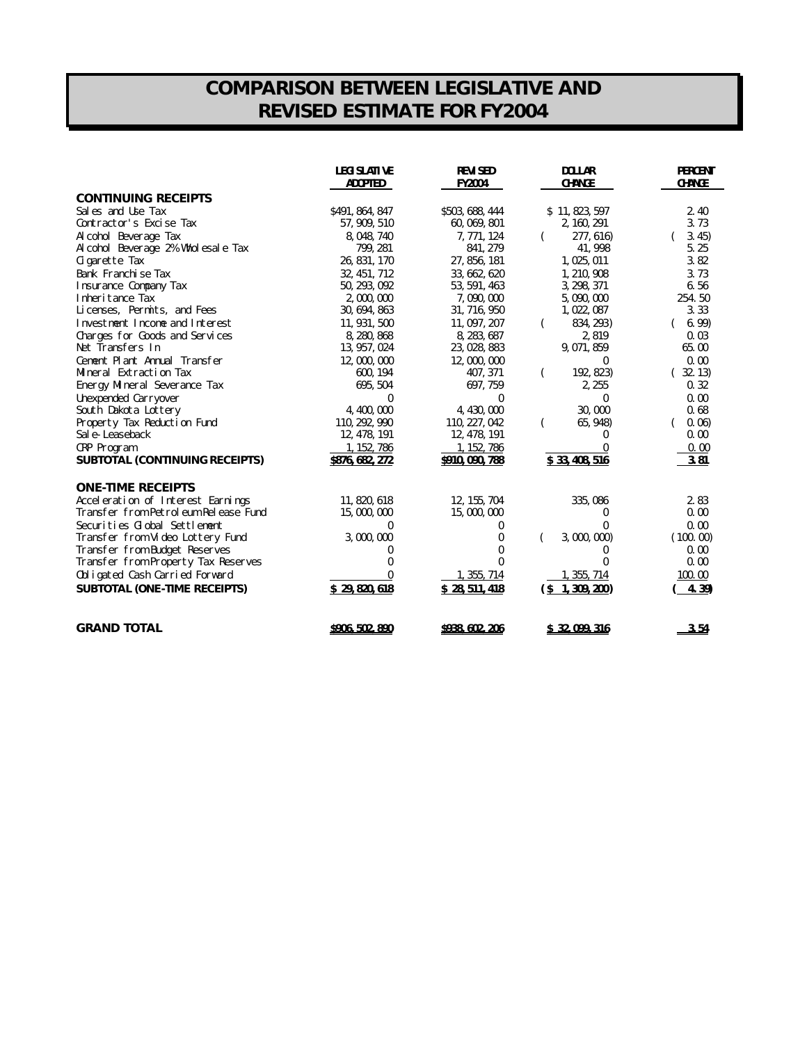# *COMPARISON BETWEEN LEGISLATIVE AND REVISED ESTIMATE FOR FY2004*

|                                       | <b>LEGISLATIVE</b><br><b>ADOPTED</b> | <b>REVISED</b><br><b>FY2004</b> | <b>DOLLAR</b><br><b>CHANGE</b> | <b>PERCENT</b><br><b>CHANGE</b> |
|---------------------------------------|--------------------------------------|---------------------------------|--------------------------------|---------------------------------|
| <b>CONTINUING RECEIPTS</b>            |                                      |                                 |                                |                                 |
| Sales and Use Tax                     | \$491, 864, 847                      | \$503, 688, 444                 | \$11,823,597                   | 2.40                            |
| Contractor's Excise Tax               | 57, 909, 510                         | 60, 069, 801                    | 2, 160, 291                    | 3.73                            |
| Al cohol Beverage Tax                 | 8, 048, 740                          | 7,771,124                       | 277, 616)<br>€                 | 3.45)                           |
| Alcohol Beverage 2% Wholesale Tax     | 799, 281                             | 841, 279                        | 41, 998                        | 5.25                            |
| Cigarette Tax                         | 26, 831, 170                         | 27, 856, 181                    | 1, 025, 011                    | 3.82                            |
| Bank Franchise Tax                    | 32, 451, 712                         | 33, 662, 620                    | 1, 210, 908                    | 3.73                            |
| <b>Insurance Company Tax</b>          | 50, 293, 092                         | 53, 591, 463                    | 3, 298, 371                    | 6.56                            |
| Inheritance Tax                       | 2,000,000                            | 7,090,000                       | 5,090,000                      | 254.50                          |
| Licenses, Permits, and Fees           | 30, 694, 863                         | 31, 716, 950                    | 1,022,087                      | 3.33                            |
| Investment Income and Interest        | 11, 931, 500                         | 11, 097, 207                    | 834, 293)<br>€                 | (6.99)                          |
| Charges for Goods and Services        | 8, 280, 868                          | 8, 283, 687                     | 2,819                          | 0.03                            |
| Net Transfers In                      | 13, 957, 024                         | 23, 028, 883                    | 9, 071, 859                    | 65.00                           |
| Cement Plant Annual Transfer          | 12,000,000                           | 12,000,000                      | $\bf{0}$                       | 0.00                            |
| Mineral Extraction Tax                | 600, 194                             | 407, 371                        | 192, 823)<br>€                 | (32.13)                         |
| Energy Mineral Severance Tax          | 695, 504                             | 697, 759                        | 2, 255                         | 0.32                            |
| Unexpended Carryover                  | 0                                    | 0                               | $\mathbf{0}$                   | 0.00                            |
| South Dakota Lottery                  | 4, 400, 000                          | 4, 430, 000                     | 30,000                         | 0.68                            |
| Property Tax Reduction Fund           | 110, 292, 990                        | 110, 227, 042                   | 65, 948)<br>€                  | 0.06)                           |
| Sal e-Leaseback                       | 12, 478, 191                         | 12, 478, 191                    | $_{0}$                         | 0.00                            |
| <b>CRP</b> Program                    | 1, 152, 786                          | 1, 152, 786                     |                                | 0.00                            |
| <b>SUBTOTAL (CONTINUING RECEIPTS)</b> | \$876, 682, 272                      | \$910, 090, 788                 | \$33,408,516                   | 3.81                            |
| <b>ONE-TIME RECEIPTS</b>              |                                      |                                 |                                |                                 |
| Acceleration of Interest Earnings     | 11, 820, 618                         | 12, 155, 704                    | 335,086                        | 2.83                            |
| Transfer from Petroleum Release Fund  | 15,000,000                           | 15,000,000                      | 0                              | 0.00                            |
| Securities Global Settlement          | 0                                    | 0                               | 0                              | 0.00                            |
| Transfer from Video Lottery Fund      | 3,000,000                            | 0                               | 3,000,000)<br>(                | (100.00)                        |
| Transfer from Budget Reserves         | 0                                    | 0                               | 0                              | 0.00                            |
| Transfer from Property Tax Reserves   | 0                                    | $\mathbf{0}$                    | $\bf{0}$                       | 0.00                            |
| Obligated Cash Carried Forward        | 0                                    | 1, 355, 714                     | 1, 355, 714                    | 100.00                          |
| <b>SUBTOTAL (ONE-TIME RECEIPTS)</b>   | \$29,820,618                         | \$28,511,418                    | $($ \$ 1,309,200)              | 4.39                            |
| <b>GRAND TOTAL</b>                    | <b>S906, 502, 890</b>                | <b>\$938, 602, 206</b>          | S 32, 099, 316                 | 3.54                            |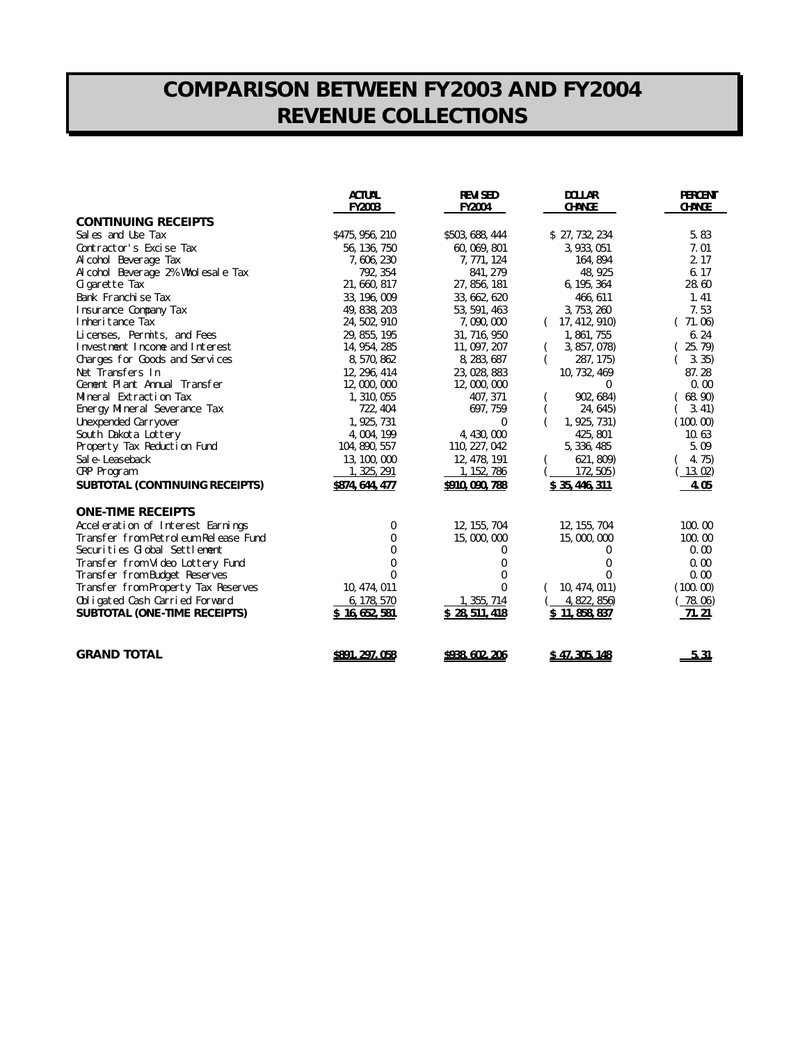# *COMPARISON BETWEEN FY2003 AND FY2004 REVENUE COLLECTIONS*

|                                       | <b>ACTUAL</b><br><b>FY2003</b> | <b>REVISED</b><br><b>FY2004</b> | <b>DOLLAR</b><br><b>CHANGE</b> | <b>PERCENT</b><br><b>CHANGE</b> |
|---------------------------------------|--------------------------------|---------------------------------|--------------------------------|---------------------------------|
| <b>CONTINUING RECEIPTS</b>            |                                |                                 |                                |                                 |
| Sales and Use Tax                     | \$475, 956, 210                | \$503, 688, 444                 | \$27,732,234                   | 5.83                            |
| Contractor's Excise Tax               | 56, 136, 750                   | 60, 069, 801                    | 3, 933, 051                    | 7.01                            |
| Alcohol Beverage Tax                  | 7,606,230                      | 7,771,124                       | 164, 894                       | 2.17                            |
| Alcohol Beverage 2% Wholesale Tax     | 792, 354                       | 841, 279                        | 48, 925                        | 6.17                            |
| Cigarette Tax                         | 21, 660, 817                   | 27, 856, 181                    | 6, 195, 364                    | 28.60                           |
| Bank Franchise Tax                    | 33, 196, 009                   | 33, 662, 620                    | 466, 611                       | 1.41                            |
| <b>Insurance Company Tax</b>          | 49, 838, 203                   | 53, 591, 463                    | 3, 753, 260                    | 7.53                            |
| Inheritance Tax                       | 24, 502, 910                   | 7,090,000                       | (17, 412, 910)                 | (71.06)                         |
| Licenses, Permits, and Fees           | 29, 855, 195                   | 31, 716, 950                    | 1, 861, 755                    | 6.24                            |
| Investment Income and Interest        | 14, 954, 285                   | 11, 097, 207                    | 3, 857, 078)                   | (25.79)                         |
| Charges for Goods and Services        | 8, 570, 862                    | 8, 283, 687                     | 287, 175)                      | 3.35)                           |
| Net Transfers In                      | 12, 296, 414                   | 23, 028, 883                    | 10, 732, 469                   | 87.28                           |
| Cement Plant Annual Transfer          | 12,000,000                     | 12, 000, 000                    | 0                              | 0.00                            |
| Mineral Extraction Tax                | 1, 310, 055                    | 407, 371                        | 902, 684)                      | (68.90)                         |
| Energy Mineral Severance Tax          | 722, 404                       | 697, 759                        | 24, 645)                       | (3.41)                          |
| <b>Unexpended Carryover</b>           | 1, 925, 731                    | $\mathbf{0}$                    | 1, 925, 731)                   | (100.00)                        |
| South Dakota Lottery                  | 4, 004, 199                    | 4, 430, 000                     | 425, 801                       | 10.63                           |
| Property Tax Reduction Fund           | 104, 890, 557                  | 110, 227, 042                   | 5, 336, 485                    | 5.09                            |
| Sal e-Leaseback                       | 13, 100, 000                   | 12, 478, 191                    | 621, 809)                      | 4.75)                           |
| <b>CRP</b> Program                    | 1, 325, 291                    | 1, 152, 786                     | 172, 505                       | (13.02)                         |
| <b>SUBTOTAL (CONTINUING RECEIPTS)</b> | \$874, 644, 477                | \$910, 090, 788                 | \$35,446,311                   | 4.05                            |
| <b>ONE-TIME RECEIPTS</b>              |                                |                                 |                                |                                 |
| Acceleration of Interest Earnings     | $\bf{0}$                       | 12, 155, 704                    | 12, 155, 704                   | 100.00                          |
| Transfer from Petroleum Release Fund  | $\bf{0}$                       | 15,000,000                      | 15,000,000                     | 100.00                          |
| Securities Global Settlement          | $\bf{0}$                       | 0                               | 0                              | 0.00                            |
| Transfer from Video Lottery Fund      | $\bf{0}$                       | 0                               | 0                              | 0.00                            |
| Transfer from Budget Reserves         | $\bf{0}$                       | 0                               | 0                              | 0.00                            |
| Transfer from Property Tax Reserves   | 10, 474, 011                   | $\bf{0}$                        | 10, 474, 011)                  | (100.00)                        |
| Obligated Cash Carried Forward        | 6, 178, 570                    | 1, 355, 714                     | 4, 822, 856)                   | (78.06)                         |
| <b>SUBTOTAL (ONE-TIME RECEIPTS)</b>   | \$16,652,581                   | \$28,511,418                    | \$11,858,837                   | 71.21                           |
| <b>GRAND TOTAL</b>                    | S891, 297, 058                 | \$938, 602, 206                 | S 47, 305, 148                 | 5.31                            |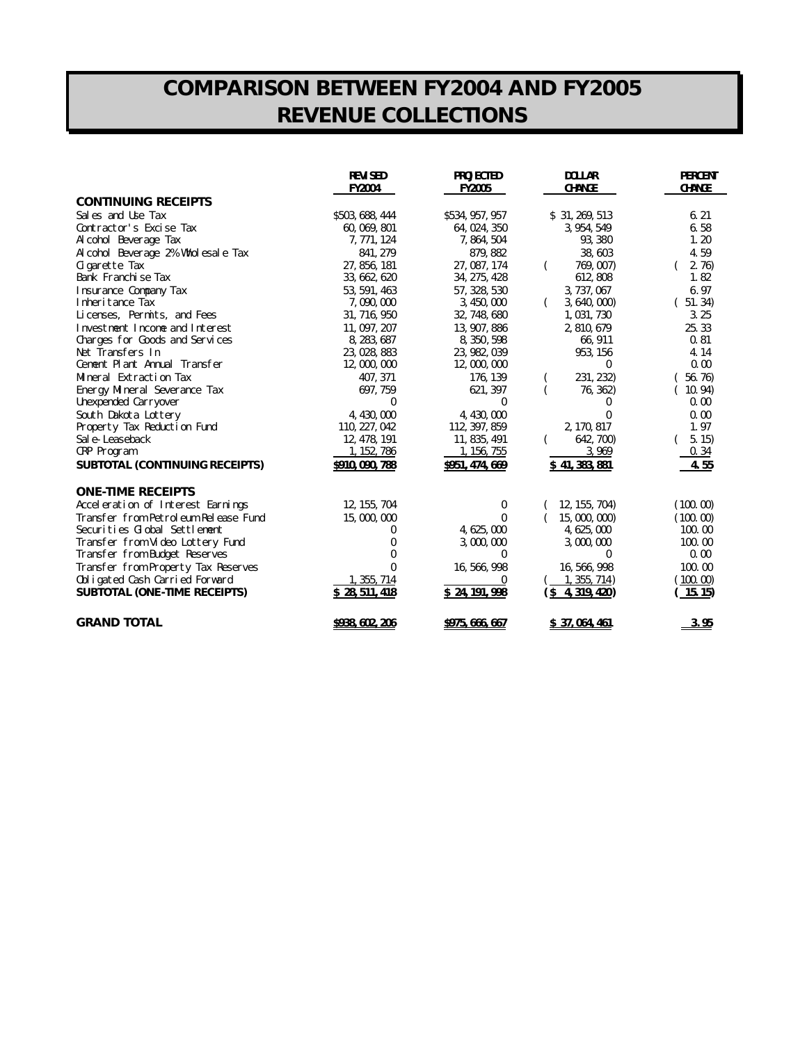# *COMPARISON BETWEEN FY2004 AND FY2005 REVENUE COLLECTIONS*

|                                       | <b>REVISED</b><br><b>FY2004</b> | <b>PROJECTED</b><br><b>FY2005</b> | <b>DOLLAR</b><br><b>CHANGE</b> | <b>PERCENT</b><br><b>CHANGE</b> |
|---------------------------------------|---------------------------------|-----------------------------------|--------------------------------|---------------------------------|
| <b>CONTINUING RECEIPTS</b>            |                                 |                                   |                                |                                 |
| Sales and Use Tax                     | \$503, 688, 444                 | \$534, 957, 957                   | \$31, 269, 513                 | 6.21                            |
| Contractor's Excise Tax               | 60, 069, 801                    | 64, 024, 350                      | 3, 954, 549                    | 6.58                            |
| Alcohol Beverage Tax                  | 7,771,124                       | 7, 864, 504                       | 93, 380                        | 1.20                            |
| Alcohol Beverage 2% Wholesale Tax     | 841, 279                        | 879, 882                          | 38,603                         | 4.59                            |
| Cigarette Tax                         | 27, 856, 181                    | 27, 087, 174                      | 769, 007)<br>€                 | 2.76)                           |
| <b>Bank Franchise Tax</b>             | 33, 662, 620                    | 34, 275, 428                      | 612, 808                       | 1.82                            |
| <b>Insurance Company Tax</b>          | 53, 591, 463                    | 57, 328, 530                      | 3, 737, 067                    | 6.97                            |
| Inheritance Tax                       | 7,090,000                       | 3, 450, 000                       | 3,640,000                      | (51.34)                         |
| Licenses, Permits, and Fees           | 31, 716, 950                    | 32, 748, 680                      | 1, 031, 730                    | 3.25                            |
| Investment Income and Interest        | 11, 097, 207                    | 13, 907, 886                      | 2, 810, 679                    | 25.33                           |
| Charges for Goods and Services        | 8, 283, 687                     | 8, 350, 598                       | 66, 911                        | 0.81                            |
| Net Transfers In                      | 23, 028, 883                    | 23, 982, 039                      | 953, 156                       | 4.14                            |
| Cement Plant Annual Transfer          | 12, 000, 000                    | 12, 000, 000                      | $\bf{0}$                       | 0.00                            |
| Mineral Extraction Tax                | 407, 371                        | 176, 139                          | 231, 232)                      | (56.76)                         |
| Energy Mineral Severance Tax          | 697, 759                        | 621, 397                          | 76, 362)                       | (10.94)                         |
| Unexpended Carryover                  | $\bf{0}$                        | $\bf{0}$                          | 0                              | 0.00                            |
| South Dakota Lottery                  | 4.430.000                       | 4, 430, 000                       | 0                              | 0.00                            |
| Property Tax Reduction Fund           | 110, 227, 042                   | 112, 397, 859                     | 2, 170, 817                    | 1.97                            |
| Sal e-Leaseback                       | 12, 478, 191                    | 11, 835, 491                      | 642, 700)                      | 5.15)                           |
| <b>CRP</b> Program                    | 1, 152, 786                     | 1, 156, 755                       | 3,969                          | 0.34                            |
| <b>SUBTOTAL (CONTINUING RECEIPTS)</b> | \$910, 090, 788                 | \$951, 474, 669                   | \$41,383,881                   | 4.55                            |
| <b>ONE-TIME RECEIPTS</b>              |                                 |                                   |                                |                                 |
| Acceleration of Interest Earnings     | 12, 155, 704                    | $\bf{0}$                          | 12, 155, 704)                  | (100.00)                        |
| Transfer from Petroleum Release Fund  | 15,000,000                      | $\mathbf{0}$                      | 15,000,000)                    | (100.00)                        |
| Securities Global Settlement          | $_{0}$                          | 4, 625, 000                       | 4, 625, 000                    | 100.00                          |
| Transfer from Video Lottery Fund      | 0                               | 3,000,000                         | 3,000,000                      | 100.00                          |
| Transfer from Budget Reserves         | $\bf{0}$                        | $\mathbf{0}$                      | $\bf{0}$                       | 0.00                            |
| Transfer from Property Tax Reserves   | $\bf{0}$                        | 16, 566, 998                      | 16, 566, 998                   | 100.00                          |
| Obligated Cash Carried Forward        | 1, 355, 714                     | $\bf{0}$                          | 1, 355, 714)                   | (100.00)                        |
| <b>SUBTOTAL (ONE-TIME RECEIPTS)</b>   | \$28,511,418                    | \$24, 191, 998                    | $(8\quad 4, 319, 420)$         | (15.15)                         |
| <b>GRAND TOTAL</b>                    | <b>\$938, 602, 206</b>          | \$975, 666, 667                   | S 37, 064, 461                 | 3.95                            |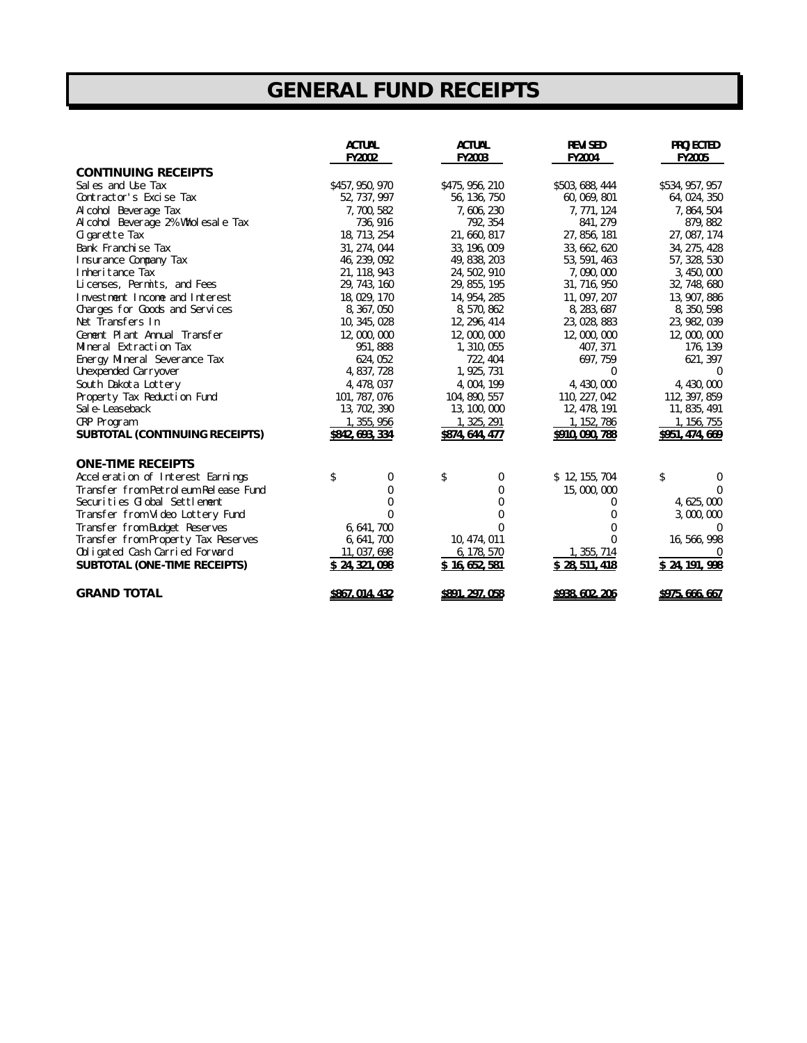# *GENERAL FUND RECEIPTS*

|                                       | <b>ACTUAL</b><br><b>FY2002</b> | <b>ACTUAL</b><br><b>FY2003</b> | <b>REVISED</b><br><b>FY2004</b> | <b>PROJECTED</b><br><b>FY2005</b> |
|---------------------------------------|--------------------------------|--------------------------------|---------------------------------|-----------------------------------|
| <b>CONTINUING RECEIPTS</b>            |                                |                                |                                 |                                   |
| Sales and Use Tax                     | \$457, 950, 970                | \$475, 956, 210                | \$503, 688, 444                 | \$534, 957, 957                   |
| Contractor's Excise Tax               | 52, 737, 997                   | 56, 136, 750                   | 60, 069, 801                    | 64, 024, 350                      |
| Al cohol Beverage Tax                 | 7,700,582                      | 7,606,230                      | 7, 771, 124                     | 7, 864, 504                       |
| Alcohol Beverage 2% Wholesale Tax     | 736, 916                       | 792, 354                       | 841, 279                        | 879, 882                          |
| Cigarette Tax                         | 18, 713, 254                   | 21, 660, 817                   | 27, 856, 181                    | 27, 087, 174                      |
| Bank Franchise Tax                    | 31, 274, 044                   | 33, 196, 009                   | 33, 662, 620                    | 34, 275, 428                      |
| <b>Insurance Company Tax</b>          | 46, 239, 092                   | 49, 838, 203                   | 53, 591, 463                    | 57, 328, 530                      |
| <b>Inheritance Tax</b>                | 21, 118, 943                   | 24, 502, 910                   | 7,090,000                       | 3, 450, 000                       |
| Licenses, Permits, and Fees           | 29, 743, 160                   | 29, 855, 195                   | 31, 716, 950                    | 32, 748, 680                      |
| Investment Income and Interest        | 18, 029, 170                   | 14, 954, 285                   | 11, 097, 207                    | 13, 907, 886                      |
| Charges for Goods and Services        | 8, 367, 050                    | 8, 570, 862                    | 8, 283, 687                     | 8, 350, 598                       |
| Net Transfers In                      | 10, 345, 028                   | 12, 296, 414                   | 23, 028, 883                    | 23, 982, 039                      |
| Cement Plant Annual Transfer          | 12,000,000                     | 12,000,000                     | 12,000,000                      | 12,000,000                        |
| Mineral Extraction Tax                | 951,888                        | 1, 310, 055                    | 407, 371                        | 176, 139                          |
| Energy Mineral Severance Tax          | 624, 052                       | 722, 404                       | 697, 759                        | 621, 397                          |
| Unexpended Carryover                  | 4, 837, 728                    | 1, 925, 731                    | $\bf{0}$                        | $\bf{0}$                          |
| South Dakota Lottery                  | 4, 478, 037                    | 4, 004, 199                    | 4, 430, 000                     | 4, 430, 000                       |
| Property Tax Reduction Fund           | 101, 787, 076                  | 104, 890, 557                  | 110, 227, 042                   | 112, 397, 859                     |
| Sal e-Leaseback                       | 13, 702, 390                   | 13, 100, 000                   | 12, 478, 191                    | 11, 835, 491                      |
| <b>CRP</b> Program                    | 1, 355, 956                    | 1, 325, 291                    | 1, 152, 786                     | 1, 156, 755                       |
| <b>SUBTOTAL (CONTINUING RECEIPTS)</b> | \$842, 693, 334                | \$874, 644, 477                | \$910, 090, 788                 | \$951, 474, 669                   |
| <b>ONE-TIME RECEIPTS</b>              |                                |                                |                                 |                                   |
| Acceleration of Interest Earnings     | Ŝ<br>$\bf{0}$                  | \$<br>0                        | \$12, 155, 704                  | Ŝ<br>0                            |
| Transfer from Petroleum Release Fund  | $\bf{0}$                       | $\bf{0}$                       | 15,000,000                      | $\bf{0}$                          |
| Securities Global Settlement          | 0                              | 0                              |                                 | 4, 625, 000                       |
| Transfer from Video Lottery Fund      |                                | 0                              | 0                               | 3,000,000                         |
| Transfer from Budget Reserves         | 6, 641, 700                    | 0                              | $\bf{0}$                        | $\Omega$                          |
| Transfer from Property Tax Reserves   | 6, 641, 700                    | 10, 474, 011                   | $\Omega$                        | 16, 566, 998                      |
| Obligated Cash Carried Forward        | 11, 037, 698                   | 6, 178, 570                    | 1, 355, 714                     |                                   |
| <b>SUBTOTAL (ONE-TIME RECEIPTS)</b>   | \$24,321,098                   | \$16,652,581                   | \$28,511,418                    | \$24, 191, 998                    |
| <b>GRAND TOTAL</b>                    | S867, 014, 432                 | S891, 297, 058                 | \$938, 602, 206                 | \$975, 666, 667                   |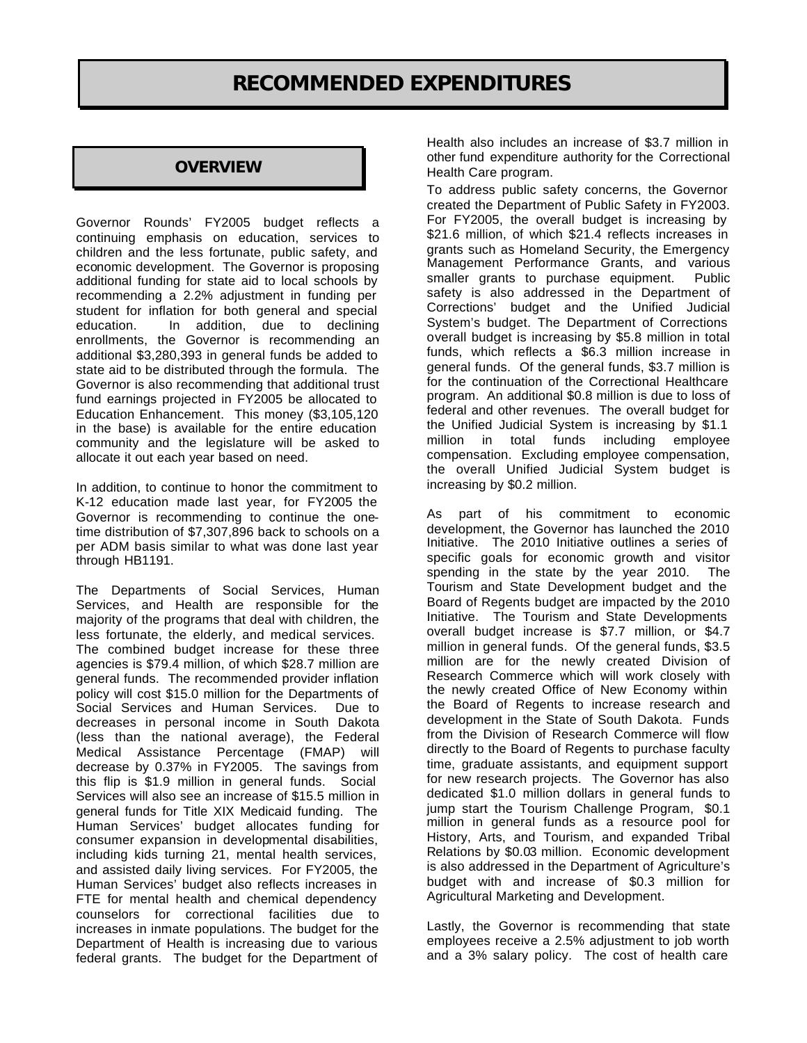# *RECOMMENDED EXPENDITURES*

# *OVERVIEW*

Governor Rounds' FY2005 budget reflects a continuing emphasis on education, services to children and the less fortunate, public safety, and economic development. The Governor is proposing additional funding for state aid to local schools by recommending a 2.2% adjustment in funding per student for inflation for both general and special education. In addition, due to declining enrollments, the Governor is recommending an additional \$3,280,393 in general funds be added to state aid to be distributed through the formula. The Governor is also recommending that additional trust fund earnings projected in FY2005 be allocated to Education Enhancement. This money (\$3,105,120 in the base) is available for the entire education community and the legislature will be asked to allocate it out each year based on need.

In addition, to continue to honor the commitment to K-12 education made last year, for FY2005 the Governor is recommending to continue the onetime distribution of \$7,307,896 back to schools on a per ADM basis similar to what was done last year through HB1191.

The Departments of Social Services, Human Services, and Health are responsible for the majority of the programs that deal with children, the less fortunate, the elderly, and medical services. The combined budget increase for these three agencies is \$79.4 million, of which \$28.7 million are general funds. The recommended provider inflation policy will cost \$15.0 million for the Departments of Social Services and Human Services. Due to decreases in personal income in South Dakota (less than the national average), the Federal Medical Assistance Percentage (FMAP) will decrease by 0.37% in FY2005. The savings from this flip is \$1.9 million in general funds. Social Services will also see an increase of \$15.5 million in general funds for Title XIX Medicaid funding. The Human Services' budget allocates funding for consumer expansion in developmental disabilities, including kids turning 21, mental health services, and assisted daily living services. For FY2005, the Human Services' budget also reflects increases in FTE for mental health and chemical dependency counselors for correctional facilities due to increases in inmate populations. The budget for the Department of Health is increasing due to various federal grants. The budget for the Department of

Health also includes an increase of \$3.7 million in other fund expenditure authority for the Correctional Health Care program.

To address public safety concerns, the Governor created the Department of Public Safety in FY2003. For FY2005, the overall budget is increasing by \$21.6 million, of which \$21.4 reflects increases in grants such as Homeland Security, the Emergency Management Performance Grants, and various smaller grants to purchase equipment. Public safety is also addressed in the Department of Corrections' budget and the Unified Judicial System's budget. The Department of Corrections overall budget is increasing by \$5.8 million in total funds, which reflects a \$6.3 million increase in general funds. Of the general funds, \$3.7 million is for the continuation of the Correctional Healthcare program. An additional \$0.8 million is due to loss of federal and other revenues. The overall budget for the Unified Judicial System is increasing by \$1.1 million in total funds including employee compensation. Excluding employee compensation, the overall Unified Judicial System budget is increasing by \$0.2 million.

As part of his commitment to economic development, the Governor has launched the 2010 Initiative. The 2010 Initiative outlines a series of specific goals for economic growth and visitor spending in the state by the year 2010. The Tourism and State Development budget and the Board of Regents budget are impacted by the 2010 Initiative. The Tourism and State Developments overall budget increase is \$7.7 million, or \$4.7 million in general funds. Of the general funds, \$3.5 million are for the newly created Division of Research Commerce which will work closely with the newly created Office of New Economy within the Board of Regents to increase research and development in the State of South Dakota. Funds from the Division of Research Commerce will flow directly to the Board of Regents to purchase faculty time, graduate assistants, and equipment support for new research projects. The Governor has also dedicated \$1.0 million dollars in general funds to jump start the Tourism Challenge Program, \$0.1 million in general funds as a resource pool for History, Arts, and Tourism, and expanded Tribal Relations by \$0.03 million. Economic development is also addressed in the Department of Agriculture's budget with and increase of \$0.3 million for Agricultural Marketing and Development.

Lastly, the Governor is recommending that state employees receive a 2.5% adjustment to job worth and a 3% salary policy. The cost of health care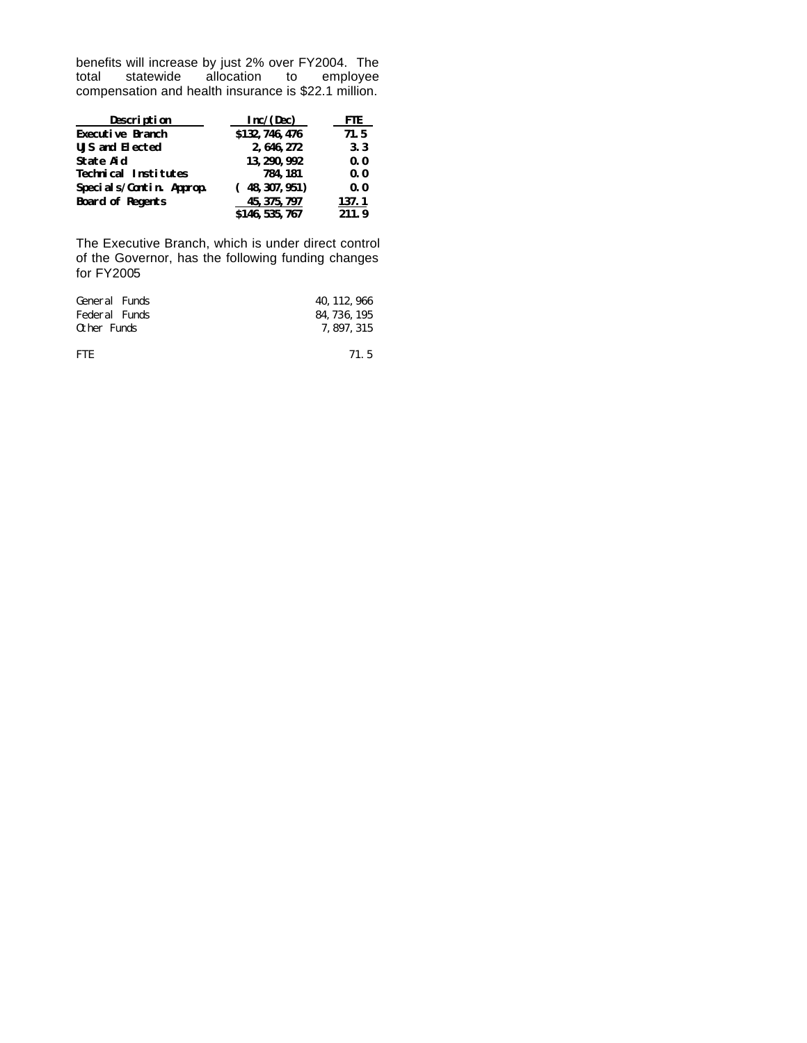benefits will increase by just 2% over FY2004. The total statewide allocation to employee compensation and health insurance is \$22.1 million.

| Description                 | Inc/(Dec)       | FTE   |  |
|-----------------------------|-----------------|-------|--|
| <b>Executive Branch</b>     | \$132, 746, 476 | 71.5  |  |
| UJS and Elected             | 2, 646, 272     | 3.3   |  |
| <b>State Aid</b>            | 13, 290, 992    | 0.0   |  |
| <b>Technical Institutes</b> | 784.181         | 0.0   |  |
| Specials/Contin. Approp.    | (48, 307, 951)  | 0.0   |  |
| <b>Board of Regents</b>     | 45, 375, 797    | 137.1 |  |
|                             | \$146, 535, 767 | 211.9 |  |

The Executive Branch, which is under direct control of the Governor, has the following funding changes for FY2005

| General Funds | 40.112.966 |
|---------------|------------|
| Federal Funds | 84.736.195 |
| Other Funds   | 7.897.315  |

| <b>FTE</b> | 71.5 |
|------------|------|
|            |      |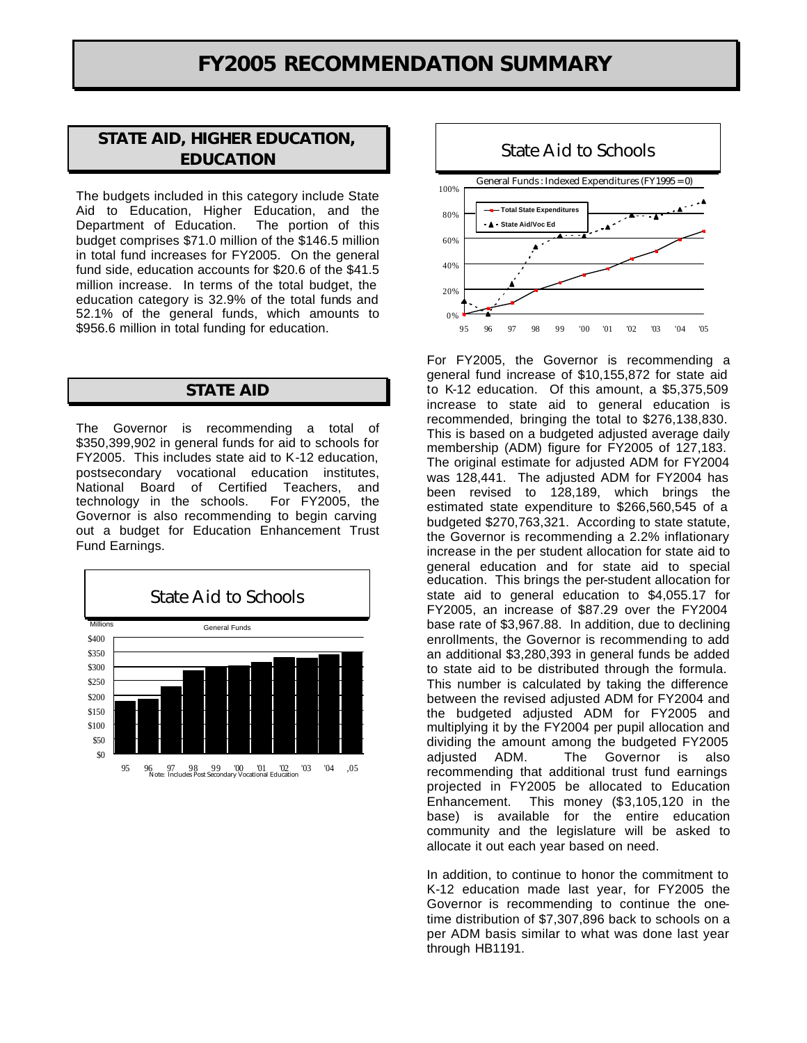# *STATE AID, HIGHER EDUCATION, EDUCATION*

The budgets included in this category include State Aid to Education, Higher Education, and the Department of Education. The portion of this budget comprises \$71.0 million of the \$146.5 million in total fund increases for FY2005. On the general fund side, education accounts for \$20.6 of the \$41.5 million increase. In terms of the total budget, the education category is 32.9% of the total funds and 52.1% of the general funds, which amounts to \$956.6 million in total funding for education.

# *STATE AID*

The Governor is recommending a total of \$350,399,902 in general funds for aid to schools for FY2005. This includes state aid to K-12 education, postsecondary vocational education institutes, National Board of Certified Teachers, and technology in the schools. For FY2005, the Governor is also recommending to begin carving out a budget for Education Enhancement Trust Fund Earnings.





For FY2005, the Governor is recommending a general fund increase of \$10,155,872 for state aid to K-12 education. Of this amount, a \$5,375,509 increase to state aid to general education is recommended, bringing the total to \$276,138,830. This is based on a budgeted adjusted average daily membership (ADM) figure for FY2005 of 127,183. The original estimate for adjusted ADM for FY2004 was 128,441. The adjusted ADM for FY2004 has been revised to 128,189, which brings the estimated state expenditure to \$266,560,545 of a budgeted \$270,763,321. According to state statute, the Governor is recommending a 2.2% inflationary increase in the per student allocation for state aid to general education and for state aid to special education. This brings the per-student allocation for state aid to general education to \$4,055.17 for FY2005, an increase of \$87.29 over the FY2004 base rate of \$3,967.88. In addition, due to declining enrollments, the Governor is recommending to add an additional \$3,280,393 in general funds be added to state aid to be distributed through the formula. This number is calculated by taking the difference between the revised adjusted ADM for FY2004 and the budgeted adjusted ADM for FY2005 and multiplying it by the FY2004 per pupil allocation and dividing the amount among the budgeted FY2005 adjusted ADM. The Governor is also recommending that additional trust fund earnings projected in FY2005 be allocated to Education Enhancement. This money (\$3,105,120 in the base) is available for the entire education community and the legislature will be asked to allocate it out each year based on need.

In addition, to continue to honor the commitment to K-12 education made last year, for FY2005 the Governor is recommending to continue the onetime distribution of \$7,307,896 back to schools on a per ADM basis similar to what was done last year through HB1191.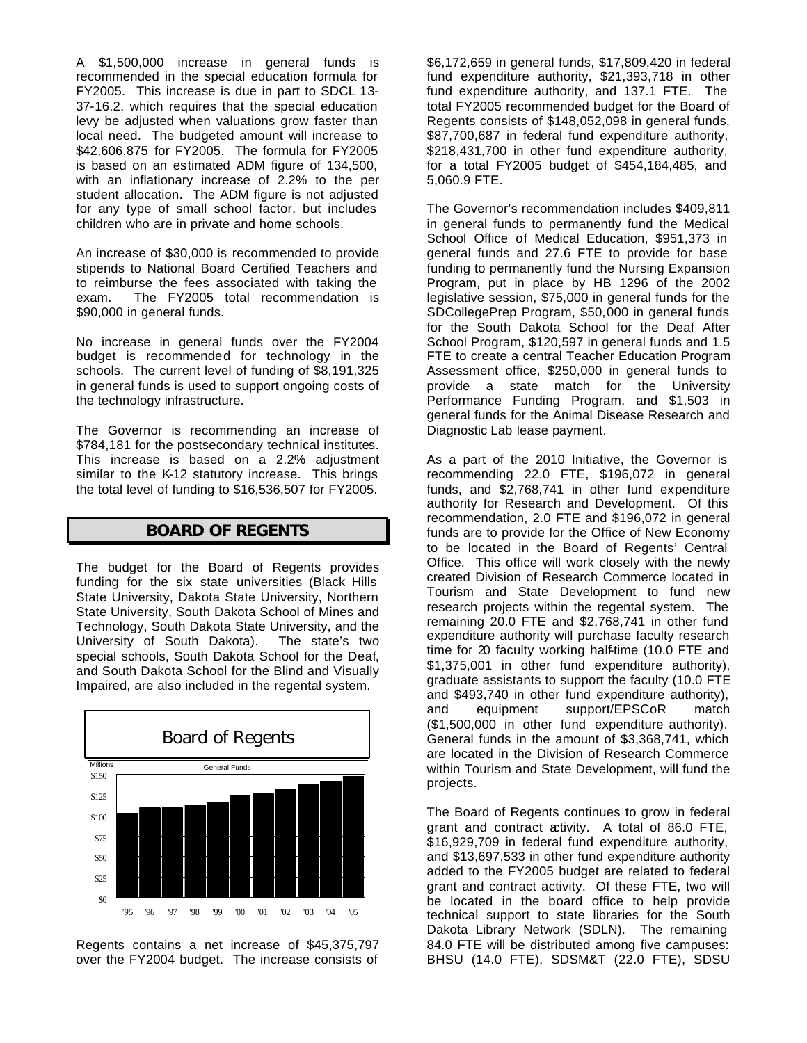A \$1,500,000 increase in general funds is recommended in the special education formula for FY2005. This increase is due in part to SDCL 13- 37-16.2, which requires that the special education levy be adjusted when valuations grow faster than local need. The budgeted amount will increase to \$42,606,875 for FY2005. The formula for FY2005 is based on an estimated ADM figure of 134,500, with an inflationary increase of 2.2% to the per student allocation. The ADM figure is not adjusted for any type of small school factor, but includes children who are in private and home schools.

An increase of \$30,000 is recommended to provide stipends to National Board Certified Teachers and to reimburse the fees associated with taking the exam. The FY2005 total recommendation is \$90,000 in general funds.

No increase in general funds over the FY2004 budget is recommended for technology in the schools. The current level of funding of \$8,191,325 in general funds is used to support ongoing costs of the technology infrastructure.

The Governor is recommending an increase of \$784,181 for the postsecondary technical institutes. This increase is based on a 2.2% adjustment similar to the K-12 statutory increase. This brings the total level of funding to \$16,536,507 for FY2005.

#### *BOARD OF REGENTS*

The budget for the Board of Regents provides funding for the six state universities (Black Hills State University, Dakota State University, Northern State University, South Dakota School of Mines and Technology, South Dakota State University, and the University of South Dakota). The state's two special schools, South Dakota School for the Deaf, and South Dakota School for the Blind and Visually Impaired, are also included in the regental system.



Regents contains a net increase of \$45,375,797 over the FY2004 budget. The increase consists of \$6,172,659 in general funds, \$17,809,420 in federal fund expenditure authority, \$21,393,718 in other fund expenditure authority, and 137.1 FTE. The total FY2005 recommended budget for the Board of Regents consists of \$148,052,098 in general funds, \$87,700,687 in federal fund expenditure authority, \$218,431,700 in other fund expenditure authority, for a total FY2005 budget of \$454,184,485, and 5,060.9 FTE.

The Governor's recommendation includes \$409,811 in general funds to permanently fund the Medical School Office of Medical Education, \$951,373 in general funds and 27.6 FTE to provide for base funding to permanently fund the Nursing Expansion Program, put in place by HB 1296 of the 2002 legislative session, \$75,000 in general funds for the SDCollegePrep Program, \$50,000 in general funds for the South Dakota School for the Deaf After School Program, \$120,597 in general funds and 1.5 FTE to create a central Teacher Education Program Assessment office, \$250,000 in general funds to provide a state match for the University Performance Funding Program, and \$1,503 in general funds for the Animal Disease Research and Diagnostic Lab lease payment.

As a part of the 2010 Initiative, the Governor is recommending 22.0 FTE, \$196,072 in general funds, and \$2,768,741 in other fund expenditure authority for Research and Development. Of this recommendation, 2.0 FTE and \$196,072 in general funds are to provide for the Office of New Economy to be located in the Board of Regents' Central Office. This office will work closely with the newly created Division of Research Commerce located in Tourism and State Development to fund new research projects within the regental system. The remaining 20.0 FTE and \$2,768,741 in other fund expenditure authority will purchase faculty research time for 20 faculty working half-time (10.0 FTE and \$1,375,001 in other fund expenditure authority), graduate assistants to support the faculty (10.0 FTE and \$493,740 in other fund expenditure authority), and equipment support/EPSCoR match (\$1,500,000 in other fund expenditure authority). General funds in the amount of \$3,368,741, which are located in the Division of Research Commerce within Tourism and State Development, will fund the projects.

The Board of Regents continues to grow in federal grant and contract activity. A total of 86.0 FTE, \$16,929,709 in federal fund expenditure authority, and \$13,697,533 in other fund expenditure authority added to the FY2005 budget are related to federal grant and contract activity. Of these FTE, two will be located in the board office to help provide technical support to state libraries for the South Dakota Library Network (SDLN). The remaining 84.0 FTE will be distributed among five campuses: BHSU (14.0 FTE), SDSM&T (22.0 FTE), SDSU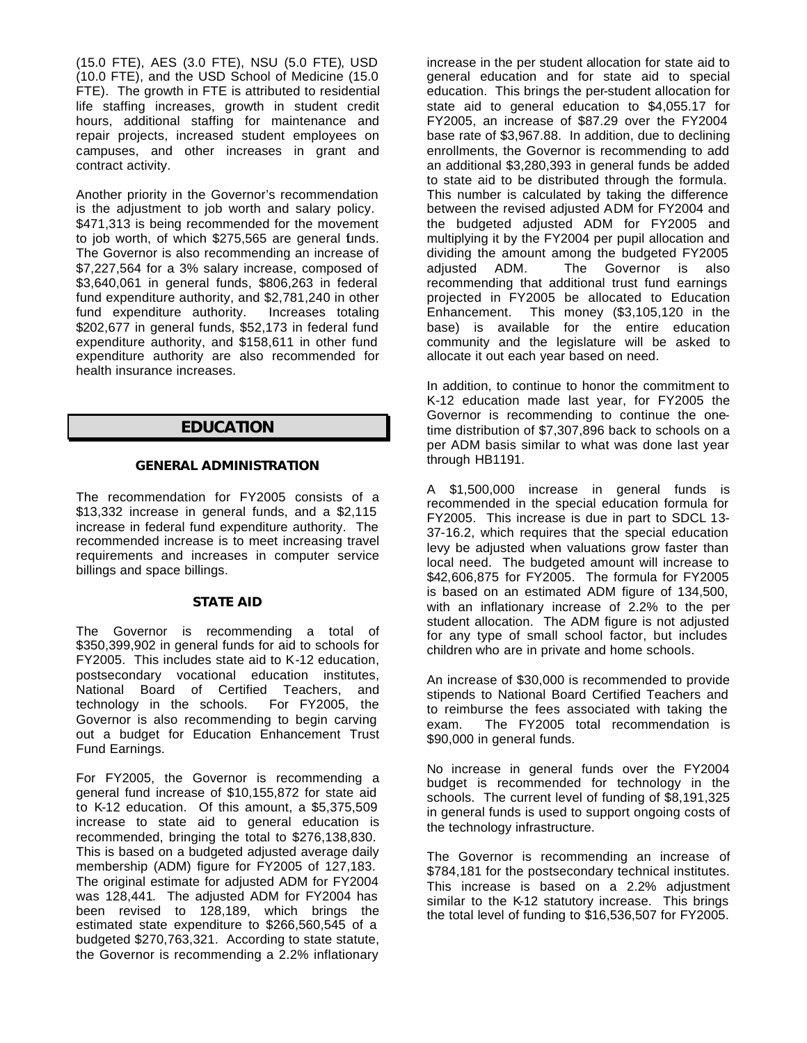(15.0 FTE), AES (3.0 FTE), NSU (5.0 FTE), USD (10.0 FTE), and the USD School of Medicine (15.0 FTE). The growth in FTE is attributed to residential life staffing increases, growth in student credit hours, additional staffing for maintenance and repair projects, increased student employees on campuses, and other increases in grant and contract activity.

Another priority in the Governor's recommendation is the adjustment to job worth and salary policy. \$471,313 is being recommended for the movement to job worth, of which \$275,565 are general funds. The Governor is also recommending an increase of \$7,227,564 for a 3% salary increase, composed of \$3,640,061 in general funds, \$806,263 in federal fund expenditure authority, and \$2,781,240 in other fund expenditure authority. Increases totaling \$202,677 in general funds, \$52,173 in federal fund expenditure authority, and \$158,611 in other fund expenditure authority are also recommended for health insurance increases.

## *EDUCATION*

#### *GENERAL ADMINISTRATION*

The recommendation for FY2005 consists of a \$13,332 increase in general funds, and a \$2,115 increase in federal fund expenditure authority. The recommended increase is to meet increasing travel requirements and increases in computer service billings and space billings.

#### *STATE AID*

The Governor is recommending a total of \$350,399,902 in general funds for aid to schools for FY2005. This includes state aid to K-12 education, postsecondary vocational education institutes, National Board of Certified Teachers, and technology in the schools. For FY2005, the Governor is also recommending to begin carving out a budget for Education Enhancement Trust Fund Earnings.

For FY2005, the Governor is recommending a general fund increase of \$10,155,872 for state aid to K-12 education. Of this amount, a \$5,375,509 increase to state aid to general education is recommended, bringing the total to \$276,138,830. This is based on a budgeted adjusted average daily membership (ADM) figure for FY2005 of 127,183. The original estimate for adjusted ADM for FY2004 was 128,441. The adjusted ADM for FY2004 has been revised to 128,189, which brings the estimated state expenditure to \$266,560,545 of a budgeted \$270,763,321. According to state statute, the Governor is recommending a 2.2% inflationary

increase in the per student allocation for state aid to general education and for state aid to special education. This brings the per-student allocation for state aid to general education to \$4,055.17 for FY2005, an increase of \$87.29 over the FY2004 base rate of \$3,967.88. In addition, due to declining enrollments, the Governor is recommending to add an additional \$3,280,393 in general funds be added to state aid to be distributed through the formula. This number is calculated by taking the difference between the revised adjusted ADM for FY2004 and the budgeted adjusted ADM for FY2005 and multiplying it by the FY2004 per pupil allocation and dividing the amount among the budgeted FY2005 adjusted ADM. The Governor is also recommending that additional trust fund earnings projected in FY2005 be allocated to Education Enhancement. This money (\$3,105,120 in the base) is available for the entire education community and the legislature will be asked to allocate it out each year based on need.

In addition, to continue to honor the commitment to K-12 education made last year, for FY2005 the Governor is recommending to continue the onetime distribution of \$7,307,896 back to schools on a per ADM basis similar to what was done last year through HB1191.

A \$1,500,000 increase in general funds is recommended in the special education formula for FY2005. This increase is due in part to SDCL 13- 37-16.2, which requires that the special education levy be adjusted when valuations grow faster than local need. The budgeted amount will increase to \$42,606,875 for FY2005. The formula for FY2005 is based on an estimated ADM figure of 134,500, with an inflationary increase of 2.2% to the per student allocation. The ADM figure is not adjusted for any type of small school factor, but includes children who are in private and home schools.

An increase of \$30,000 is recommended to provide stipends to National Board Certified Teachers and to reimburse the fees associated with taking the exam. The FY2005 total recommendation is \$90,000 in general funds.

No increase in general funds over the FY2004 budget is recommended for technology in the schools. The current level of funding of \$8,191,325 in general funds is used to support ongoing costs of the technology infrastructure.

The Governor is recommending an increase of \$784,181 for the postsecondary technical institutes. This increase is based on a 2.2% adjustment similar to the K-12 statutory increase. This brings the total level of funding to \$16,536,507 for FY2005.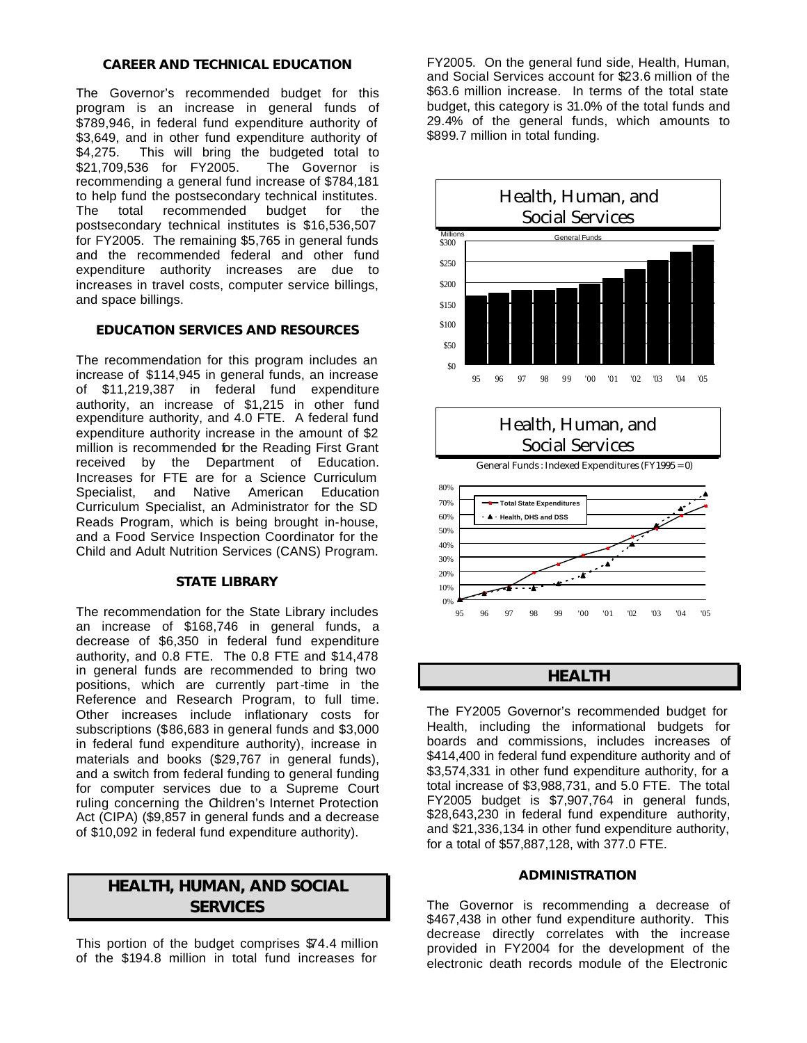#### *CAREER AND TECHNICAL EDUCATION*

The Governor's recommended budget for this program is an increase in general funds of \$789,946, in federal fund expenditure authority of \$3,649, and in other fund expenditure authority of \$4,275. This will bring the budgeted total to \$21,709,536 for FY2005. The Governor is recommending a general fund increase of \$784,181 to help fund the postsecondary technical institutes. The total recommended budget for the postsecondary technical institutes is \$16,536,507 for FY2005. The remaining \$5,765 in general funds and the recommended federal and other fund expenditure authority increases are due to increases in travel costs, computer service billings, and space billings.

#### *EDUCATION SERVICES AND RESOURCES*

The recommendation for this program includes an increase of \$114,945 in general funds, an increase of \$11,219,387 in federal fund expenditure authority, an increase of \$1,215 in other fund expenditure authority, and 4.0 FTE. A federal fund expenditure authority increase in the amount of \$2 million is recommended for the Reading First Grant received by the Department of Education. Increases for FTE are for a Science Curriculum Specialist, and Native American Education Curriculum Specialist, an Administrator for the SD Reads Program, which is being brought in-house, and a Food Service Inspection Coordinator for the Child and Adult Nutrition Services (CANS) Program.

#### *STATE LIBRARY*

The recommendation for the State Library includes an increase of \$168,746 in general funds, a decrease of \$6,350 in federal fund expenditure authority, and 0.8 FTE. The 0.8 FTE and \$14,478 in general funds are recommended to bring two positions, which are currently part-time in the Reference and Research Program, to full time. Other increases include inflationary costs for subscriptions (\$86,683 in general funds and \$3,000 in federal fund expenditure authority), increase in materials and books (\$29,767 in general funds), and a switch from federal funding to general funding for computer services due to a Supreme Court ruling concerning the Children's Internet Protection Act (CIPA) (\$9,857 in general funds and a decrease of \$10,092 in federal fund expenditure authority).

# *HEALTH, HUMAN, AND SOCIAL SERVICES*

This portion of the budget comprises \$74.4 million of the \$194.8 million in total fund increases for FY2005. On the general fund side, Health, Human, and Social Services account for \$23.6 million of the \$63.6 million increase. In terms of the total state budget, this category is 31.0% of the total funds and 29.4% of the general funds, which amounts to \$899.7 million in total funding.



## *HEALTH*

The FY2005 Governor's recommended budget for Health, including the informational budgets for boards and commissions, includes increases of \$414,400 in federal fund expenditure authority and of \$3,574,331 in other fund expenditure authority, for a total increase of \$3,988,731, and 5.0 FTE. The total FY2005 budget is \$7,907,764 in general funds, \$28,643,230 in federal fund expenditure authority, and \$21,336,134 in other fund expenditure authority, for a total of \$57,887,128, with 377.0 FTE.

#### *ADMINISTRATION*

The Governor is recommending a decrease of \$467,438 in other fund expenditure authority. This decrease directly correlates with the increase provided in FY2004 for the development of the electronic death records module of the Electronic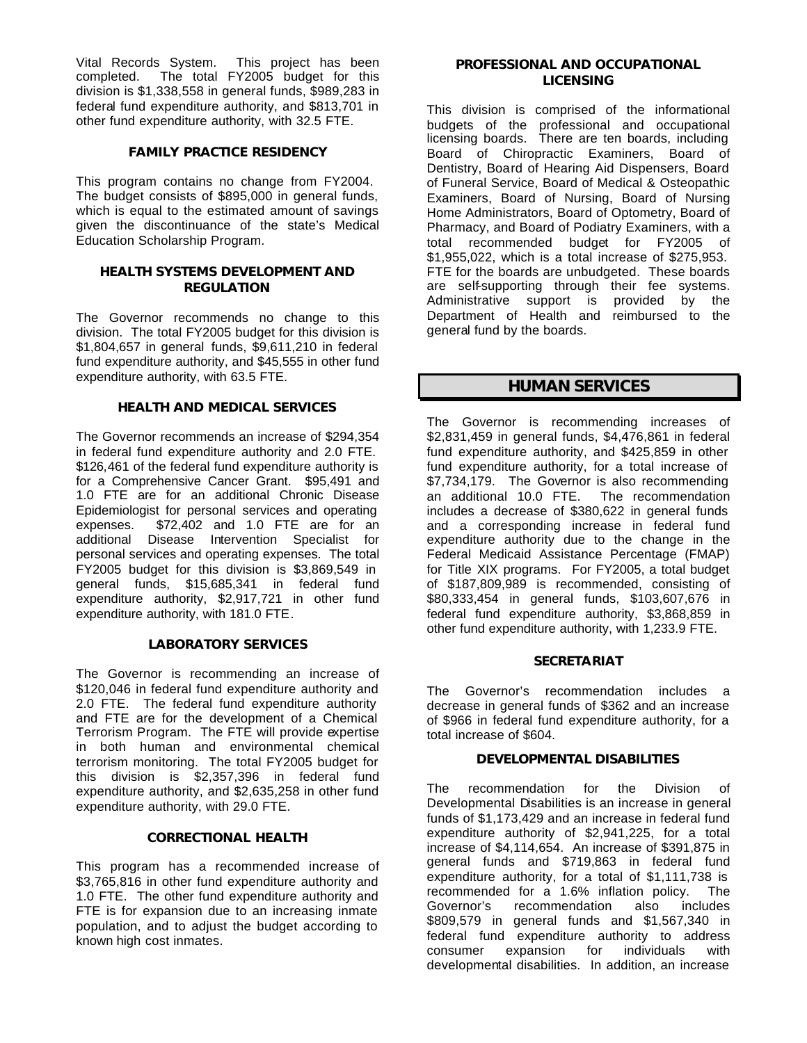Vital Records System. This project has been completed. The total FY2005 budget for this division is \$1,338,558 in general funds, \$989,283 in federal fund expenditure authority, and \$813,701 in other fund expenditure authority, with 32.5 FTE.

#### *FAMILY PRACTICE RESIDENCY*

This program contains no change from FY2004. The budget consists of \$895,000 in general funds, which is equal to the estimated amount of savings given the discontinuance of the state's Medical Education Scholarship Program.

#### *HEALTH SYSTEMS DEVELOPMENT AND REGULATION*

The Governor recommends no change to this division. The total FY2005 budget for this division is \$1,804,657 in general funds, \$9,611,210 in federal fund expenditure authority, and \$45,555 in other fund expenditure authority, with 63.5 FTE.

#### *HEALTH AND MEDICAL SERVICES*

The Governor recommends an increase of \$294,354 in federal fund expenditure authority and 2.0 FTE. \$126,461 of the federal fund expenditure authority is for a Comprehensive Cancer Grant. \$95,491 and 1.0 FTE are for an additional Chronic Disease Epidemiologist for personal services and operating expenses. \$72,402 and 1.0 FTE are for an additional Disease Intervention Specialist for personal services and operating expenses. The total FY2005 budget for this division is \$3,869,549 in general funds, \$15,685,341 in federal fund expenditure authority, \$2,917,721 in other fund expenditure authority, with 181.0 FTE.

#### *LABORATORY SERVICES*

The Governor is recommending an increase of \$120,046 in federal fund expenditure authority and 2.0 FTE. The federal fund expenditure authority and FTE are for the development of a Chemical Terrorism Program. The FTE will provide expertise in both human and environmental chemical terrorism monitoring. The total FY2005 budget for this division is \$2,357,396 in federal fund expenditure authority, and \$2,635,258 in other fund expenditure authority, with 29.0 FTE.

#### *CORRECTIONAL HEALTH*

This program has a recommended increase of \$3,765,816 in other fund expenditure authority and 1.0 FTE. The other fund expenditure authority and FTE is for expansion due to an increasing inmate population, and to adjust the budget according to known high cost inmates.

#### *PROFESSIONAL AND OCCUPATIONAL LICENSING*

This division is comprised of the informational budgets of the professional and occupational licensing boards. There are ten boards, including Board of Chiropractic Examiners, Board of Dentistry, Board of Hearing Aid Dispensers, Board of Funeral Service, Board of Medical & Osteopathic Examiners, Board of Nursing, Board of Nursing Home Administrators, Board of Optometry, Board of Pharmacy, and Board of Podiatry Examiners, with a total recommended budget for FY2005 of \$1,955,022, which is a total increase of \$275,953. FTE for the boards are unbudgeted. These boards are self-supporting through their fee systems. Administrative support is provided by the Department of Health and reimbursed to the general fund by the boards.

# *HUMAN SERVICES*

The Governor is recommending increases of  $$2,831,459$  in general funds,  $$4,476,861$  in federal fund expenditure authority, and \$425,859 in other fund expenditure authority, for a total increase of \$7,734,179. The Governor is also recommending an additional 10.0 FTE. The recommendation includes a decrease of \$380,622 in general funds and a corresponding increase in federal fund expenditure authority due to the change in the Federal Medicaid Assistance Percentage (FMAP) for Title XIX programs. For FY2005, a total budget of \$187,809,989 is recommended, consisting of \$80,333,454 in general funds, \$103,607,676 in federal fund expenditure authority, \$3,868,859 in other fund expenditure authority, with 1,233.9 FTE.

#### *SECRETARIAT*

The Governor's recommendation includes a decrease in general funds of \$362 and an increase of \$966 in federal fund expenditure authority, for a total increase of \$604.

#### *DEVELOPMENTAL DISABILITIES*

The recommendation for the Division of Developmental Disabilities is an increase in general funds of \$1,173,429 and an increase in federal fund expenditure authority of \$2,941,225, for a total increase of \$4,114,654. An increase of \$391,875 in general funds and \$719,863 in federal fund expenditure authority, for a total of \$1,111,738 is recommended for a 1.6% inflation policy. The<br>Governor's recommendation also includes Governor's recommendation also \$809,579 in general funds and \$1,567,340 in federal fund expenditure authority to address consumer expansion for individuals with developmental disabilities. In addition, an increase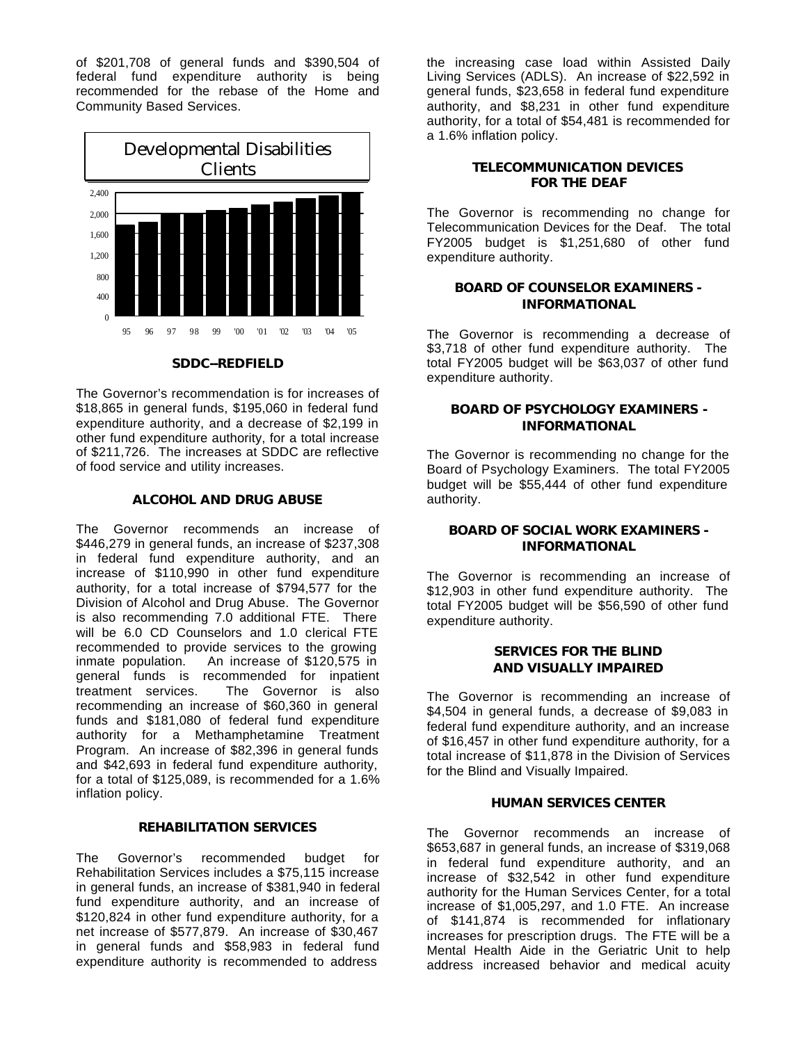of \$201,708 of general funds and \$390,504 of federal fund expenditure authority is being recommended for the rebase of the Home and Community Based Services.



*SDDC--REDFIELD*

The Governor's recommendation is for increases of \$18,865 in general funds, \$195,060 in federal fund expenditure authority, and a decrease of \$2,199 in other fund expenditure authority, for a total increase of \$211,726. The increases at SDDC are reflective of food service and utility increases.

#### *ALCOHOL AND DRUG ABUSE*

The Governor recommends an increase of \$446,279 in general funds, an increase of \$237,308 in federal fund expenditure authority, and an increase of \$110,990 in other fund expenditure authority, for a total increase of \$794,577 for the Division of Alcohol and Drug Abuse. The Governor is also recommending 7.0 additional FTE. There will be 6.0 CD Counselors and 1.0 clerical FTE recommended to provide services to the growing inmate population. An increase of \$120,575 in general funds is recommended for inpatient treatment services. The Governor is also recommending an increase of \$60,360 in general funds and \$181,080 of federal fund expenditure authority for a Methamphetamine Treatment Program. An increase of \$82,396 in general funds and \$42,693 in federal fund expenditure authority, for a total of \$125,089, is recommended for a 1.6% inflation policy.

#### *REHABILITATION SERVICES*

The Governor's recommended budget for Rehabilitation Services includes a \$75,115 increase in general funds, an increase of \$381,940 in federal fund expenditure authority, and an increase of \$120,824 in other fund expenditure authority, for a net increase of \$577,879. An increase of \$30,467 in general funds and \$58,983 in federal fund expenditure authority is recommended to address

the increasing case load within Assisted Daily Living Services (ADLS). An increase of \$22,592 in general funds, \$23,658 in federal fund expenditure authority, and \$8,231 in other fund expenditure authority, for a total of \$54,481 is recommended for a 1.6% inflation policy.

#### *TELECOMMUNICATION DEVICES FOR THE DEAF*

The Governor is recommending no change for Telecommunication Devices for the Deaf. The total FY2005 budget is \$1,251,680 of other fund expenditure authority.

#### *BOARD OF COUNSELOR EXAMINERS - INFORMATIONAL*

The Governor is recommending a decrease of \$3,718 of other fund expenditure authority. The total FY2005 budget will be \$63,037 of other fund expenditure authority.

#### *BOARD OF PSYCHOLOGY EXAMINERS - INFORMATIONAL*

The Governor is recommending no change for the Board of Psychology Examiners. The total FY2005 budget will be \$55,444 of other fund expenditure authority.

#### *BOARD OF SOCIAL WORK EXAMINERS - INFORMATIONAL*

The Governor is recommending an increase of \$12,903 in other fund expenditure authority. The total FY2005 budget will be \$56,590 of other fund expenditure authority.

#### *SERVICES FOR THE BLIND AND VISUALLY IMPAIRED*

The Governor is recommending an increase of \$4,504 in general funds, a decrease of \$9,083 in federal fund expenditure authority, and an increase of \$16,457 in other fund expenditure authority, for a total increase of \$11,878 in the Division of Services for the Blind and Visually Impaired.

#### *HUMAN SERVICES CENTER*

The Governor recommends an increase of \$653,687 in general funds, an increase of \$319,068 in federal fund expenditure authority, and an increase of \$32,542 in other fund expenditure authority for the Human Services Center, for a total increase of \$1,005,297, and 1.0 FTE. An increase of \$141,874 is recommended for inflationary increases for prescription drugs. The FTE will be a Mental Health Aide in the Geriatric Unit to help address increased behavior and medical acuity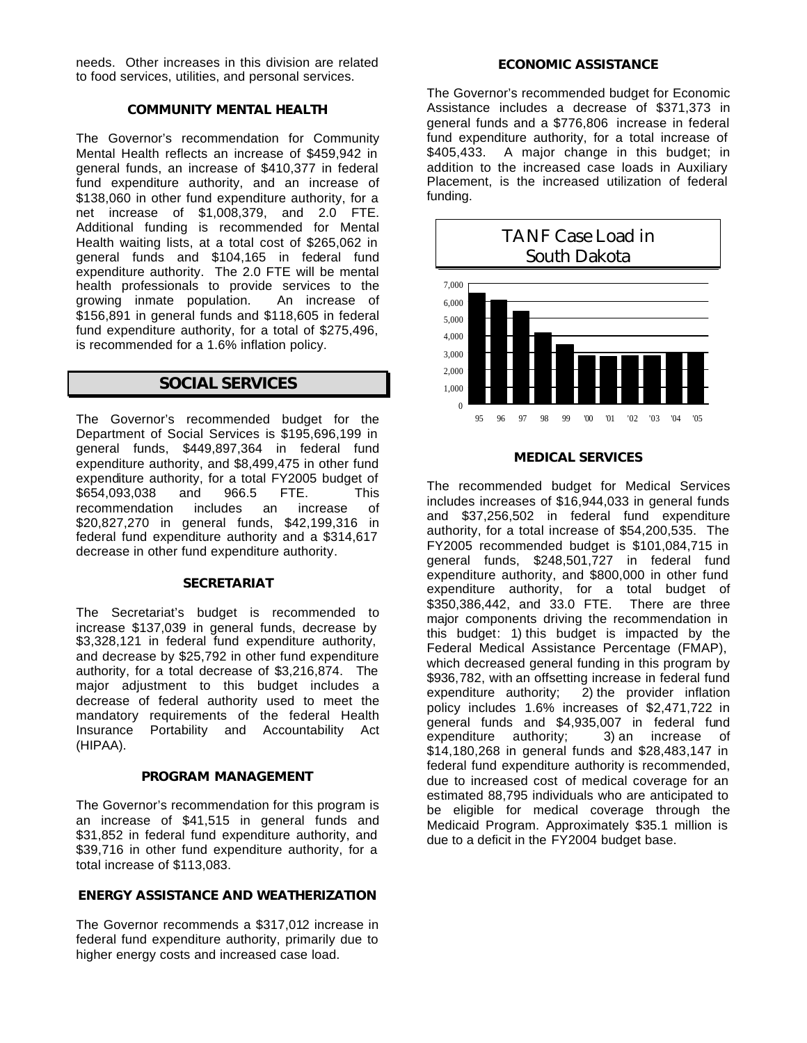needs. Other increases in this division are related to food services, utilities, and personal services.

#### *COMMUNITY MENTAL HEALTH*

The Governor's recommendation for Community Mental Health reflects an increase of \$459,942 in general funds, an increase of \$410,377 in federal fund expenditure authority, and an increase of \$138,060 in other fund expenditure authority, for a net increase of \$1,008,379, and 2.0 FTE. Additional funding is recommended for Mental Health waiting lists, at a total cost of \$265,062 in general funds and \$104,165 in federal fund expenditure authority. The 2.0 FTE will be mental health professionals to provide services to the growing inmate population. An increase of \$156,891 in general funds and \$118,605 in federal fund expenditure authority, for a total of \$275,496, is recommended for a 1.6% inflation policy.

### *SOCIAL SERVICES*

The Governor's recommended budget for the Department of Social Services is \$195,696,199 in general funds, \$449,897,364 in federal fund expenditure authority, and \$8,499,475 in other fund expenditure authority, for a total FY2005 budget of \$654,093,038 and 966.5 FTE. This recommendation includes an increase of \$20,827,270 in general funds, \$42,199,316 in federal fund expenditure authority and a \$314,617 decrease in other fund expenditure authority.

#### *SECRETARIAT*

The Secretariat's budget is recommended to increase \$137,039 in general funds, decrease by \$3,328,121 in federal fund expenditure authority, and decrease by \$25,792 in other fund expenditure authority, for a total decrease of \$3,216,874. The major adjustment to this budget includes a decrease of federal authority used to meet the mandatory requirements of the federal Health Insurance Portability and Accountability Act (HIPAA).

#### *PROGRAM MANAGEMENT*

The Governor's recommendation for this program is an increase of \$41,515 in general funds and \$31,852 in federal fund expenditure authority, and \$39,716 in other fund expenditure authority, for a total increase of \$113,083.

#### *ENERGY ASSISTANCE AND WEATHERIZATION*

The Governor recommends a \$317,012 increase in federal fund expenditure authority, primarily due to higher energy costs and increased case load.

#### *ECONOMIC ASSISTANCE*

The Governor's recommended budget for Economic Assistance includes a decrease of \$371,373 in general funds and a \$776,806 increase in federal fund expenditure authority, for a total increase of \$405,433. A major change in this budget; in addition to the increased case loads in Auxiliary Placement, is the increased utilization of federal funding.



#### *MEDICAL SERVICES*

The recommended budget for Medical Services includes increases of \$16,944,033 in general funds and \$37,256,502 in federal fund expenditure authority, for a total increase of \$54,200,535. The FY2005 recommended budget is \$101,084,715 in general funds, \$248,501,727 in federal fund expenditure authority, and \$800,000 in other fund expenditure authority, for a total budget of \$350,386,442, and 33.0 FTE. There are three major components driving the recommendation in this budget: 1) this budget is impacted by the Federal Medical Assistance Percentage (FMAP), which decreased general funding in this program by \$936,782, with an offsetting increase in federal fund expenditure authority; 2) the provider inflation policy includes 1.6% increases of \$2,471,722 in general funds and \$4,935,007 in federal fund<br>expenditure authority; 3) an increase of expenditure authority; \$14,180,268 in general funds and \$28,483,147 in federal fund expenditure authority is recommended, due to increased cost of medical coverage for an estimated 88,795 individuals who are anticipated to be eligible for medical coverage through the Medicaid Program. Approximately \$35.1 million is due to a deficit in the FY2004 budget base.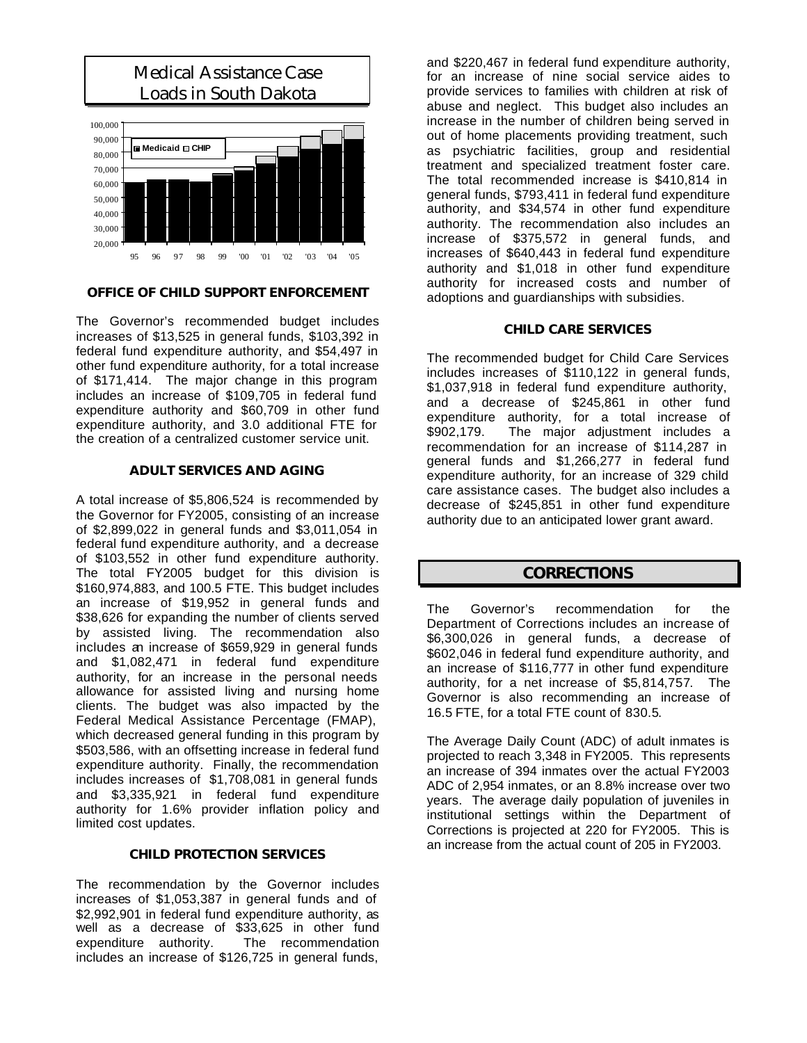

#### *OFFICE OF CHILD SUPPORT ENFORCEMENT*

The Governor's recommended budget includes increases of \$13,525 in general funds, \$103,392 in federal fund expenditure authority, and \$54,497 in other fund expenditure authority, for a total increase of \$171,414. The major change in this program includes an increase of \$109,705 in federal fund expenditure authority and \$60,709 in other fund expenditure authority, and 3.0 additional FTE for the creation of a centralized customer service unit.

#### *ADULT SERVICES AND AGING*

A total increase of \$5,806,524 is recommended by the Governor for FY2005, consisting of an increase of \$2,899,022 in general funds and \$3,011,054 in federal fund expenditure authority, and a decrease of \$103,552 in other fund expenditure authority. The total FY2005 budget for this division is \$160,974,883, and 100.5 FTE. This budget includes an increase of \$19,952 in general funds and \$38,626 for expanding the number of clients served by assisted living. The recommendation also includes an increase of \$659,929 in general funds and \$1,082,471 in federal fund expenditure authority, for an increase in the personal needs allowance for assisted living and nursing home clients. The budget was also impacted by the Federal Medical Assistance Percentage (FMAP), which decreased general funding in this program by \$503,586, with an offsetting increase in federal fund expenditure authority. Finally, the recommendation includes increases of \$1,708,081 in general funds and \$3,335,921 in federal fund expenditure authority for 1.6% provider inflation policy and limited cost updates.

#### *CHILD PROTECTION SERVICES*

The recommendation by the Governor includes increases of \$1,053,387 in general funds and of \$2,992,901 in federal fund expenditure authority, as well as a decrease of \$33,625 in other fund expenditure authority. The recommendation includes an increase of \$126,725 in general funds,

and \$220,467 in federal fund expenditure authority, for an increase of nine social service aides to provide services to families with children at risk of abuse and neglect. This budget also includes an increase in the number of children being served in out of home placements providing treatment, such as psychiatric facilities, group and residential treatment and specialized treatment foster care. The total recommended increase is \$410,814 in general funds, \$793,411 in federal fund expenditure authority, and \$34,574 in other fund expenditure authority. The recommendation also includes an increase of \$375,572 in general funds, and increases of \$640,443 in federal fund expenditure authority and \$1,018 in other fund expenditure authority for increased costs and number of adoptions and guardianships with subsidies.

#### *CHILD CARE SERVICES*

The recommended budget for Child Care Services includes increases of \$110,122 in general funds, \$1,037,918 in federal fund expenditure authority, and a decrease of \$245,861 in other fund expenditure authority, for a total increase of \$902,179. The major adjustment includes a recommendation for an increase of \$114,287 in general funds and \$1,266,277 in federal fund expenditure authority, for an increase of 329 child care assistance cases. The budget also includes a decrease of \$245,851 in other fund expenditure authority due to an anticipated lower grant award.

## *CORRECTIONS*

The Governor's recommendation for the Department of Corrections includes an increase of \$6,300,026 in general funds, a decrease of \$602,046 in federal fund expenditure authority, and an increase of \$116,777 in other fund expenditure authority, for a net increase of \$5,814,757. The Governor is also recommending an increase of 16.5 FTE, for a total FTE count of 830.5.

The Average Daily Count (ADC) of adult inmates is projected to reach 3,348 in FY2005. This represents an increase of 394 inmates over the actual FY2003 ADC of 2,954 inmates, or an 8.8% increase over two years. The average daily population of juveniles in institutional settings within the Department of Corrections is projected at 220 for FY2005. This is an increase from the actual count of 205 in FY2003.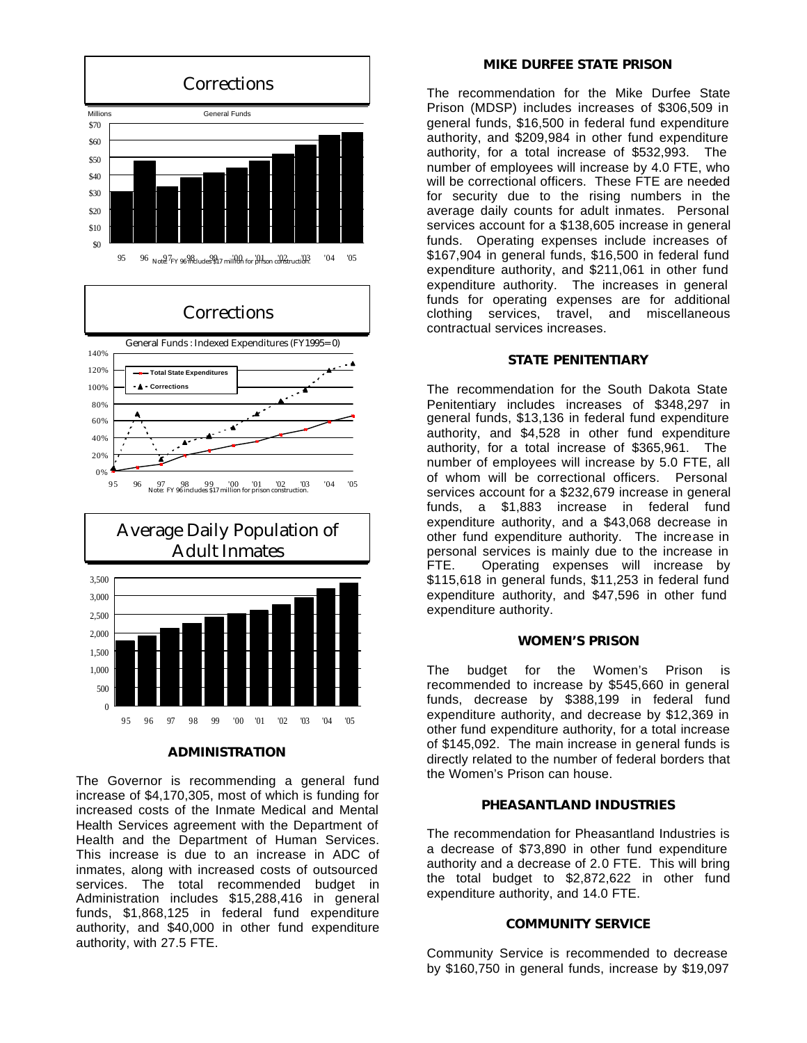

#### *ADMINISTRATION*

The Governor is recommending a general fund increase of \$4,170,305, most of which is funding for increased costs of the Inmate Medical and Mental Health Services agreement with the Department of Health and the Department of Human Services. This increase is due to an increase in ADC of inmates, along with increased costs of outsourced services. The total recommended budget in Administration includes \$15,288,416 in general funds, \$1,868,125 in federal fund expenditure authority, and \$40,000 in other fund expenditure authority, with 27.5 FTE.

#### *MIKE DURFEE STATE PRISON*

The recommendation for the Mike Durfee State Prison (MDSP) includes increases of \$306,509 in general funds, \$16,500 in federal fund expenditure authority, and \$209,984 in other fund expenditure authority, for a total increase of \$532,993. The number of employees will increase by 4.0 FTE, who will be correctional officers. These FTE are needed for security due to the rising numbers in the average daily counts for adult inmates. Personal services account for a \$138,605 increase in general funds. Operating expenses include increases of \$167,904 in general funds, \$16,500 in federal fund expenditure authority, and \$211,061 in other fund expenditure authority. The increases in general funds for operating expenses are for additional clothing services, travel, and miscellaneous contractual services increases.

#### *STATE PENITENTIARY*

The recommendation for the South Dakota State Penitentiary includes increases of \$348,297 in general funds, \$13,136 in federal fund expenditure authority, and \$4,528 in other fund expenditure authority, for a total increase of \$365,961. The number of employees will increase by 5.0 FTE, all of whom will be correctional officers. Personal services account for a \$232,679 increase in general funds, a \$1,883 increase in federal fund expenditure authority, and a \$43,068 decrease in other fund expenditure authority. The increase in personal services is mainly due to the increase in FTE. Operating expenses will increase by \$115,618 in general funds, \$11,253 in federal fund expenditure authority, and \$47,596 in other fund expenditure authority.

#### *WOMEN'S PRISON*

The budget for the Women's Prison is recommended to increase by \$545,660 in general funds, decrease by \$388,199 in federal fund expenditure authority, and decrease by \$12,369 in other fund expenditure authority, for a total increase of \$145,092. The main increase in general funds is directly related to the number of federal borders that the Women's Prison can house.

#### *PHEASANTLAND INDUSTRIES*

The recommendation for Pheasantland Industries is a decrease of \$73,890 in other fund expenditure authority and a decrease of 2.0 FTE. This will bring the total budget to \$2,872,622 in other fund expenditure authority, and 14.0 FTE.

#### *COMMUNITY SERVICE*

Community Service is recommended to decrease by \$160,750 in general funds, increase by \$19,097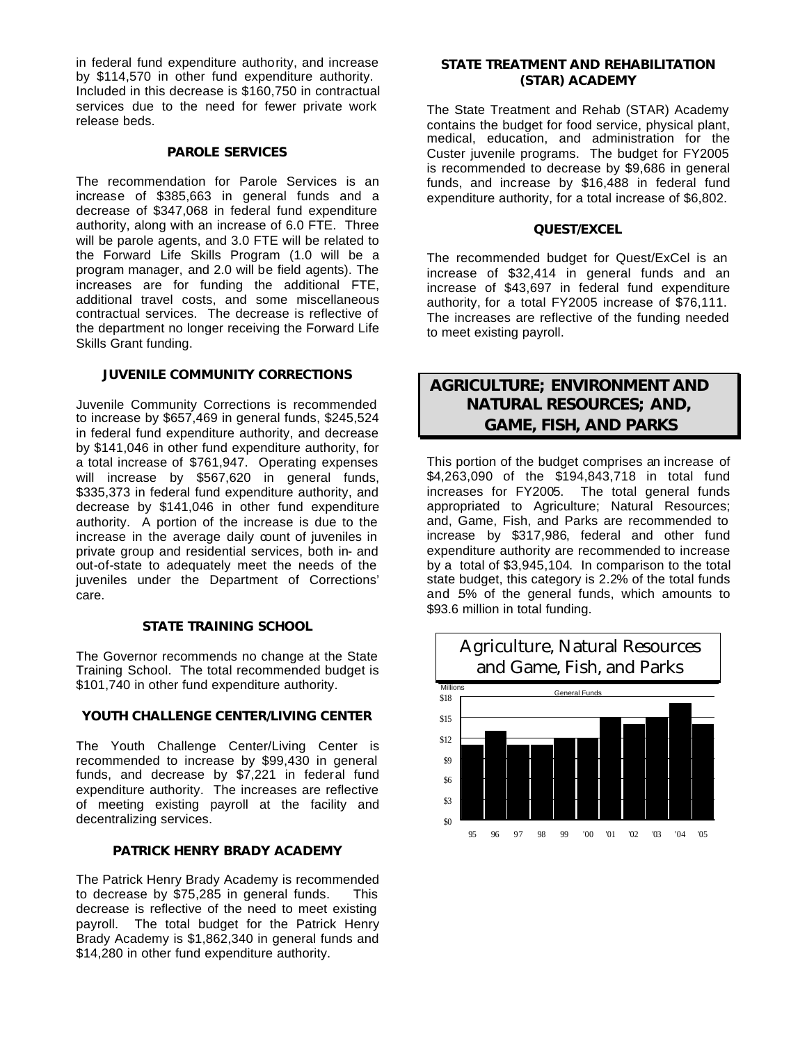in federal fund expenditure authority, and increase by \$114,570 in other fund expenditure authority. Included in this decrease is \$160,750 in contractual services due to the need for fewer private work release beds.

#### *PAROLE SERVICES*

The recommendation for Parole Services is an increase of \$385,663 in general funds and a decrease of \$347,068 in federal fund expenditure authority, along with an increase of 6.0 FTE. Three will be parole agents, and 3.0 FTE will be related to the Forward Life Skills Program (1.0 will be a program manager, and 2.0 will be field agents). The increases are for funding the additional FTE, additional travel costs, and some miscellaneous contractual services. The decrease is reflective of the department no longer receiving the Forward Life Skills Grant funding.

#### *JUVENILE COMMUNITY CORRECTIONS*

Juvenile Community Corrections is recommended to increase by \$657,469 in general funds, \$245,524 in federal fund expenditure authority, and decrease by \$141,046 in other fund expenditure authority, for a total increase of \$761,947. Operating expenses will increase by \$567,620 in general funds, \$335,373 in federal fund expenditure authority, and decrease by \$141,046 in other fund expenditure authority. A portion of the increase is due to the increase in the average daily count of juveniles in private group and residential services, both in- and out-of-state to adequately meet the needs of the juveniles under the Department of Corrections' care.

#### *STATE TRAINING SCHOOL*

The Governor recommends no change at the State Training School. The total recommended budget is \$101,740 in other fund expenditure authority.

#### *YOUTH CHALLENGE CENTER/LIVING CENTER*

The Youth Challenge Center/Living Center is recommended to increase by \$99,430 in general funds, and decrease by \$7,221 in federal fund expenditure authority. The increases are reflective of meeting existing payroll at the facility and decentralizing services.

#### *PATRICK HENRY BRADY ACADEMY*

The Patrick Henry Brady Academy is recommended to decrease by \$75,285 in general funds. This decrease is reflective of the need to meet existing payroll. The total budget for the Patrick Henry Brady Academy is \$1,862,340 in general funds and \$14,280 in other fund expenditure authority.

#### *STATE TREATMENT AND REHABILITATION (STAR) ACADEMY*

The State Treatment and Rehab (STAR) Academy contains the budget for food service, physical plant, medical, education, and administration for the Custer juvenile programs. The budget for FY2005 is recommended to decrease by \$9,686 in general funds, and increase by \$16,488 in federal fund expenditure authority, for a total increase of \$6,802.

#### *QUEST/EXCEL*

The recommended budget for Quest/ExCel is an increase of \$32,414 in general funds and an increase of \$43,697 in federal fund expenditure authority, for a total FY2005 increase of \$76,111. The increases are reflective of the funding needed to meet existing payroll.

# *AGRICULTURE; ENVIRONMENT AND NATURAL RESOURCES; AND, GAME, FISH, AND PARKS*

This portion of the budget comprises an increase of \$4,263,090 of the \$194,843,718 in total fund increases for FY2005. The total general funds appropriated to Agriculture; Natural Resources; and, Game, Fish, and Parks are recommended to increase by \$317,986, federal and other fund expenditure authority are recommended to increase by a total of \$3,945,104. In comparison to the total state budget, this category is 2.2% of the total funds and 5% of the general funds, which amounts to \$93.6 million in total funding.

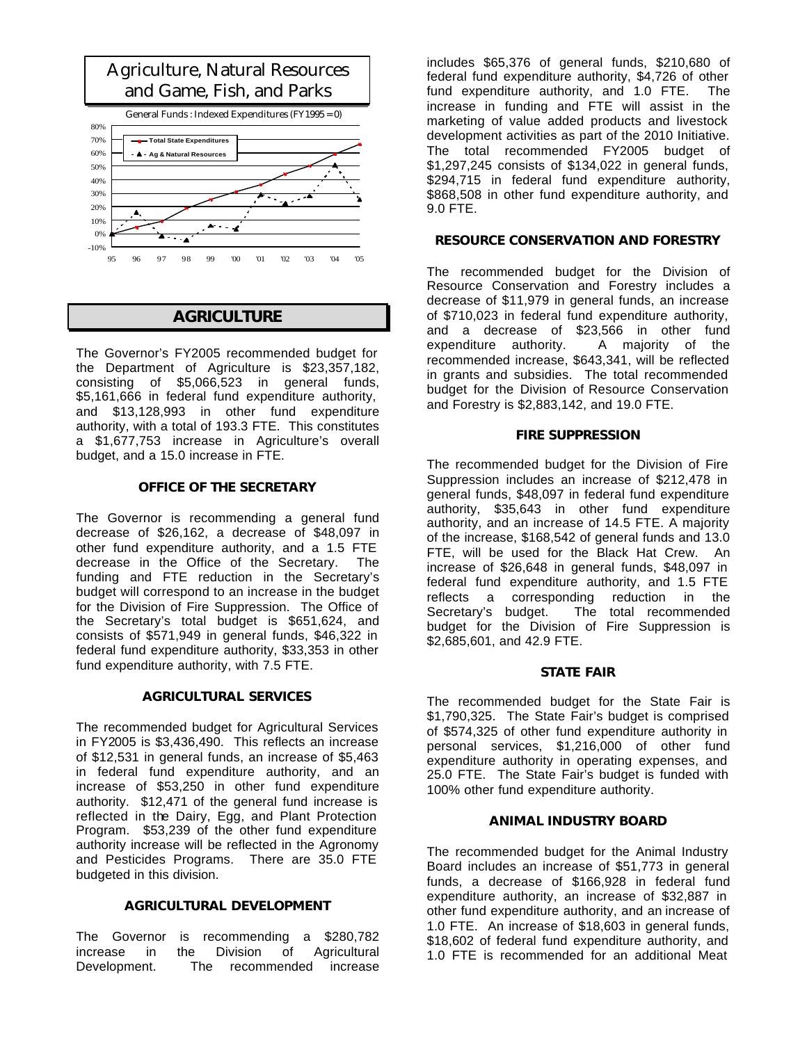

# *AGRICULTURE*

The Governor's FY2005 recommended budget for the Department of Agriculture is \$23,357,182, consisting of \$5,066,523 in general funds, \$5,161,666 in federal fund expenditure authority, and \$13,128,993 in other fund expenditure authority, with a total of 193.3 FTE. This constitutes a \$1,677,753 increase in Agriculture's overall budget, and a 15.0 increase in FTE.

#### *OFFICE OF THE SECRETARY*

The Governor is recommending a general fund decrease of \$26,162, a decrease of \$48,097 in other fund expenditure authority, and a 1.5 FTE decrease in the Office of the Secretary. The funding and FTE reduction in the Secretary's budget will correspond to an increase in the budget for the Division of Fire Suppression. The Office of the Secretary's total budget is \$651,624, and consists of \$571,949 in general funds, \$46,322 in federal fund expenditure authority, \$33,353 in other fund expenditure authority, with 7.5 FTE.

#### *AGRICULTURAL SERVICES*

The recommended budget for Agricultural Services in FY2005 is \$3,436,490. This reflects an increase of \$12,531 in general funds, an increase of \$5,463 in federal fund expenditure authority, and an increase of \$53,250 in other fund expenditure authority. \$12,471 of the general fund increase is reflected in the Dairy, Egg, and Plant Protection Program. \$53,239 of the other fund expenditure authority increase will be reflected in the Agronomy and Pesticides Programs. There are 35.0 FTE budgeted in this division.

#### *AGRICULTURAL DEVELOPMENT*

The Governor is recommending a \$280,782 increase in the Division of Agricultural Development. The recommended increase includes \$65,376 of general funds, \$210,680 of federal fund expenditure authority, \$4,726 of other fund expenditure authority, and 1.0 FTE. The increase in funding and FTE will assist in the marketing of value added products and livestock development activities as part of the 2010 Initiative. The total recommended FY2005 budget of \$1,297,245 consists of \$134,022 in general funds, \$294,715 in federal fund expenditure authority, \$868,508 in other fund expenditure authority, and 9.0 FTE.

#### *RESOURCE CONSERVATION AND FORESTRY*

The recommended budget for the Division of Resource Conservation and Forestry includes a decrease of \$11,979 in general funds, an increase of \$710,023 in federal fund expenditure authority, and a decrease of \$23,566 in other fund expenditure authority. A majority of the recommended increase, \$643,341, will be reflected in grants and subsidies. The total recommended budget for the Division of Resource Conservation and Forestry is \$2,883,142, and 19.0 FTE.

#### *FIRE SUPPRESSION*

The recommended budget for the Division of Fire Suppression includes an increase of \$212,478 in general funds, \$48,097 in federal fund expenditure authority, \$35,643 in other fund expenditure authority, and an increase of 14.5 FTE. A majority of the increase, \$168,542 of general funds and 13.0 FTE, will be used for the Black Hat Crew. An increase of \$26,648 in general funds, \$48,097 in federal fund expenditure authority, and 1.5 FTE reflects a corresponding reduction in the Secretary's budget. The total recommended budget for the Division of Fire Suppression is \$2,685,601, and 42.9 FTE.

#### *STATE FAIR*

The recommended budget for the State Fair is \$1,790,325. The State Fair's budget is comprised of \$574,325 of other fund expenditure authority in personal services, \$1,216,000 of other fund expenditure authority in operating expenses, and 25.0 FTE. The State Fair's budget is funded with 100% other fund expenditure authority.

#### *ANIMAL INDUSTRY BOARD*

The recommended budget for the Animal Industry Board includes an increase of \$51,773 in general funds, a decrease of \$166,928 in federal fund expenditure authority, an increase of \$32,887 in other fund expenditure authority, and an increase of 1.0 FTE. An increase of \$18,603 in general funds, \$18,602 of federal fund expenditure authority, and 1.0 FTE is recommended for an additional Meat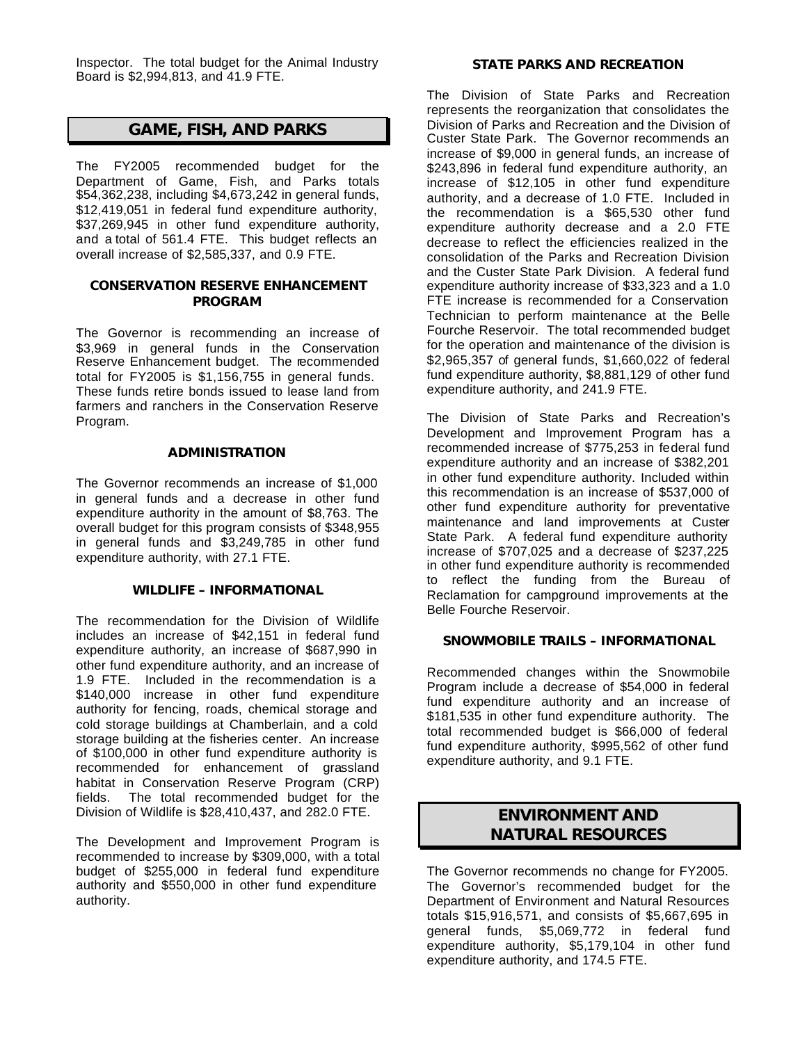Inspector. The total budget for the Animal Industry Board is \$2,994,813, and 41.9 FTE.

## *GAME, FISH, AND PARKS*

The FY2005 recommended budget for the Department of Game, Fish, and Parks totals \$54,362,238, including \$4,673,242 in general funds, \$12,419,051 in federal fund expenditure authority, \$37,269,945 in other fund expenditure authority, and a total of 561.4 FTE. This budget reflects an overall increase of \$2,585,337, and 0.9 FTE.

#### *CONSERVATION RESERVE ENHANCEMENT PROGRAM*

The Governor is recommending an increase of \$3,969 in general funds in the Conservation Reserve Enhancement budget. The recommended total for FY2005 is \$1,156,755 in general funds. These funds retire bonds issued to lease land from farmers and ranchers in the Conservation Reserve Program.

#### *ADMINISTRATION*

The Governor recommends an increase of \$1,000 in general funds and a decrease in other fund expenditure authority in the amount of \$8,763. The overall budget for this program consists of \$348,955 in general funds and \$3,249,785 in other fund expenditure authority, with 27.1 FTE.

#### *WILDLIFE – INFORMATIONAL*

The recommendation for the Division of Wildlife includes an increase of \$42,151 in federal fund expenditure authority, an increase of \$687,990 in other fund expenditure authority, and an increase of 1.9 FTE. Included in the recommendation is a \$140,000 increase in other fund expenditure authority for fencing, roads, chemical storage and cold storage buildings at Chamberlain, and a cold storage building at the fisheries center. An increase of \$100,000 in other fund expenditure authority is recommended for enhancement of grassland habitat in Conservation Reserve Program (CRP) fields. The total recommended budget for the Division of Wildlife is \$28,410,437, and 282.0 FTE.

The Development and Improvement Program is recommended to increase by \$309,000, with a total budget of \$255,000 in federal fund expenditure authority and \$550,000 in other fund expenditure authority.

#### *STATE PARKS AND RECREATION*

The Division of State Parks and Recreation represents the reorganization that consolidates the Division of Parks and Recreation and the Division of Custer State Park. The Governor recommends an increase of \$9,000 in general funds, an increase of \$243,896 in federal fund expenditure authority, an increase of \$12,105 in other fund expenditure authority, and a decrease of 1.0 FTE. Included in the recommendation is a \$65,530 other fund expenditure authority decrease and a 2.0 FTE decrease to reflect the efficiencies realized in the consolidation of the Parks and Recreation Division and the Custer State Park Division. A federal fund expenditure authority increase of \$33,323 and a 1.0 FTE increase is recommended for a Conservation Technician to perform maintenance at the Belle Fourche Reservoir. The total recommended budget for the operation and maintenance of the division is \$2,965,357 of general funds, \$1,660,022 of federal fund expenditure authority, \$8,881,129 of other fund expenditure authority, and 241.9 FTE.

The Division of State Parks and Recreation's Development and Improvement Program has a recommended increase of \$775,253 in federal fund expenditure authority and an increase of \$382,201 in other fund expenditure authority. Included within this recommendation is an increase of \$537,000 of other fund expenditure authority for preventative maintenance and land improvements at Custer State Park. A federal fund expenditure authority increase of \$707,025 and a decrease of \$237,225 in other fund expenditure authority is recommended to reflect the funding from the Bureau of Reclamation for campground improvements at the Belle Fourche Reservoir.

#### *SNOWMOBILE TRAILS – INFORMATIONAL*

Recommended changes within the Snowmobile Program include a decrease of \$54,000 in federal fund expenditure authority and an increase of \$181,535 in other fund expenditure authority. The total recommended budget is \$66,000 of federal fund expenditure authority, \$995,562 of other fund expenditure authority, and 9.1 FTE.

# *ENVIRONMENT AND NATURAL RESOURCES*

The Governor recommends no change for FY2005. The Governor's recommended budget for the Department of Environment and Natural Resources totals \$15,916,571, and consists of \$5,667,695 in general funds, \$5,069,772 in federal fund expenditure authority, \$5,179,104 in other fund expenditure authority, and 174.5 FTE.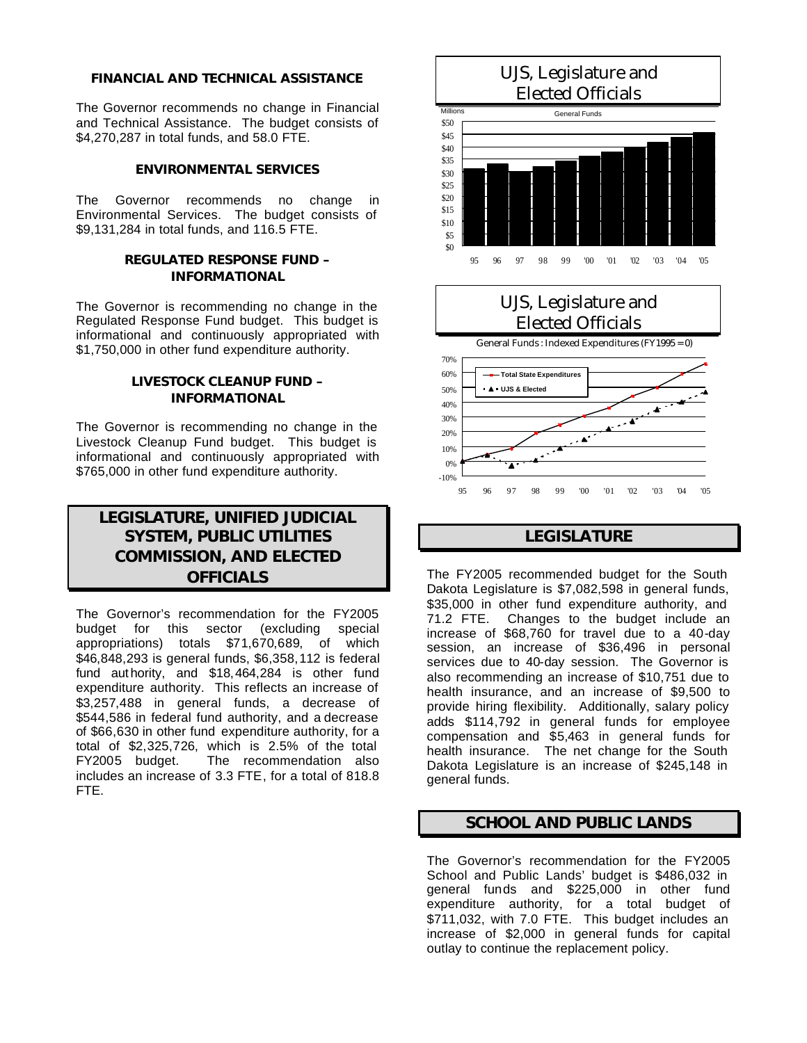#### *FINANCIAL AND TECHNICAL ASSISTANCE*

The Governor recommends no change in Financial and Technical Assistance. The budget consists of \$4,270,287 in total funds, and 58.0 FTE.

#### *ENVIRONMENTAL SERVICES*

The Governor recommends no change in Environmental Services. The budget consists of \$9,131,284 in total funds, and 116.5 FTE.

#### *REGULATED RESPONSE FUND – INFORMATIONAL*

The Governor is recommending no change in the Regulated Response Fund budget. This budget is informational and continuously appropriated with \$1,750,000 in other fund expenditure authority.

#### *LIVESTOCK CLEANUP FUND – INFORMATIONAL*

The Governor is recommending no change in the Livestock Cleanup Fund budget. This budget is informational and continuously appropriated with \$765,000 in other fund expenditure authority.

# *LEGISLATURE, UNIFIED JUDICIAL SYSTEM, PUBLIC UTILITIES COMMISSION, AND ELECTED OFFICIALS*

The Governor's recommendation for the FY2005 budget for this sector (excluding special appropriations) totals \$71,670,689, of which \$46,848,293 is general funds, \$6,358,112 is federal fund authority, and \$18,464,284 is other fund expenditure authority. This reflects an increase of \$3,257,488 in general funds, a decrease of \$544,586 in federal fund authority, and a decrease of \$66,630 in other fund expenditure authority, for a total of \$2,325,726, which is 2.5% of the total FY2005 budget. The recommendation also includes an increase of 3.3 FTE, for a total of 818.8 FTE.



# *LEGISLATURE*

The FY2005 recommended budget for the South Dakota Legislature is \$7,082,598 in general funds, \$35,000 in other fund expenditure authority, and 71.2 FTE. Changes to the budget include an increase of \$68,760 for travel due to a 40-day session, an increase of \$36,496 in personal services due to 40-day session. The Governor is also recommending an increase of \$10,751 due to health insurance, and an increase of \$9,500 to provide hiring flexibility. Additionally, salary policy adds \$114,792 in general funds for employee compensation and \$5,463 in general funds for health insurance. The net change for the South Dakota Legislature is an increase of \$245,148 in general funds.

## *SCHOOL AND PUBLIC LANDS*

The Governor's recommendation for the FY2005 School and Public Lands' budget is \$486,032 in general funds and \$225,000 in other fund expenditure authority, for a total budget of \$711,032, with 7.0 FTE. This budget includes an increase of \$2,000 in general funds for capital outlay to continue the replacement policy.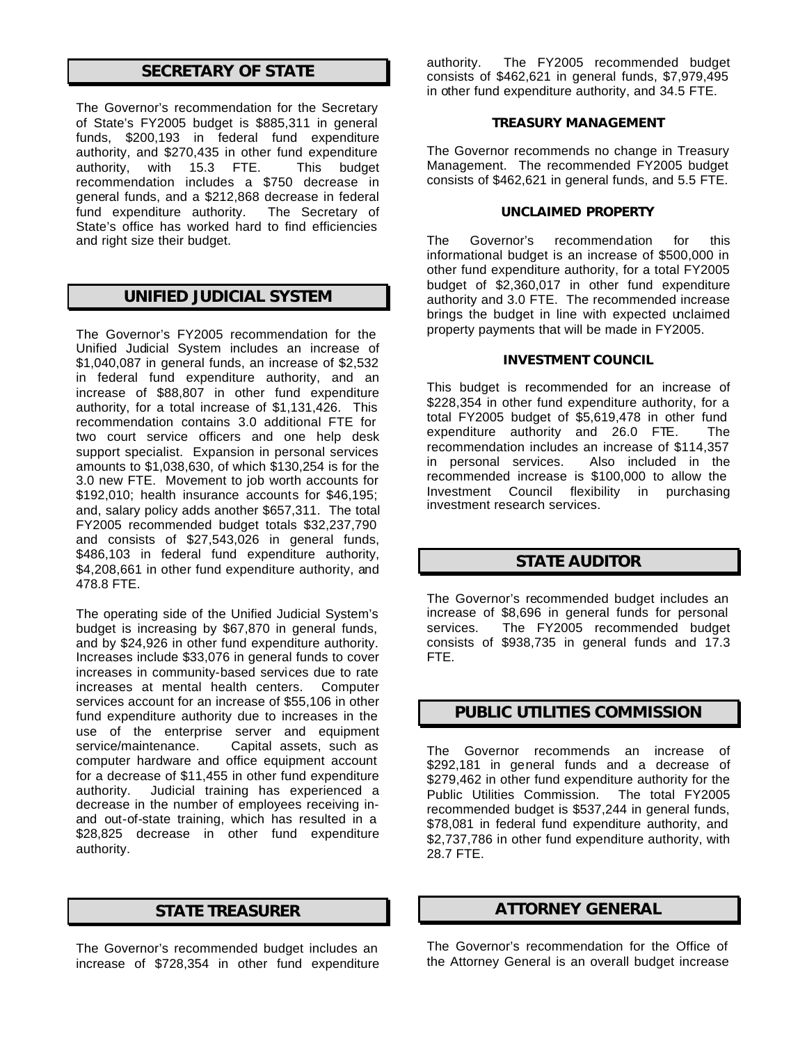# *SECRETARY OF STATE*

The Governor's recommendation for the Secretary of State's FY2005 budget is \$885,311 in general funds, \$200,193 in federal fund expenditure authority, and \$270,435 in other fund expenditure authority, with 15.3 FTE. This budget recommendation includes a \$750 decrease in general funds, and a \$212,868 decrease in federal fund expenditure authority. The Secretary of State's office has worked hard to find efficiencies and right size their budget.

## *UNIFIED JUDICIAL SYSTEM*

The Governor's FY2005 recommendation for the Unified Judicial System includes an increase of \$1,040,087 in general funds, an increase of \$2,532 in federal fund expenditure authority, and an increase of \$88,807 in other fund expenditure authority, for a total increase of \$1,131,426. This recommendation contains 3.0 additional FTE for two court service officers and one help desk support specialist. Expansion in personal services amounts to \$1,038,630, of which \$130,254 is for the 3.0 new FTE. Movement to job worth accounts for \$192,010; health insurance accounts for \$46,195; and, salary policy adds another \$657,311. The total FY2005 recommended budget totals \$32,237,790 and consists of \$27,543,026 in general funds, \$486,103 in federal fund expenditure authority, \$4,208,661 in other fund expenditure authority, and 478.8 FTE.

The operating side of the Unified Judicial System's budget is increasing by \$67,870 in general funds, and by \$24,926 in other fund expenditure authority. Increases include \$33,076 in general funds to cover increases in community-based services due to rate increases at mental health centers. Computer services account for an increase of \$55,106 in other fund expenditure authority due to increases in the use of the enterprise server and equipment service/maintenance. Capital assets, such as computer hardware and office equipment account for a decrease of \$11,455 in other fund expenditure authority. Judicial training has experienced a decrease in the number of employees receiving inand out-of-state training, which has resulted in a \$28,825 decrease in other fund expenditure authority.

## *STATE TREASURER*

The Governor's recommended budget includes an increase of \$728,354 in other fund expenditure authority. The FY2005 recommended budget consists of \$462,621 in general funds, \$7,979,495 in other fund expenditure authority, and 34.5 FTE.

#### *TREASURY MANAGEMENT*

The Governor recommends no change in Treasury Management. The recommended FY2005 budget consists of \$462,621 in general funds, and 5.5 FTE.

#### *UNCLAIMED PROPERTY*

The Governor's recommendation for this informational budget is an increase of \$500,000 in other fund expenditure authority, for a total FY2005 budget of \$2,360,017 in other fund expenditure authority and 3.0 FTE. The recommended increase brings the budget in line with expected unclaimed property payments that will be made in FY2005.

#### *INVESTMENT COUNCIL*

This budget is recommended for an increase of \$228,354 in other fund expenditure authority, for a total FY2005 budget of \$5,619,478 in other fund expenditure authority and 26.0 FTE. The recommendation includes an increase of \$114,357 in personal services. Also included in the recommended increase is \$100,000 to allow the Investment Council flexibility in purchasing investment research services.

## *STATE AUDITOR*

The Governor's recommended budget includes an increase of \$8,696 in general funds for personal services. The FY2005 recommended budget consists of \$938,735 in general funds and 17.3 FTE.

## *PUBLIC UTILITIES COMMISSION*

The Governor recommends an increase of \$292,181 in general funds and a decrease of \$279,462 in other fund expenditure authority for the Public Utilities Commission. The total FY2005 recommended budget is \$537,244 in general funds, \$78,081 in federal fund expenditure authority, and \$2,737,786 in other fund expenditure authority, with 28.7 FTE.

## *ATTORNEY GENERAL*

The Governor's recommendation for the Office of the Attorney General is an overall budget increase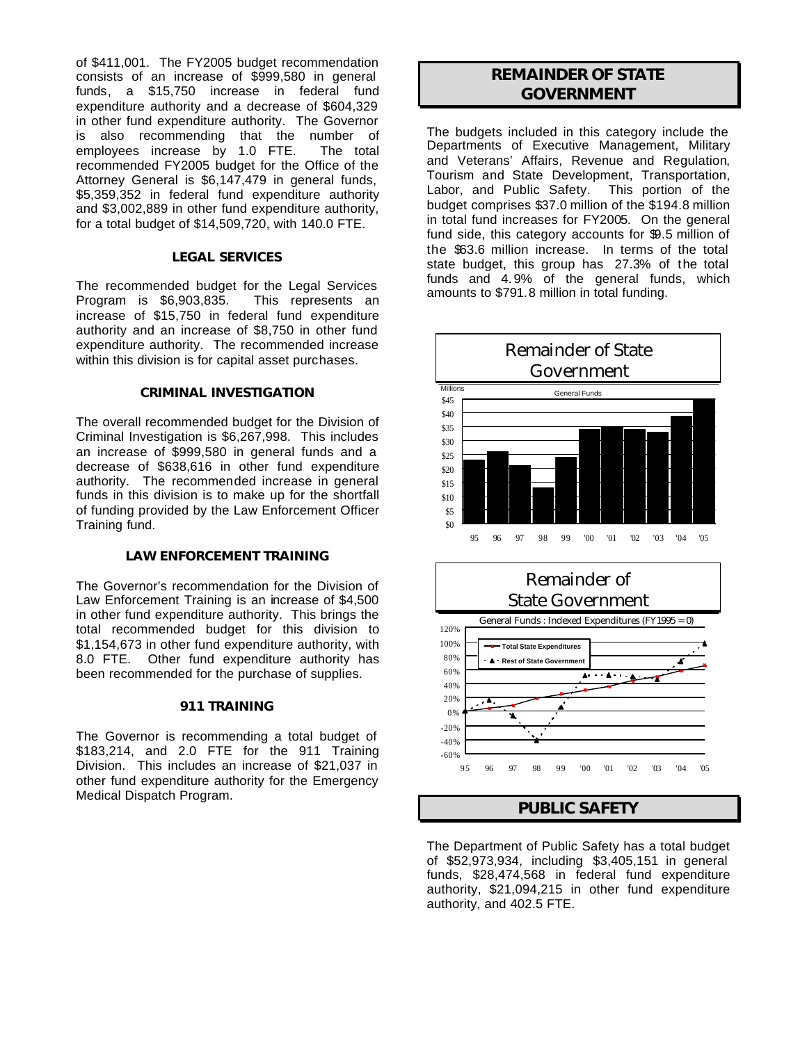of \$411,001. The FY2005 budget recommendation consists of an increase of \$999,580 in general funds, a \$15,750 increase in federal fund expenditure authority and a decrease of \$604,329 in other fund expenditure authority. The Governor is also recommending that the number of employees increase by 1.0 FTE. The total recommended FY2005 budget for the Office of the Attorney General is \$6,147,479 in general funds, \$5,359,352 in federal fund expenditure authority and \$3,002,889 in other fund expenditure authority, for a total budget of \$14,509,720, with 140.0 FTE.

#### *LEGAL SERVICES*

The recommended budget for the Legal Services Program is \$6,903,835. This represents an increase of \$15,750 in federal fund expenditure authority and an increase of \$8,750 in other fund expenditure authority. The recommended increase within this division is for capital asset purchases.

#### *CRIMINAL INVESTIGATION*

The overall recommended budget for the Division of Criminal Investigation is \$6,267,998. This includes an increase of \$999,580 in general funds and a decrease of \$638,616 in other fund expenditure authority. The recommended increase in general funds in this division is to make up for the shortfall of funding provided by the Law Enforcement Officer Training fund.

#### *LAW ENFORCEMENT TRAINING*

The Governor's recommendation for the Division of Law Enforcement Training is an increase of \$4,500 in other fund expenditure authority. This brings the total recommended budget for this division to \$1,154,673 in other fund expenditure authority, with 8.0 FTE. Other fund expenditure authority has been recommended for the purchase of supplies.

#### *911 TRAINING*

The Governor is recommending a total budget of \$183,214, and 2.0 FTE for the 911 Training Division. This includes an increase of \$21,037 in other fund expenditure authority for the Emergency Medical Dispatch Program.

# *REMAINDER OF STATE GOVERNMENT*

The budgets included in this category include the Departments of Executive Management, Military and Veterans' Affairs, Revenue and Regulation, Tourism and State Development, Transportation, Labor, and Public Safety. This portion of the budget comprises \$37.0 million of the \$194.8 million in total fund increases for FY2005. On the general fund side, this category accounts for \$9.5 million of the \$63.6 million increase. In terms of the total state budget, this group has 27.3% of the total funds and 4. 9% of the general funds, which amounts to \$791.8 million in total funding.



The Department of Public Safety has a total budget of \$52,973,934, including \$3,405,151 in general funds, \$28,474,568 in federal fund expenditure authority, \$21,094,215 in other fund expenditure authority, and 402.5 FTE.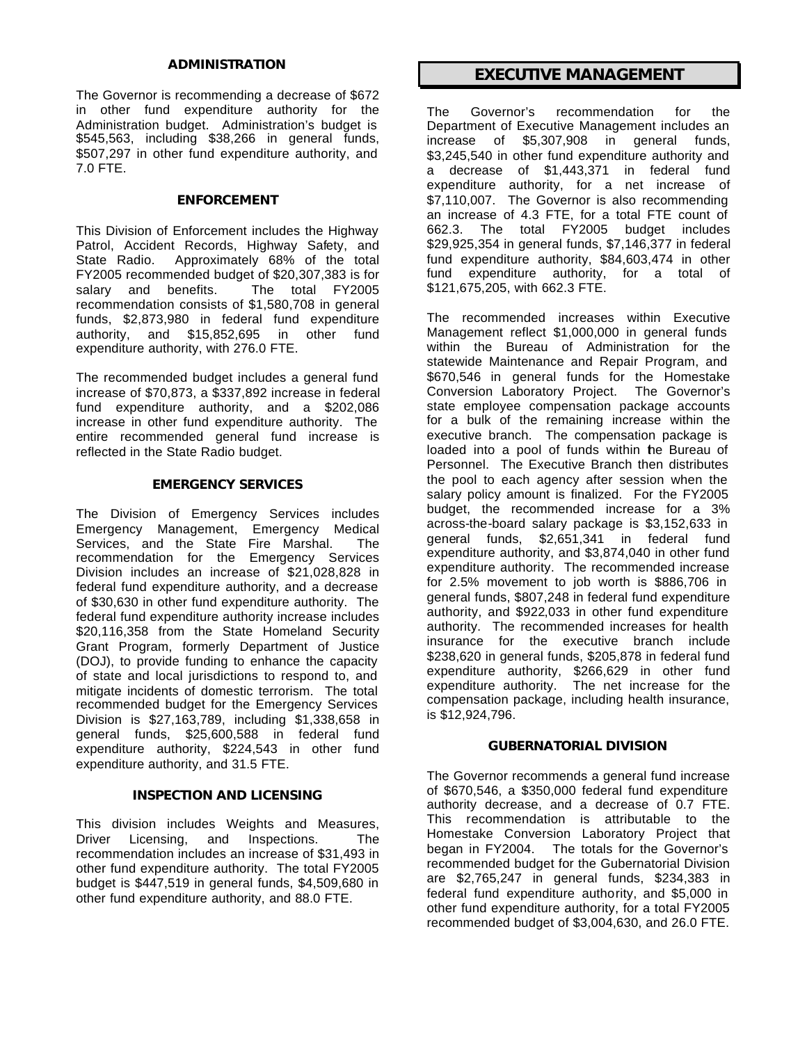#### *ADMINISTRATION*

The Governor is recommending a decrease of \$672 in other fund expenditure authority for the Administration budget. Administration's budget is \$545,563, including \$38,266 in general funds, \$507,297 in other fund expenditure authority, and 7.0 FTE.

#### *ENFORCEMENT*

This Division of Enforcement includes the Highway Patrol, Accident Records, Highway Safety, and State Radio. Approximately 68% of the total FY2005 recommended budget of \$20,307,383 is for salary and benefits. The total FY2005 recommendation consists of \$1,580,708 in general funds, \$2,873,980 in federal fund expenditure authority, and \$15,852,695 in other fund expenditure authority, with 276.0 FTE.

The recommended budget includes a general fund increase of \$70,873, a \$337,892 increase in federal fund expenditure authority, and a \$202,086 increase in other fund expenditure authority. The entire recommended general fund increase is reflected in the State Radio budget.

#### *EMERGENCY SERVICES*

The Division of Emergency Services includes Emergency Management, Emergency Medical Services, and the State Fire Marshal. The recommendation for the Emergency Services Division includes an increase of \$21,028,828 in federal fund expenditure authority, and a decrease of \$30,630 in other fund expenditure authority. The federal fund expenditure authority increase includes \$20,116,358 from the State Homeland Security Grant Program, formerly Department of Justice (DOJ), to provide funding to enhance the capacity of state and local jurisdictions to respond to, and mitigate incidents of domestic terrorism. The total recommended budget for the Emergency Services Division is \$27,163,789, including \$1,338,658 in general funds, \$25,600,588 in federal fund expenditure authority, \$224,543 in other fund expenditure authority, and 31.5 FTE.

#### *INSPECTION AND LICENSING*

This division includes Weights and Measures, Driver Licensing, and Inspections. The recommendation includes an increase of \$31,493 in other fund expenditure authority. The total FY2005 budget is \$447,519 in general funds, \$4,509,680 in other fund expenditure authority, and 88.0 FTE.

## *EXECUTIVE MANAGEMENT*

The Governor's recommendation for the Department of Executive Management includes an increase of \$5,307,908 in general funds, \$3,245,540 in other fund expenditure authority and a decrease of \$1,443,371 in federal fund expenditure authority, for a net increase of \$7,110,007. The Governor is also recommending an increase of 4.3 FTE, for a total FTE count of 662.3. The total FY2005 budget includes \$29,925,354 in general funds, \$7,146,377 in federal fund expenditure authority, \$84,603,474 in other fund expenditure authority, for a total of \$121,675,205, with 662.3 FTE.

The recommended increases within Executive Management reflect \$1,000,000 in general funds within the Bureau of Administration for the statewide Maintenance and Repair Program, and \$670,546 in general funds for the Homestake Conversion Laboratory Project. The Governor's state employee compensation package accounts for a bulk of the remaining increase within the executive branch. The compensation package is loaded into a pool of funds within he Bureau of Personnel. The Executive Branch then distributes the pool to each agency after session when the salary policy amount is finalized. For the FY2005 budget, the recommended increase for a 3% across-the-board salary package is \$3,152,633 in general funds, \$2,651,341 in federal fund expenditure authority, and \$3,874,040 in other fund expenditure authority. The recommended increase for 2.5% movement to job worth is \$886,706 in general funds, \$807,248 in federal fund expenditure authority, and \$922,033 in other fund expenditure authority. The recommended increases for health insurance for the executive branch include \$238,620 in general funds, \$205,878 in federal fund expenditure authority, \$266,629 in other fund expenditure authority. The net increase for the compensation package, including health insurance, is \$12,924,796.

#### *GUBERNATORIAL DIVISION*

The Governor recommends a general fund increase of \$670,546, a \$350,000 federal fund expenditure authority decrease, and a decrease of 0.7 FTE. This recommendation is attributable to the Homestake Conversion Laboratory Project that began in FY2004. The totals for the Governor's recommended budget for the Gubernatorial Division are \$2,765,247 in general funds, \$234,383 in federal fund expenditure authority, and \$5,000 in other fund expenditure authority, for a total FY2005 recommended budget of \$3,004,630, and 26.0 FTE.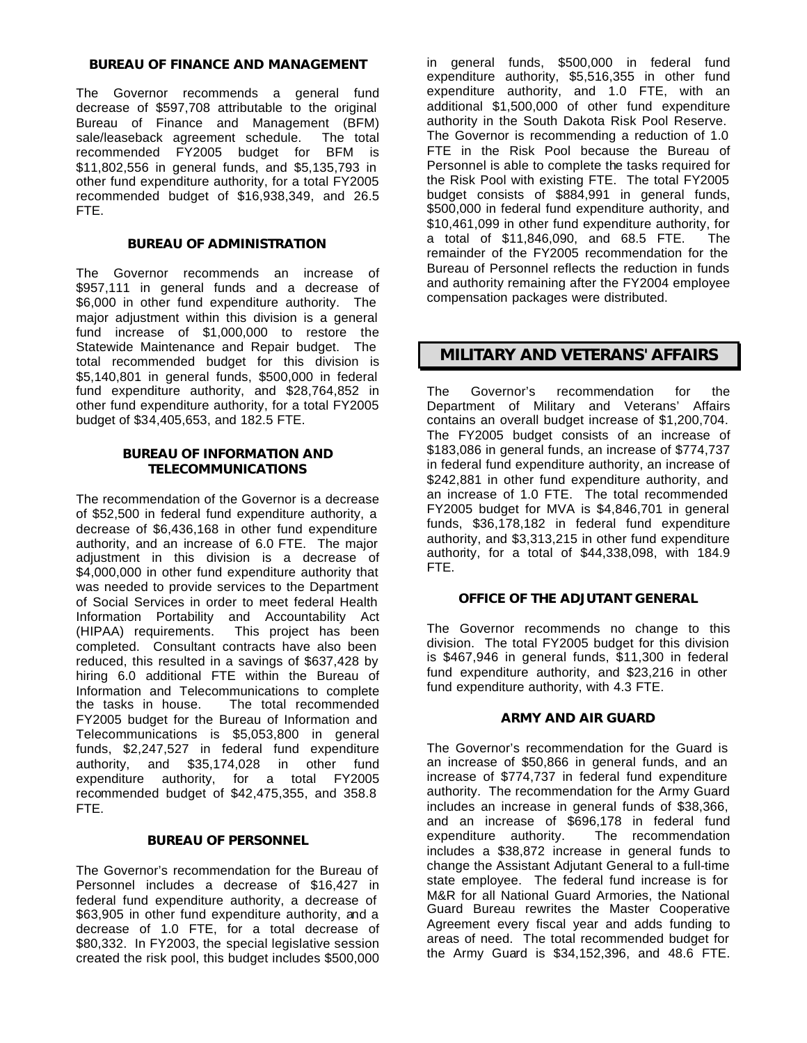#### *BUREAU OF FINANCE AND MANAGEMENT*

The Governor recommends a general fund decrease of \$597,708 attributable to the original Bureau of Finance and Management (BFM) sale/leaseback agreement schedule. The total recommended FY2005 budget for BFM is \$11,802,556 in general funds, and \$5,135,793 in other fund expenditure authority, for a total FY2005 recommended budget of \$16,938,349, and 26.5 FTE.

#### *BUREAU OF ADMINISTRATION*

The Governor recommends an increase of \$957,111 in general funds and a decrease of \$6,000 in other fund expenditure authority. The major adjustment within this division is a general fund increase of \$1,000,000 to restore the Statewide Maintenance and Repair budget. The total recommended budget for this division is \$5,140,801 in general funds, \$500,000 in federal fund expenditure authority, and \$28,764,852 in other fund expenditure authority, for a total FY2005 budget of \$34,405,653, and 182.5 FTE.

#### *BUREAU OF INFORMATION AND TELECOMMUNICATIONS*

The recommendation of the Governor is a decrease of \$52,500 in federal fund expenditure authority, a decrease of \$6,436,168 in other fund expenditure authority, and an increase of 6.0 FTE. The major adjustment in this division is a decrease of \$4,000,000 in other fund expenditure authority that was needed to provide services to the Department of Social Services in order to meet federal Health Information Portability and Accountability Act (HIPAA) requirements. This project has been completed. Consultant contracts have also been reduced, this resulted in a savings of \$637,428 by hiring 6.0 additional FTE within the Bureau of Information and Telecommunications to complete the tasks in house. The total recommended FY2005 budget for the Bureau of Information and Telecommunications is \$5,053,800 in general funds, \$2,247,527 in federal fund expenditure authority, and \$35,174,028 in other fund expenditure authority, for a total FY2005 recommended budget of \$42,475,355, and 358.8 FTE.

#### *BUREAU OF PERSONNEL*

The Governor's recommendation for the Bureau of Personnel includes a decrease of \$16,427 in federal fund expenditure authority, a decrease of \$63,905 in other fund expenditure authority, and a decrease of 1.0 FTE, for a total decrease of \$80,332. In FY2003, the special legislative session created the risk pool, this budget includes \$500,000

in general funds, \$500,000 in federal fund expenditure authority, \$5,516,355 in other fund expenditure authority, and 1.0 FTE, with an additional \$1,500,000 of other fund expenditure authority in the South Dakota Risk Pool Reserve. The Governor is recommending a reduction of 1.0 FTE in the Risk Pool because the Bureau of Personnel is able to complete the tasks required for the Risk Pool with existing FTE. The total FY2005 budget consists of \$884,991 in general funds, \$500,000 in federal fund expenditure authority, and \$10,461,099 in other fund expenditure authority, for a total of \$11,846,090, and 68.5 FTE. The remainder of the FY2005 recommendation for the Bureau of Personnel reflects the reduction in funds and authority remaining after the FY2004 employee compensation packages were distributed.

## *MILITARY AND VETERANS' AFFAIRS*

The Governor's recommendation for the Department of Military and Veterans' Affairs contains an overall budget increase of \$1,200,704. The FY2005 budget consists of an increase of \$183,086 in general funds, an increase of \$774,737 in federal fund expenditure authority, an increase of \$242,881 in other fund expenditure authority, and an increase of 1.0 FTE. The total recommended FY2005 budget for MVA is \$4,846,701 in general funds, \$36,178,182 in federal fund expenditure authority, and \$3,313,215 in other fund expenditure authority, for a total of \$44,338,098, with 184.9 FTE.

#### *OFFICE OF THE ADJUTANT GENERAL*

The Governor recommends no change to this division. The total FY2005 budget for this division is \$467,946 in general funds, \$11,300 in federal fund expenditure authority, and \$23,216 in other fund expenditure authority, with 4.3 FTE.

#### *ARMY AND AIR GUARD*

The Governor's recommendation for the Guard is an increase of \$50,866 in general funds, and an increase of \$774,737 in federal fund expenditure authority. The recommendation for the Army Guard includes an increase in general funds of \$38,366, and an increase of \$696,178 in federal fund expenditure authority. The recommendation includes a \$38,872 increase in general funds to change the Assistant Adjutant General to a full-time state employee. The federal fund increase is for M&R for all National Guard Armories, the National Guard Bureau rewrites the Master Cooperative Agreement every fiscal year and adds funding to areas of need. The total recommended budget for the Army Guard is \$34,152,396, and 48.6 FTE.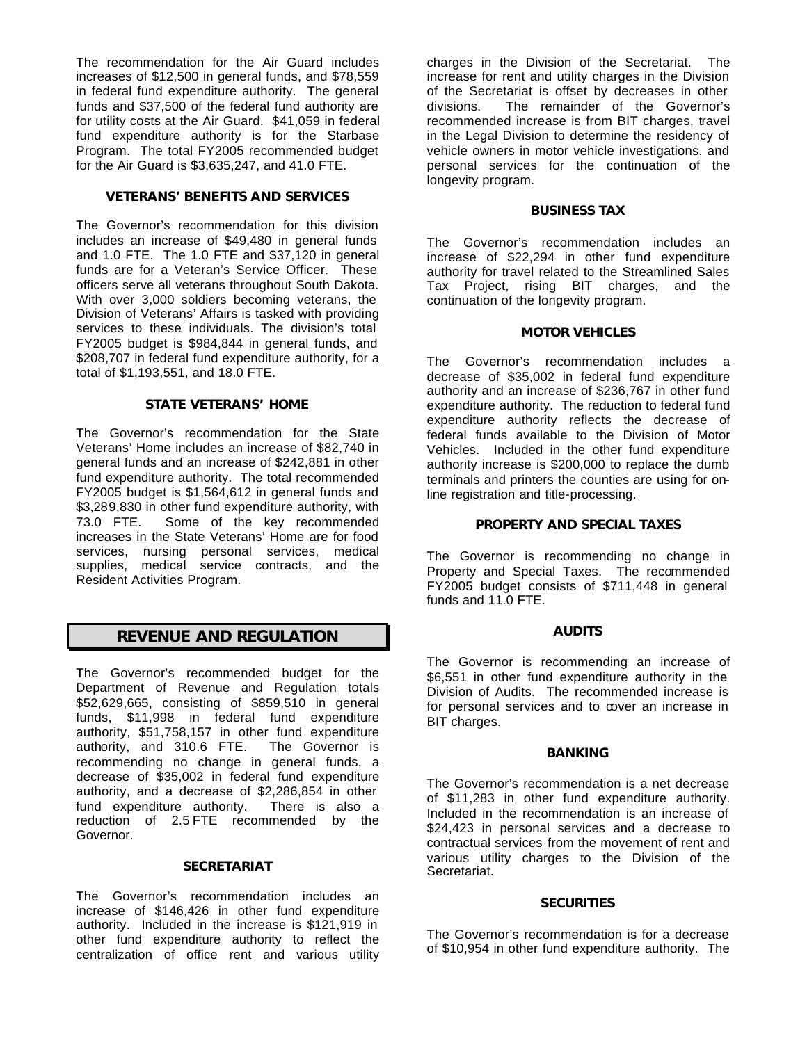The recommendation for the Air Guard includes increases of \$12,500 in general funds, and \$78,559 in federal fund expenditure authority. The general funds and \$37,500 of the federal fund authority are for utility costs at the Air Guard. \$41,059 in federal fund expenditure authority is for the Starbase Program. The total FY2005 recommended budget for the Air Guard is \$3,635,247, and 41.0 FTE.

#### *VETERANS' BENEFITS AND SERVICES*

The Governor's recommendation for this division includes an increase of \$49,480 in general funds and 1.0 FTE. The 1.0 FTE and \$37,120 in general funds are for a Veteran's Service Officer. These officers serve all veterans throughout South Dakota. With over 3,000 soldiers becoming veterans, the Division of Veterans' Affairs is tasked with providing services to these individuals. The division's total FY2005 budget is \$984,844 in general funds, and \$208,707 in federal fund expenditure authority, for a total of \$1,193,551, and 18.0 FTE.

#### *STATE VETERANS' HOME*

The Governor's recommendation for the State Veterans' Home includes an increase of \$82,740 in general funds and an increase of \$242,881 in other fund expenditure authority. The total recommended FY2005 budget is \$1,564,612 in general funds and \$3,289,830 in other fund expenditure authority, with 73.0 FTE. Some of the key recommended increases in the State Veterans' Home are for food services, nursing personal services, medical supplies, medical service contracts, and the Resident Activities Program.

## *REVENUE AND REGULATION*

The Governor's recommended budget for the Department of Revenue and Regulation totals \$52,629,665, consisting of \$859,510 in general funds, \$11,998 in federal fund expenditure authority, \$51,758,157 in other fund expenditure authority, and 310.6 FTE. The Governor is recommending no change in general funds, a decrease of \$35,002 in federal fund expenditure authority, and a decrease of \$2,286,854 in other fund expenditure authority. There is also a reduction of 2.5 FTE recommended by the Governor.

#### *SECRETARIAT*

The Governor's recommendation includes an increase of \$146,426 in other fund expenditure authority. Included in the increase is \$121,919 in other fund expenditure authority to reflect the centralization of office rent and various utility charges in the Division of the Secretariat. The increase for rent and utility charges in the Division of the Secretariat is offset by decreases in other divisions. The remainder of the Governor's recommended increase is from BIT charges, travel in the Legal Division to determine the residency of vehicle owners in motor vehicle investigations, and personal services for the continuation of the longevity program.

#### *BUSINESS TAX*

The Governor's recommendation includes an increase of \$22,294 in other fund expenditure authority for travel related to the Streamlined Sales Tax Project, rising BIT charges, and the continuation of the longevity program.

#### *MOTOR VEHICLES*

The Governor's recommendation includes a decrease of \$35,002 in federal fund expenditure authority and an increase of \$236,767 in other fund expenditure authority. The reduction to federal fund expenditure authority reflects the decrease of federal funds available to the Division of Motor Vehicles. Included in the other fund expenditure authority increase is \$200,000 to replace the dumb terminals and printers the counties are using for online registration and title-processing.

#### *PROPERTY AND SPECIAL TAXES*

The Governor is recommending no change in Property and Special Taxes. The recommended FY2005 budget consists of \$711,448 in general funds and 11.0 FTE.

#### *AUDITS*

The Governor is recommending an increase of \$6,551 in other fund expenditure authority in the Division of Audits. The recommended increase is for personal services and to cover an increase in BIT charges.

#### *BANKING*

The Governor's recommendation is a net decrease of \$11,283 in other fund expenditure authority. Included in the recommendation is an increase of \$24,423 in personal services and a decrease to contractual services from the movement of rent and various utility charges to the Division of the Secretariat.

#### *SECURITIES*

The Governor's recommendation is for a decrease of \$10,954 in other fund expenditure authority. The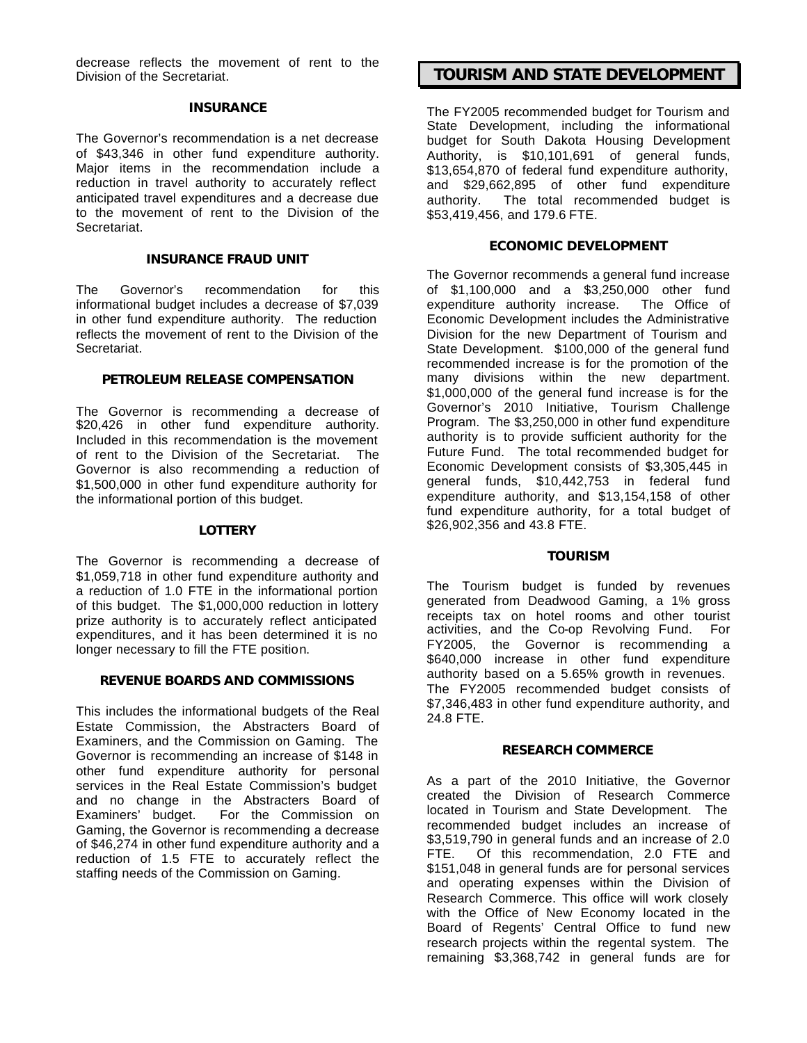decrease reflects the movement of rent to the Division of the Secretariat.

#### *INSURANCE*

The Governor's recommendation is a net decrease of \$43,346 in other fund expenditure authority. Major items in the recommendation include a reduction in travel authority to accurately reflect anticipated travel expenditures and a decrease due to the movement of rent to the Division of the Secretariat.

#### *INSURANCE FRAUD UNIT*

The Governor's recommendation for this informational budget includes a decrease of \$7,039 in other fund expenditure authority. The reduction reflects the movement of rent to the Division of the Secretariat.

#### *PETROLEUM RELEASE COMPENSATION*

The Governor is recommending a decrease of \$20,426 in other fund expenditure authority. Included in this recommendation is the movement of rent to the Division of the Secretariat. The Governor is also recommending a reduction of \$1,500,000 in other fund expenditure authority for the informational portion of this budget.

#### *LOTTERY*

The Governor is recommending a decrease of \$1,059,718 in other fund expenditure authority and a reduction of 1.0 FTE in the informational portion of this budget. The \$1,000,000 reduction in lottery prize authority is to accurately reflect anticipated expenditures, and it has been determined it is no longer necessary to fill the FTE position.

#### *REVENUE BOARDS AND COMMISSIONS*

This includes the informational budgets of the Real Estate Commission, the Abstracters Board of Examiners, and the Commission on Gaming. The Governor is recommending an increase of \$148 in other fund expenditure authority for personal services in the Real Estate Commission's budget and no change in the Abstracters Board of Examiners' budget. For the Commission on Gaming, the Governor is recommending a decrease of \$46,274 in other fund expenditure authority and a reduction of 1.5 FTE to accurately reflect the staffing needs of the Commission on Gaming.

### *TOURISM AND STATE DEVELOPMENT*

The FY2005 recommended budget for Tourism and State Development, including the informational budget for South Dakota Housing Development Authority, is \$10,101,691 of general funds, \$13,654,870 of federal fund expenditure authority, and \$29,662,895 of other fund expenditure authority. The total recommended budget is \$53,419,456, and 179.6 FTE.

#### *ECONOMIC DEVELOPMENT*

The Governor recommends a general fund increase of \$1,100,000 and a \$3,250,000 other fund expenditure authority increase. The Office of Economic Development includes the Administrative Division for the new Department of Tourism and State Development. \$100,000 of the general fund recommended increase is for the promotion of the many divisions within the new department. \$1,000,000 of the general fund increase is for the Governor's 2010 Initiative, Tourism Challenge Program. The \$3,250,000 in other fund expenditure authority is to provide sufficient authority for the Future Fund. The total recommended budget for Economic Development consists of \$3,305,445 in general funds, \$10,442,753 in federal fund expenditure authority, and \$13,154,158 of other fund expenditure authority, for a total budget of \$26,902,356 and 43.8 FTE.

#### *TOURISM*

The Tourism budget is funded by revenues generated from Deadwood Gaming, a 1% gross receipts tax on hotel rooms and other tourist activities, and the Co-op Revolving Fund. For FY2005, the Governor is recommending a \$640,000 increase in other fund expenditure authority based on a 5.65% growth in revenues. The FY2005 recommended budget consists of \$7,346,483 in other fund expenditure authority, and 24.8 FTE.

#### *RESEARCH COMMERCE*

As a part of the 2010 Initiative, the Governor created the Division of Research Commerce located in Tourism and State Development. The recommended budget includes an increase of \$3,519,790 in general funds and an increase of 2.0 FTE. Of this recommendation, 2.0 FTE and \$151,048 in general funds are for personal services and operating expenses within the Division of Research Commerce. This office will work closely with the Office of New Economy located in the Board of Regents' Central Office to fund new research projects within the regental system. The remaining \$3,368,742 in general funds are for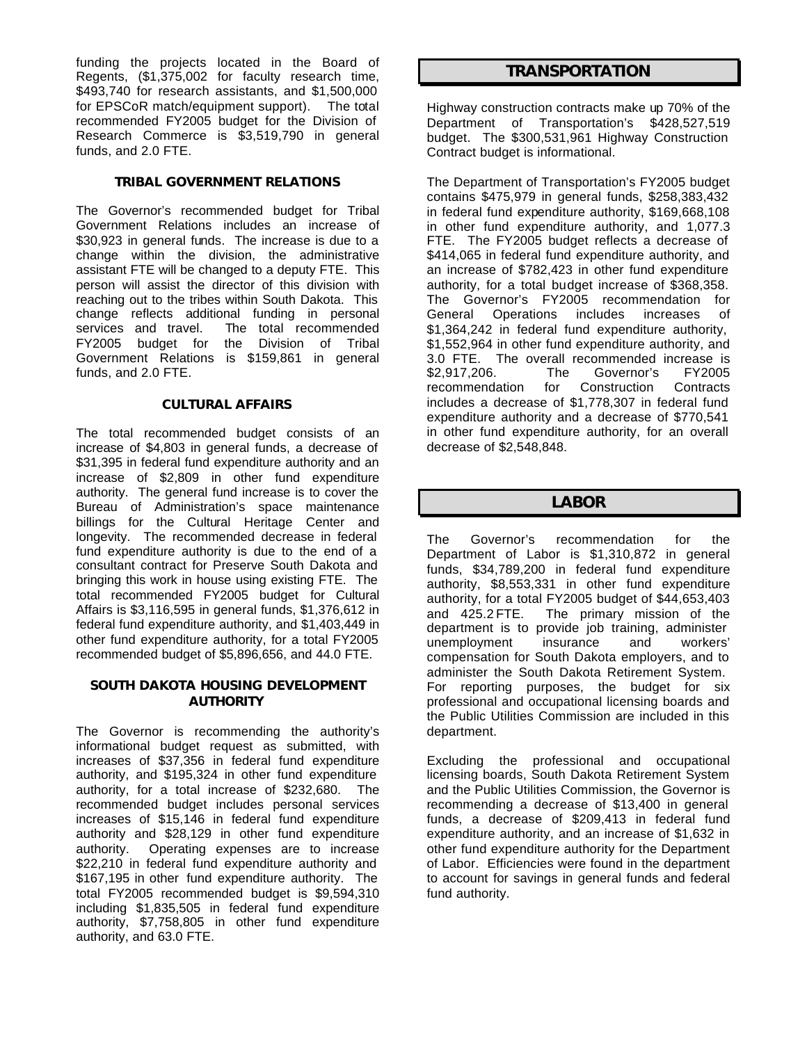funding the projects located in the Board of Regents, (\$1,375,002 for faculty research time, \$493,740 for research assistants, and \$1,500,000 for EPSCoR match/equipment support). The total recommended FY2005 budget for the Division of Research Commerce is \$3,519,790 in general funds, and 2.0 FTE.

#### *TRIBAL GOVERNMENT RELATIONS*

The Governor's recommended budget for Tribal Government Relations includes an increase of \$30,923 in general funds. The increase is due to a change within the division, the administrative assistant FTE will be changed to a deputy FTE. This person will assist the director of this division with reaching out to the tribes within South Dakota. This change reflects additional funding in personal services and travel. The total recommended FY2005 budget for the Division of Tribal Government Relations is \$159,861 in general funds, and 2.0 FTE.

#### *CULTURAL AFFAIRS*

The total recommended budget consists of an increase of \$4,803 in general funds, a decrease of \$31,395 in federal fund expenditure authority and an increase of \$2,809 in other fund expenditure authority. The general fund increase is to cover the Bureau of Administration's space maintenance billings for the Cultural Heritage Center and longevity. The recommended decrease in federal fund expenditure authority is due to the end of a consultant contract for Preserve South Dakota and bringing this work in house using existing FTE. The total recommended FY2005 budget for Cultural Affairs is \$3,116,595 in general funds, \$1,376,612 in federal fund expenditure authority, and \$1,403,449 in other fund expenditure authority, for a total FY2005 recommended budget of \$5,896,656, and 44.0 FTE.

#### *SOUTH DAKOTA HOUSING DEVELOPMENT AUTHORITY*

The Governor is recommending the authority's informational budget request as submitted, with increases of \$37,356 in federal fund expenditure authority, and \$195,324 in other fund expenditure authority, for a total increase of \$232,680. The recommended budget includes personal services increases of \$15,146 in federal fund expenditure authority and \$28,129 in other fund expenditure authority. Operating expenses are to increase \$22,210 in federal fund expenditure authority and \$167,195 in other fund expenditure authority. The total FY2005 recommended budget is \$9,594,310 including \$1,835,505 in federal fund expenditure authority, \$7,758,805 in other fund expenditure authority, and 63.0 FTE.

## *TRANSPORTATION*

Highway construction contracts make up 70% of the Department of Transportation's \$428,527,519 budget. The \$300,531,961 Highway Construction Contract budget is informational.

The Department of Transportation's FY2005 budget contains \$475,979 in general funds, \$258,383,432 in federal fund expenditure authority, \$169,668,108 in other fund expenditure authority, and 1,077.3 FTE. The FY2005 budget reflects a decrease of \$414,065 in federal fund expenditure authority, and an increase of \$782,423 in other fund expenditure authority, for a total budget increase of \$368,358. The Governor's FY2005 recommendation for General Operations includes increases of \$1,364,242 in federal fund expenditure authority, \$1,552,964 in other fund expenditure authority, and 3.0 FTE. The overall recommended increase is \$2,917,206. The Governor's FY2005 recommendation for Construction Contracts includes a decrease of \$1,778,307 in federal fund expenditure authority and a decrease of \$770,541 in other fund expenditure authority, for an overall decrease of \$2,548,848.

## *LABOR*

The Governor's recommendation for the Department of Labor is \$1,310,872 in general funds, \$34,789,200 in federal fund expenditure authority, \$8,553,331 in other fund expenditure authority, for a total FY2005 budget of \$44,653,403 and 425.2 FTE. The primary mission of the department is to provide job training, administer unemployment insurance and workers' compensation for South Dakota employers, and to administer the South Dakota Retirement System. For reporting purposes, the budget for six professional and occupational licensing boards and the Public Utilities Commission are included in this department.

Excluding the professional and occupational licensing boards, South Dakota Retirement System and the Public Utilities Commission, the Governor is recommending a decrease of \$13,400 in general funds, a decrease of \$209,413 in federal fund expenditure authority, and an increase of \$1,632 in other fund expenditure authority for the Department of Labor. Efficiencies were found in the department to account for savings in general funds and federal fund authority.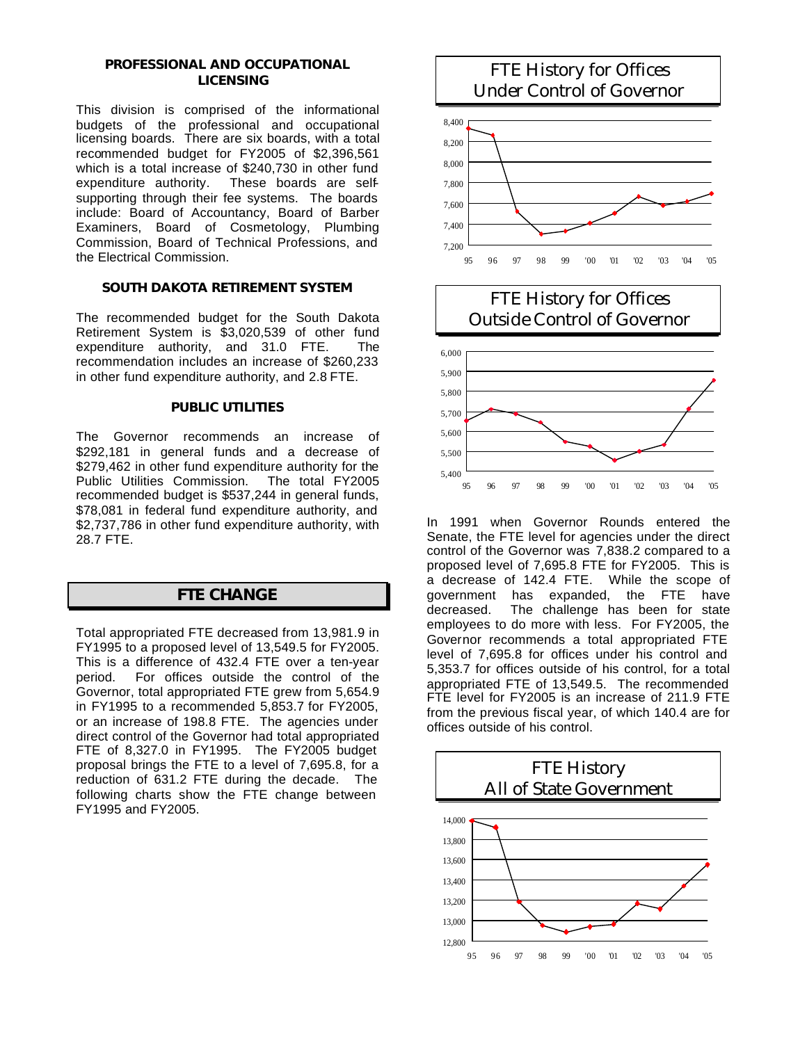#### *PROFESSIONAL AND OCCUPATIONAL LICENSING*

This division is comprised of the informational budgets of the professional and occupational licensing boards. There are six boards, with a total recommended budget for FY2005 of \$2,396,561 which is a total increase of \$240,730 in other fund expenditure authority. These boards are selfsupporting through their fee systems. The boards include: Board of Accountancy, Board of Barber Examiners, Board of Cosmetology, Plumbing Commission, Board of Technical Professions, and the Electrical Commission.

#### *SOUTH DAKOTA RETIREMENT SYSTEM*

The recommended budget for the South Dakota Retirement System is \$3,020,539 of other fund expenditure authority, and 31.0 FTE. The recommendation includes an increase of \$260,233 in other fund expenditure authority, and 2.8 FTE.

#### *PUBLIC UTILITIES*

The Governor recommends an increase of \$292,181 in general funds and a decrease of \$279,462 in other fund expenditure authority for the Public Utilities Commission. The total FY2005 recommended budget is \$537,244 in general funds, \$78,081 in federal fund expenditure authority, and \$2,737,786 in other fund expenditure authority, with 28.7 FTE.

# *FTE CHANGE*

Total appropriated FTE decreased from 13,981.9 in FY1995 to a proposed level of 13,549.5 for FY2005. This is a difference of 432.4 FTE over a ten-year period. For offices outside the control of the Governor, total appropriated FTE grew from 5,654.9 in FY1995 to a recommended 5,853.7 for FY2005, or an increase of 198.8 FTE. The agencies under direct control of the Governor had total appropriated FTE of 8,327.0 in FY1995. The FY2005 budget proposal brings the FTE to a level of 7,695.8, for a reduction of 631.2 FTE during the decade. The following charts show the FTE change between FY1995 and FY2005.

# FTE History for Offices Under Control of Governor



FTE History for Offices Outside Control of Governor



In 1991 when Governor Rounds entered the Senate, the FTE level for agencies under the direct control of the Governor was 7,838.2 compared to a proposed level of 7,695.8 FTE for FY2005. This is a decrease of 142.4 FTE. While the scope of government has expanded, the FTE have decreased. The challenge has been for state employees to do more with less. For FY2005, the Governor recommends a total appropriated FTE level of 7,695.8 for offices under his control and 5,353.7 for offices outside of his control, for a total appropriated FTE of 13,549.5. The recommended FTE level for FY2005 is an increase of 211.9 FTE from the previous fiscal year, of which 140.4 are for offices outside of his control.

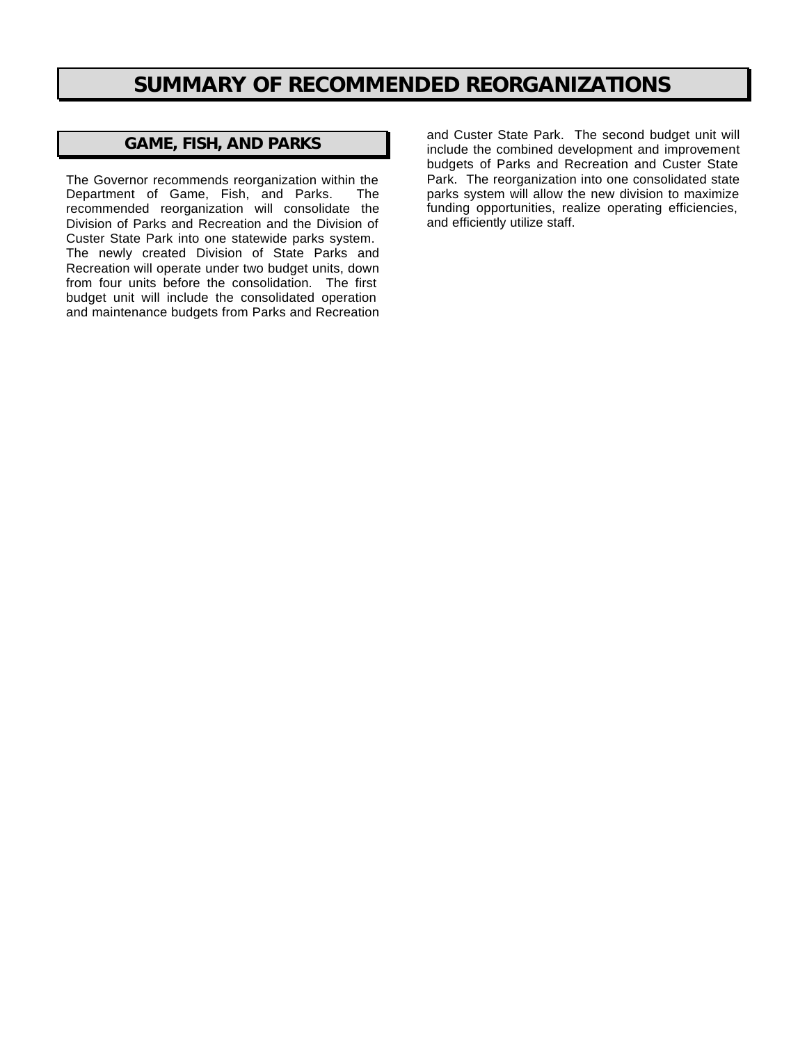# *SUMMARY OF RECOMMENDED REORGANIZATIONS*

# *GAME, FISH, AND PARKS*

The Governor recommends reorganization within the Department of Game, Fish, and Parks. The recommended reorganization will consolidate the Division of Parks and Recreation and the Division of Custer State Park into one statewide parks system. The newly created Division of State Parks and Recreation will operate under two budget units, down from four units before the consolidation. The first budget unit will include the consolidated operation and maintenance budgets from Parks and Recreation and Custer State Park. The second budget unit will include the combined development and improvement budgets of Parks and Recreation and Custer State Park. The reorganization into one consolidated state parks system will allow the new division to maximize funding opportunities, realize operating efficiencies, and efficiently utilize staff.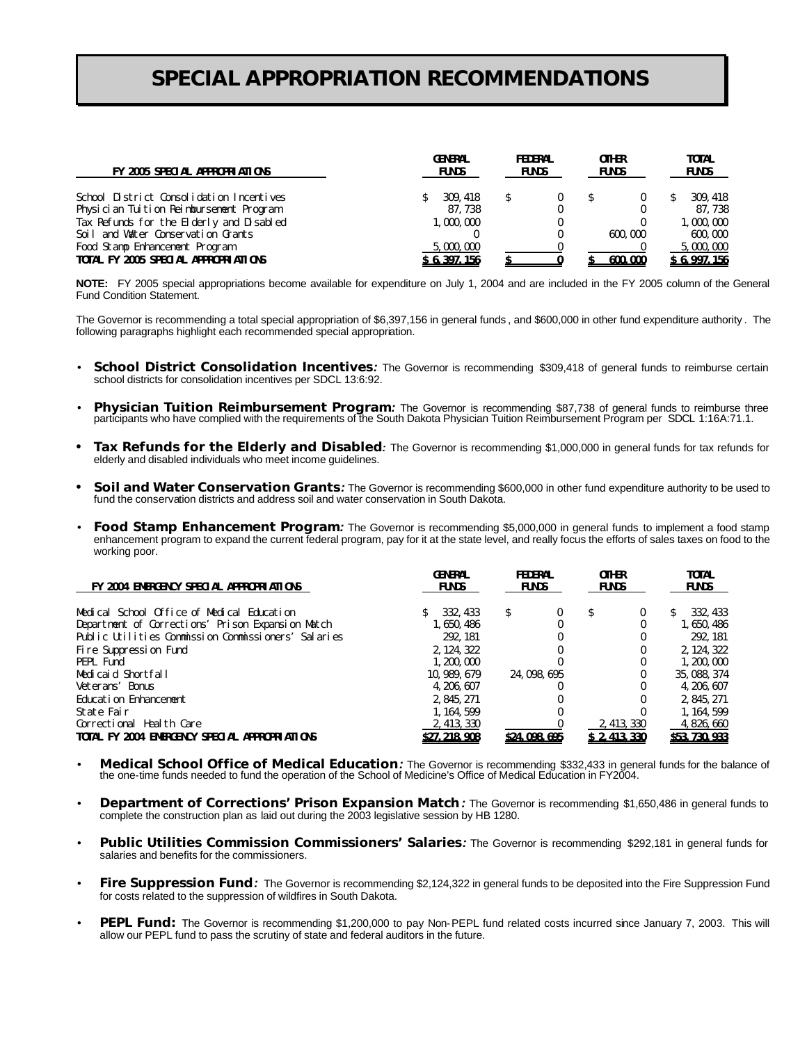# *SPECIAL APPROPRIATION RECOMMENDATIONS*

| <b>CENERAL</b><br><b>FUNDS</b> | <b>FEDERAL</b><br><b>FUNDS</b> | <b>OTHER</b><br><b>FUNDS</b> | <b>TOTAL</b><br><b>FUNDS</b> |
|--------------------------------|--------------------------------|------------------------------|------------------------------|
| 309.418                        |                                |                              | 309.418                      |
| 87.738                         |                                |                              | 87.738                       |
| 1,000,000                      |                                |                              | 1,000,000                    |
|                                |                                | 600.000                      | 600.000                      |
| 5,000,000                      |                                |                              | 5, 000, 000                  |
| S 6, 397, 156                  |                                | 600,000                      | S 6, 997, 156                |
|                                |                                |                              |                              |

**NOTE:** FY 2005 special appropriations become available for expenditure on July 1, 2004 and are included in the FY 2005 column of the General Fund Condition Statement.

The Governor is recommending a total special appropriation of \$6,397,156 in general funds , and \$600,000 in other fund expenditure authority . The following paragraphs highlight each recommended special appropriation.

- *School District Consolidation Incentives:* The Governor is recommending \$309,418 of general funds to reimburse certain school districts for consolidation incentives per SDCL 13:6:92.
- **Physician Tuition Reimbursement Program:** The Governor is recommending \$87,738 of general funds to reimburse three<br>participants who have complied with the requirements of the South Dakota Physician Tuition Reimbursement P
- *Tax Refunds for the Elderly and Disabled:* The Governor is recommending \$1,000,000 in general funds for tax refunds for elderly and disabled individuals who meet income guidelines.
- *Soil and Water Conservation Grants:* The Governor is recommending \$600,000 in other fund expenditure authority to be used to fund the conservation districts and address soil and water conservation in South Dakota.
- *Food Stamp Enhancement Program:* The Governor is recommending \$5,000,000 in general funds to implement a food stamp enhancement program to expand the current federal program, pay for it at the state level, and really focus the efforts of sales taxes on food to the working poor.

| FY 2004 EMERGENCY SPECIAL APPROPRIATIONS              | <b>GENERAL</b><br><b>FUNDS</b> | <b>FEDERAL</b><br><b>FUNDS</b> | <b>OTHER</b><br><b>FUNDS</b> | <b>TOTAL</b><br><b>FUNDS</b> |
|-------------------------------------------------------|--------------------------------|--------------------------------|------------------------------|------------------------------|
| Medical School Office of Medical Education            | 332, 433                       | S<br>$\bf{0}$                  | S<br>0                       | 332, 433                     |
| Department of Corrections' Prison Expansion Match     | 1, 650, 486                    |                                | 0                            | 1, 650, 486                  |
| Public Utilities Commission Commissioners' Salaries   | 292.181                        |                                |                              | 292, 181                     |
| Fire Suppression Fund                                 | 2.124.322                      |                                |                              | 2, 124, 322                  |
| PEPL Fund                                             | 1, 200, 000                    |                                | 0                            | 1, 200, 000                  |
| Medicaid Shortfall                                    | 10.989.679                     | 24, 098, 695                   |                              | 35, 088, 374                 |
| Veterans' Bonus                                       | 4.206.607                      |                                | 0                            | 4, 206, 607                  |
| <b>Education Enhancement</b>                          | 2, 845, 271                    |                                | 0                            | 2, 845, 271                  |
| State Fair                                            | 1, 164, 599                    |                                |                              | 1, 164, 599                  |
| Correctional Health Care                              | 2, 413, 330                    |                                | 2, 413, 330                  | 4, 826, 660                  |
| <b>TOTAL FY 2004 EMERGENCY SPECIAL APPROPRIATIONS</b> | S27, 218, 908                  | S24, 098, 695                  | S 2, 413, 330                | \$53, 730, 933               |

- *Medical School Office of Medical Education:* The Governor is recommending \$332,433 in general funds for the balance of the one-time funds needed to fund the operation of the School of Medicine's Office of Medical Education in FY2004.
- *Department of Corrections' Prison Expansion Match :* The Governor is recommending \$1,650,486 in general funds to complete the construction plan as laid out during the 2003 legislative session by HB 1280.
- *Public Utilities Commission Commissioners' Salaries:* The Governor is recommending \$292,181 in general funds for salaries and benefits for the commissioners.
- **Fire Suppression Fund:** The Governor is recommending \$2,124,322 in general funds to be deposited into the Fire Suppression Fund for costs related to the suppression of wildfires in South Dakota.
- PEPL Fund: The Governor is recommending \$1,200,000 to pay Non-PEPL fund related costs incurred since January 7, 2003. This will allow our PEPL fund to pass the scrutiny of state and federal auditors in the future.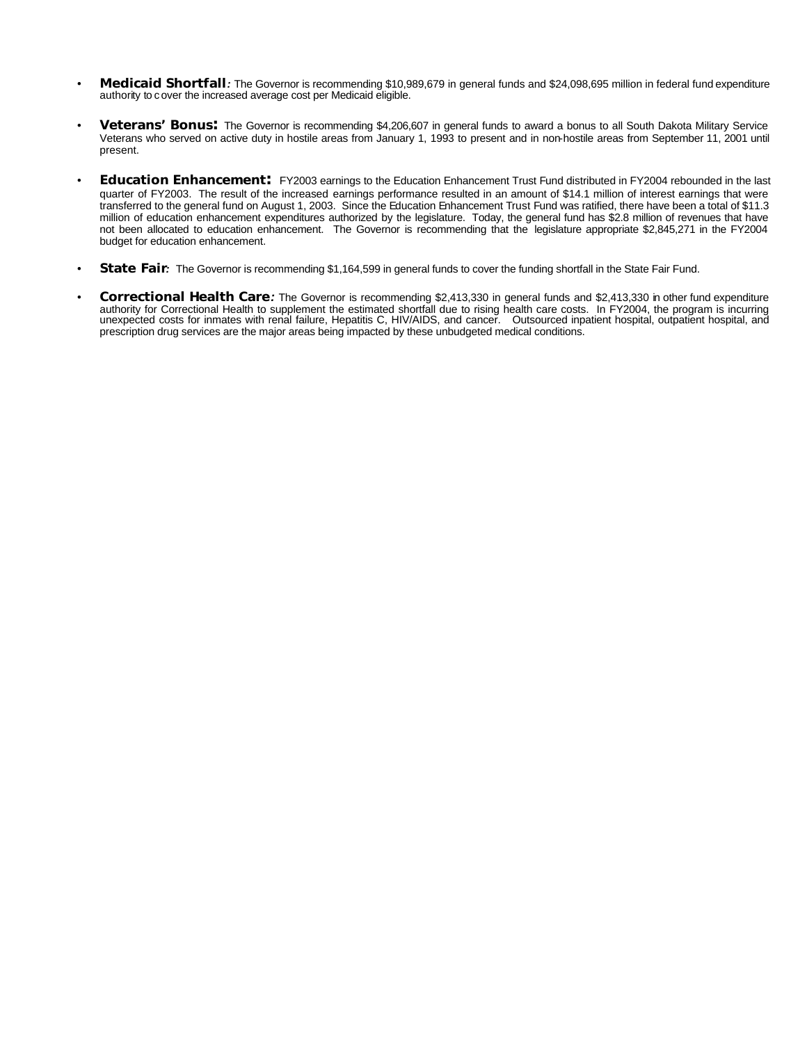- *Medicaid Shortfall:* The Governor is recommending \$10,989,679 in general funds and \$24,098,695 million in federal fund expenditure authority to cover the increased average cost per Medicaid eligible.
- *Veterans' Bonus:* The Governor is recommending \$4,206,607 in general funds to award a bonus to all South Dakota Military Service Veterans who served on active duty in hostile areas from January 1, 1993 to present and in non-hostile areas from September 11, 2001 until present.
- *Education Enhancement:* FY2003 earnings to the Education Enhancement Trust Fund distributed in FY2004 rebounded in the last quarter of FY2003. The result of the increased earnings performance resulted in an amount of \$14.1 million of interest earnings that were transferred to the general fund on August 1, 2003. Since the Education Enhancement Trust Fund was ratified, there have been a total of \$11.3 million of education enhancement expenditures authorized by the legislature. Today, the general fund has \$2.8 million of revenues that have not been allocated to education enhancement. The Governor is recommending that the legislature appropriate \$2,845,271 in the FY2004 budget for education enhancement.
- *State Fair:* The Governor is recommending \$1,164,599 in general funds to cover the funding shortfall in the State Fair Fund.
- *Correctional Health Care:* The Governor is recommending \$2,413,330 in general funds and \$2,413,330 in other fund expenditure authority for Correctional Health to supplement the estimated shortfall due to rising health care costs. In FY2004, the program is incurring unexpected costs for inmates with renal failure, Hepatitis C, HIV/AIDS, and cancer. Outsourced inpatient hospital, outpatient hospital, and prescription drug services are the major areas being impacted by these unbudgeted medical conditions.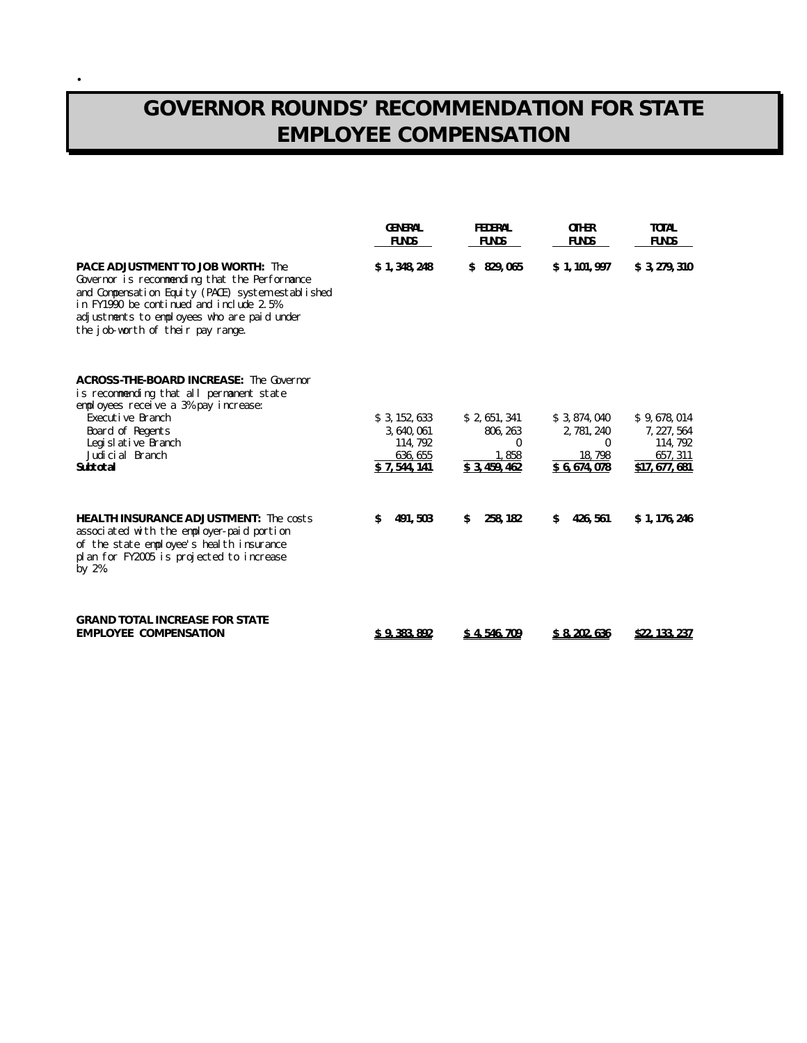# *GOVERNOR ROUNDS' RECOMMENDATION FOR STATE EMPLOYEE COMPENSATION*

•

|                                                                                                                                                                                                                                                                               | <b>GENERAL</b><br><b>FUNDS</b>         | <b>FEDERAL</b><br><b>FUNDS</b> | <b>OTHER</b><br><b>FUNDS</b>           | <b>TOTAL</b><br><b>FUNDS</b>           |
|-------------------------------------------------------------------------------------------------------------------------------------------------------------------------------------------------------------------------------------------------------------------------------|----------------------------------------|--------------------------------|----------------------------------------|----------------------------------------|
| <b>PACE ADJUSTMENT TO JOB WORTH: The</b><br>Governor is recommending that the Performance<br>and Compensation Equity (PACE) system established<br>in FY1990 be continued and include 2.5%<br>adjustments to employees who are paid under<br>the job-worth of their pay range. | \$1,348,248                            | 829, 065<br>S                  | \$1,101,997                            | \$3,279,310                            |
| <b>ACROSS-THE-BOARD INCREASE:</b> The Governor<br>is recommending that all permanent state<br>employees receive a 3% pay increase:                                                                                                                                            |                                        |                                |                                        |                                        |
| Executive Branch<br>Board of Regents<br>Legislative Branch                                                                                                                                                                                                                    | \$3, 152, 633<br>3.640.061<br>114, 792 | \$2,651,341<br>806, 263<br>0   | \$3,874,040<br>2, 781, 240<br>$\bf{0}$ | \$9,678,014<br>7, 227, 564<br>114, 792 |
| Judicial Branch<br><b>Subtotal</b>                                                                                                                                                                                                                                            | 636, 655<br>S 7, 544, 141              | 1,858<br>\$3,459,462           | 18,798<br>\$6,674,078                  | 657, 311<br>\$17, 677, 681             |
| <b>HEALTH INSURANCE ADJUSTMENT: The costs</b><br>associated with the employer-paid portion<br>of the state employee's health insurance<br>plan for FY2005 is projected to increase<br>by 2%.                                                                                  | s<br>491, 503                          | 258, 182<br>s                  | 426, 561<br>s                          | \$1,176,246                            |
| <b>GRAND TOTAL INCREASE FOR STATE</b><br><b>EMPLOYEE COMPENSATION</b>                                                                                                                                                                                                         | S 9, 383, 892                          | S 4.546,709                    | S 8.202.636                            | S22, 133, 237                          |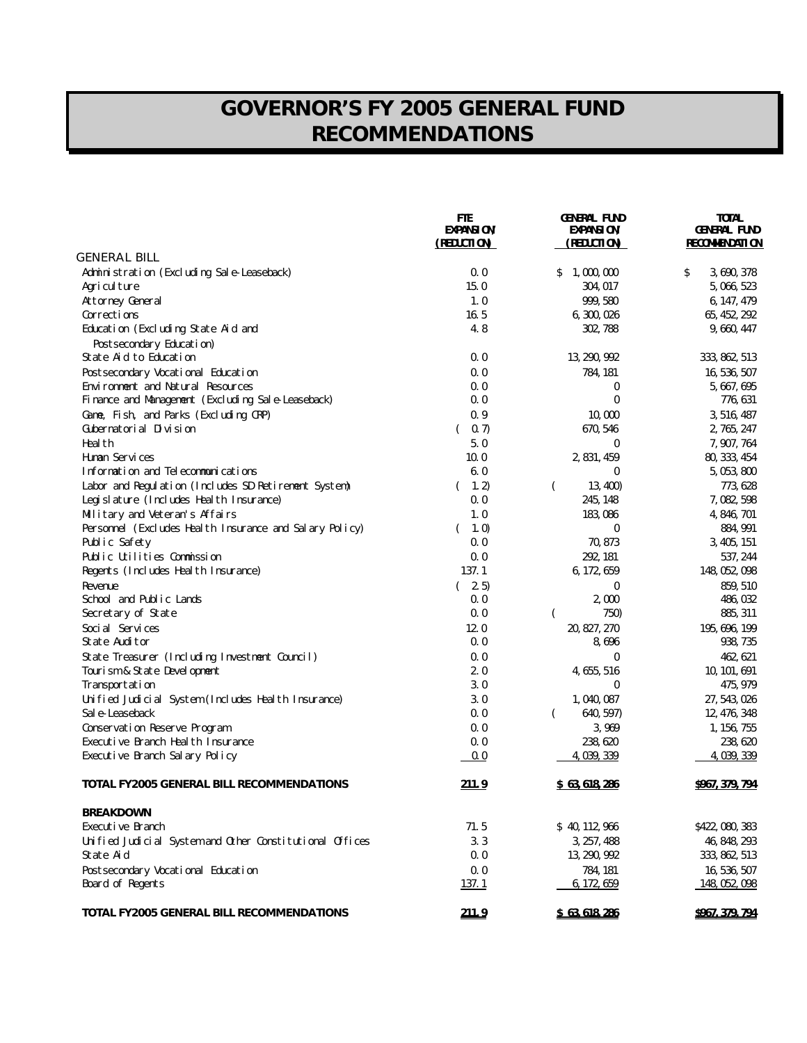# *GOVERNOR'S FY 2005 GENERAL FUND RECOMMENDATIONS*

|                                                          | FIE<br><b>EXPANSION/</b><br><b>(REDUCTION)</b> | <b>GENERAL FUND</b><br><b>EXPANSION/</b><br><b>(REDUCTION)</b> | <b>TOTAL</b><br><b>CENERAL FUND</b><br><b>RECOMMENDATION</b> |
|----------------------------------------------------------|------------------------------------------------|----------------------------------------------------------------|--------------------------------------------------------------|
| <b>GENERAL BILL</b>                                      |                                                |                                                                |                                                              |
| Administration (Excluding Sale-Leaseback)                | 0.0                                            | 1,000,000<br>S.                                                | \$<br>3,690,378                                              |
| Agriculture                                              | 15.0                                           | 304, 017                                                       | 5, 066, 523                                                  |
| <b>Attorney General</b>                                  | 1.0                                            | 999, 580                                                       | 6, 147, 479                                                  |
| Corrections                                              | 16.5                                           | 6, 300, 026                                                    | 65, 452, 292                                                 |
| Education (Excluding State Aid and                       | 4.8                                            | 302, 788                                                       | 9, 660, 447                                                  |
| Postsecondary Education)                                 |                                                |                                                                |                                                              |
| State Aid to Education                                   | 0.0                                            | 13, 290, 992                                                   | 333, 862, 513                                                |
| Postsecondary Vocational Education                       | 0.0                                            | 784, 181                                                       | 16, 536, 507                                                 |
| Environment and Natural Resources                        | 0.0                                            | $\bf{0}$                                                       | 5, 667, 695                                                  |
| Finance and Management (Excluding Sale-Leaseback)        | 0.0                                            | $\bf{0}$                                                       | 776, 631                                                     |
| Game, Fish, and Parks (Excluding CRP)                    | 0.9                                            | 10,000                                                         | 3, 516, 487                                                  |
| Gubernatorial Division                                   | 0.7)<br>€                                      | 670, 546                                                       | 2, 765, 247                                                  |
| Heal th                                                  | 5.0                                            | $\bf{0}$                                                       | 7, 907, 764                                                  |
| <b>Human Services</b>                                    | 10.0                                           | 2, 831, 459                                                    | 80, 333, 454                                                 |
| Information and Telecommunications                       | 6.0                                            | $\bf{0}$                                                       | 5, 053, 800                                                  |
| Labor and Regulation (Includes SD Retirement System)     | (1.2)                                          | 13, 400)<br>€                                                  | 773, 628                                                     |
| Legislature (Includes Health Insurance)                  | 0.0                                            | 245, 148                                                       | 7, 082, 598                                                  |
| Mlitary and Veteran's Affairs                            | 1.0                                            | 183,086                                                        | 4, 846, 701                                                  |
| Personnel (Excludes Health Insurance and Salary Policy)  | 1.0)<br>€                                      | $\bf{0}$                                                       | 884, 991                                                     |
| Public Safety                                            | 0.0                                            | 70,873                                                         | 3, 405, 151                                                  |
| Public Utilities Commission                              | 0.0                                            | 292, 181                                                       | 537, 244                                                     |
| Regents (Includes Health Insurance)                      | 137.1                                          | 6, 172, 659                                                    | 148, 052, 098                                                |
| Revenue                                                  | (2.5)                                          | $\bf{0}$                                                       | 859, 510                                                     |
| School and Public Lands                                  | 0.0                                            | 2,000                                                          | 486, 032                                                     |
| Secretary of State                                       | 0.0                                            | 750)<br>€                                                      | 885, 311                                                     |
| Social Services                                          | 12.0                                           | 20, 827, 270                                                   | 195, 696, 199                                                |
| State Auditor                                            | 0.0                                            | 8,696                                                          | 938, 735                                                     |
| State Treasurer (Including Investment Council)           | 0.0                                            | $\bf{0}$                                                       | 462, 621                                                     |
| Tourism & State Development                              | 2.0                                            | 4, 655, 516                                                    | 10, 101, 691                                                 |
| Transportation                                           | 3.0                                            | $\bf{0}$                                                       | 475, 979                                                     |
| Unified Judicial System (Includes Health Insurance)      | 3.0                                            | 1,040,087                                                      | 27, 543, 026                                                 |
| Sal e-Leaseback                                          | 0.0                                            | 640, 597)<br>(                                                 | 12, 476, 348                                                 |
| Conservation Reserve Program                             | 0.0                                            | 3,969                                                          | 1, 156, 755                                                  |
| Executive Branch Health Insurance                        | 0.0                                            | 238,620                                                        | 238, 620                                                     |
| Executive Branch Salary Policy                           | 0.0                                            | 4, 039, 339                                                    | 4, 039, 339                                                  |
| <b>TOTAL FY2005 GENERAL BILL RECOMMENDATIONS</b>         | 211.9                                          | \$63,618,286                                                   | \$967, 379, 794                                              |
| <b>BREAKDOWN</b>                                         |                                                |                                                                |                                                              |
| Executive Branch                                         | 71.5                                           | \$40, 112, 966                                                 | \$422, 080, 383                                              |
| Unified Judicial System and Other Constitutional Offices | 3.3                                            | 3, 257, 488                                                    | 46, 848, 293                                                 |
| State Aid                                                | 0.0                                            | 13, 290, 992                                                   | 333, 862, 513                                                |
| Postsecondary Vocational Education                       | 0.0                                            | 784, 181                                                       | 16, 536, 507                                                 |
| Board of Regents                                         | <u>137.1</u>                                   | 6, 172, 659                                                    | 148, 052, 098                                                |
| <b>TOTAL FY2005 GENERAL BILL RECOMMENDATIONS</b>         | 211.9                                          | S 63, 618, 286                                                 | S967, 379, 794                                               |